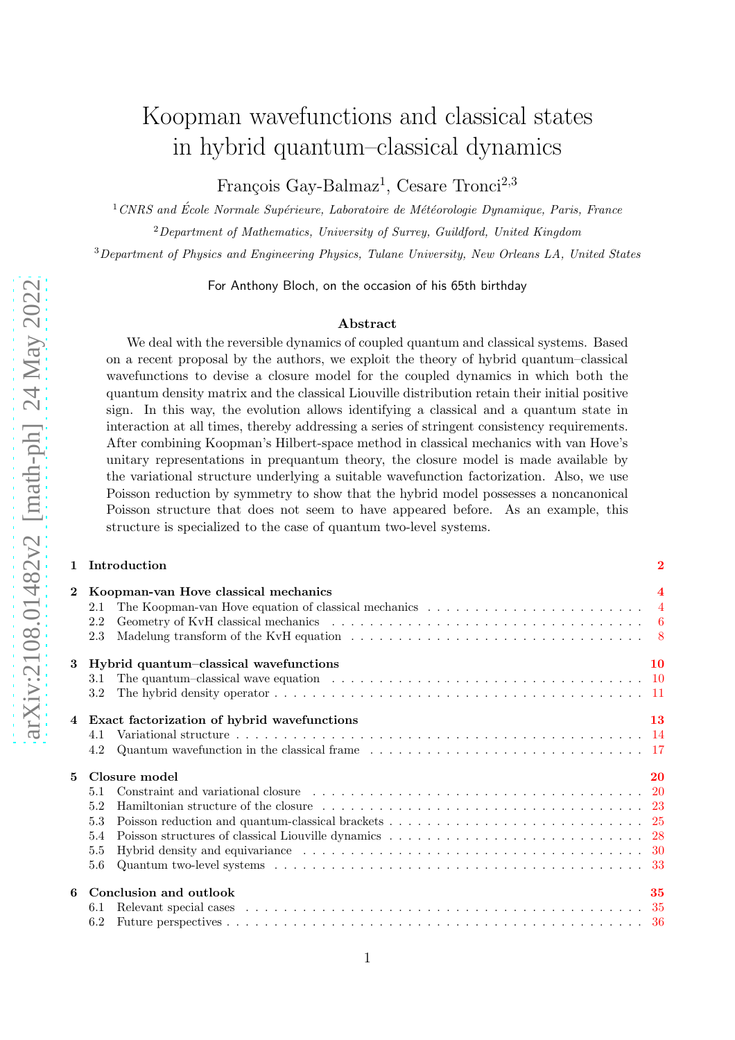# Koopman wavefunctions and classical states in hybrid quantum–classical dynamics

François Gay-Balmaz<sup>1</sup>, Cesare Tronci<sup>2,3</sup>

 $1$ CNRS and École Normale Supérieure, Laboratoire de Météorologie Dynamique, Paris, France  $2$ Department of Mathematics, University of Surrey, Guildford, United Kingdom

<sup>3</sup>Department of Physics and Engineering Physics, Tulane University, New Orleans LA, United States

For Anthony Bloch, on the occasion of his 65th birthday

#### Abstract

We deal with the reversible dynamics of coupled quantum and classical systems. Based on a recent proposal by the authors, we exploit the theory of hybrid quantum–classical wavefunctions to devise a closure model for the coupled dynamics in which both the quantum density matrix and the classical Liouville distribution retain their initial positive sign. In this way, the evolution allows identifying a classical and a quantum state in interaction at all times, thereby addressing a series of stringent consistency requirements. After combining Koopman's Hilbert-space method in classical mechanics with van Hove's unitary representations in prequantum theory, the closure model is made available by the variational structure underlying a suitable wavefunction factorization. Also, we use Poisson reduction by symmetry to show that the hybrid model possesses a noncanonical Poisson structure that does not seem to have appeared before. As an example, this structure is specialized to the case of quantum two-level systems.

#### 1 Introduction [2](#page-1-0)

| $\overline{2}$ | 2.1<br>2.2<br>2.3 | Koopman-van Hove classical mechanics<br>The Koopman-van Hove equation of classical mechanics $\dots \dots \dots \dots \dots \dots \dots \dots \dots$                                                                           | 4         |  |  |  |
|----------------|-------------------|--------------------------------------------------------------------------------------------------------------------------------------------------------------------------------------------------------------------------------|-----------|--|--|--|
| 3              | 3.1               | Hybrid quantum-classical wavefunctions                                                                                                                                                                                         | 10        |  |  |  |
|                | 3.2               |                                                                                                                                                                                                                                |           |  |  |  |
|                |                   | 4 Exact factorization of hybrid wavefunctions                                                                                                                                                                                  | <b>13</b> |  |  |  |
|                |                   |                                                                                                                                                                                                                                |           |  |  |  |
|                | 4.2               | Quantum wavefunction in the classical frame $\ldots \ldots \ldots \ldots \ldots \ldots \ldots \ldots \ldots \ldots 17$                                                                                                         |           |  |  |  |
| 5              |                   | Closure model                                                                                                                                                                                                                  | 20        |  |  |  |
|                |                   |                                                                                                                                                                                                                                |           |  |  |  |
|                | 5.2               | Hamiltonian structure of the closure contained and service contained a structure of the closure contained by the structure of the closure contained by the structure of the closure contained by the structure of the structur |           |  |  |  |
|                | 5.3               |                                                                                                                                                                                                                                |           |  |  |  |
|                | 5.4               |                                                                                                                                                                                                                                |           |  |  |  |
|                | 5.5               |                                                                                                                                                                                                                                |           |  |  |  |
|                | 5.6               |                                                                                                                                                                                                                                |           |  |  |  |
| 6              |                   | Conclusion and outlook<br>35                                                                                                                                                                                                   |           |  |  |  |
|                | 6.1               |                                                                                                                                                                                                                                |           |  |  |  |
|                | $6.2\,$           |                                                                                                                                                                                                                                |           |  |  |  |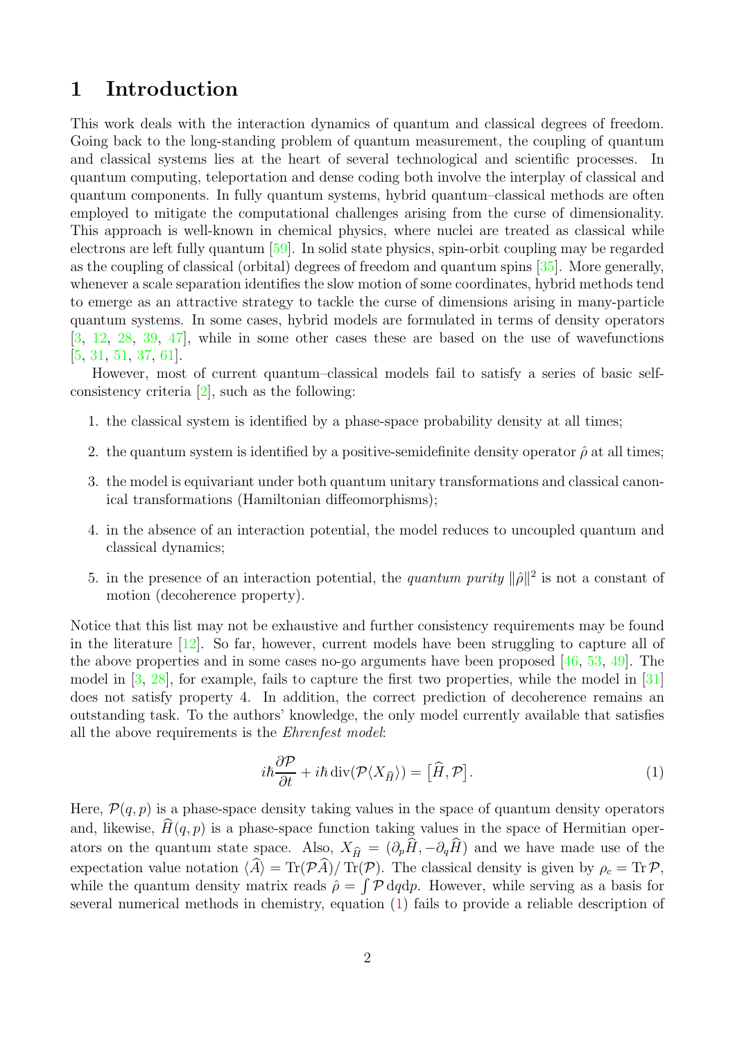## <span id="page-1-0"></span>1 Introduction

This work deals with the interaction dynamics of quantum and classical degrees of freedom. Going back to the long-standing problem of quantum measurement, the coupling of quantum and classical systems lies at the heart of several technological and scientific processes. In quantum computing, teleportation and dense coding both involve the interplay of classical and quantum components. In fully quantum systems, hybrid quantum–classical methods are often employed to mitigate the computational challenges arising from the curse of dimensionality. This approach is well-known in chemical physics, where nuclei are treated as classical while electrons are left fully quantum [\[59\]](#page-39-0). In solid state physics, spin-orbit coupling may be regarded as the coupling of classical (orbital) degrees of freedom and quantum spins [\[35\]](#page-38-0). More generally, whenever a scale separation identifies the slow motion of some coordinates, hybrid methods tend to emerge as an attractive strategy to tackle the curse of dimensions arising in many-particle quantum systems. In some cases, hybrid models are formulated in terms of density operators [\[3,](#page-36-0) [12,](#page-37-0) [28,](#page-38-1) [39,](#page-38-2) [47\]](#page-39-1), while in some other cases these are based on the use of wavefunctions [\[5,](#page-36-1) [31,](#page-38-3) [51,](#page-39-2) [37,](#page-38-4) [61\]](#page-39-3).

However, most of current quantum–classical models fail to satisfy a series of basic selfconsistency criteria [\[2\]](#page-36-2), such as the following:

- 1. the classical system is identified by a phase-space probability density at all times;
- 2. the quantum system is identified by a positive-semidefinite density operator  $\hat{\rho}$  at all times;
- 3. the model is equivariant under both quantum unitary transformations and classical canonical transformations (Hamiltonian diffeomorphisms);
- 4. in the absence of an interaction potential, the model reduces to uncoupled quantum and classical dynamics;
- 5. in the presence of an interaction potential, the *quantum purity*  $\|\hat{\rho}\|^2$  is not a constant of motion (decoherence property).

Notice that this list may not be exhaustive and further consistency requirements may be found in the literature  $[12]$ . So far, however, current models have been struggling to capture all of the above properties and in some cases no-go arguments have been proposed [\[46,](#page-39-4) [53,](#page-39-5) [49\]](#page-39-6). The model in [\[3,](#page-36-0) [28\]](#page-38-1), for example, fails to capture the first two properties, while the model in [\[31\]](#page-38-3) does not satisfy property 4. In addition, the correct prediction of decoherence remains an outstanding task. To the authors' knowledge, the only model currently available that satisfies all the above requirements is the Ehrenfest model:

<span id="page-1-1"></span>
$$
i\hbar \frac{\partial \mathcal{P}}{\partial t} + i\hbar \operatorname{div}(\mathcal{P}\langle X_{\widehat{H}}\rangle) = [\widehat{H}, \mathcal{P}]. \tag{1}
$$

Here,  $\mathcal{P}(q, p)$  is a phase-space density taking values in the space of quantum density operators and, likewise,  $H(q, p)$  is a phase-space function taking values in the space of Hermitian operators on the quantum state space. Also,  $X_{\hat{H}} = (\partial_p\hat{H}, -\partial_q\hat{H})$  and we have made use of the expectation value notation  $\langle \hat{A} \rangle = \text{Tr}(\mathcal{P}\hat{A})/\text{Tr}(\mathcal{P})$ . The classical density is given by  $\rho_c = \text{Tr}\,\mathcal{P}$ , while the quantum density matrix reads  $\hat{\rho} = \int \mathcal{P} dq dp$ . However, while serving as a basis for several numerical methods in chemistry, equation [\(1\)](#page-1-1) fails to provide a reliable description of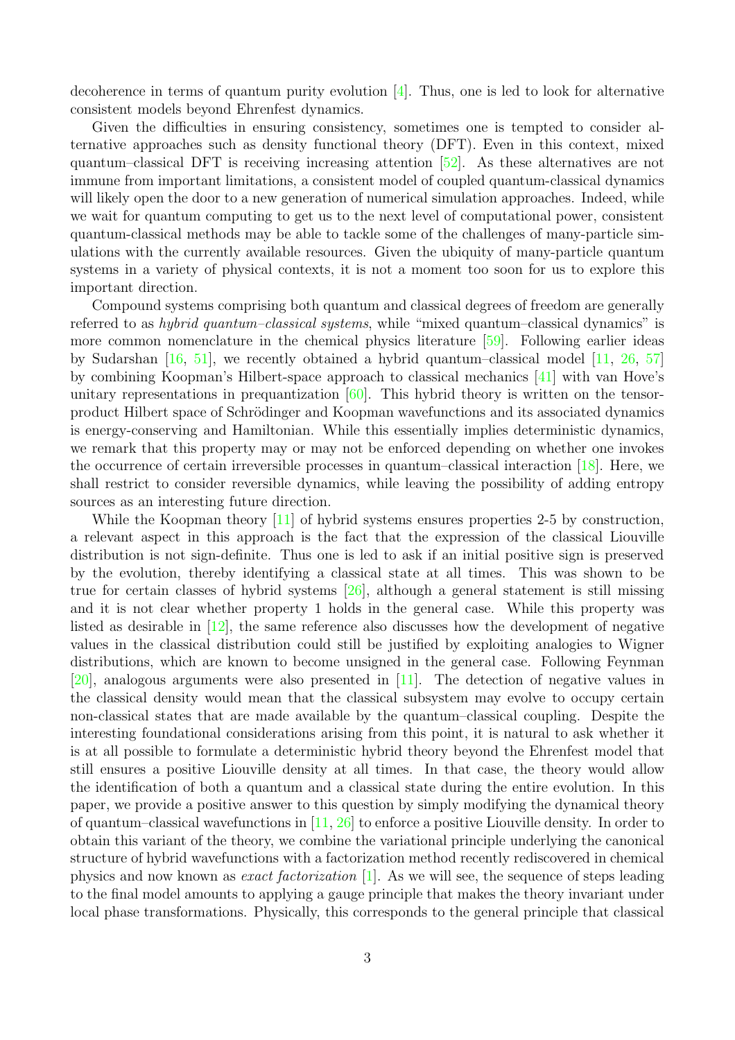decoherence in terms of quantum purity evolution [\[4\]](#page-36-3). Thus, one is led to look for alternative consistent models beyond Ehrenfest dynamics.

Given the difficulties in ensuring consistency, sometimes one is tempted to consider alternative approaches such as density functional theory (DFT). Even in this context, mixed quantum–classical DFT is receiving increasing attention [\[52\]](#page-39-7). As these alternatives are not immune from important limitations, a consistent model of coupled quantum-classical dynamics will likely open the door to a new generation of numerical simulation approaches. Indeed, while we wait for quantum computing to get us to the next level of computational power, consistent quantum-classical methods may be able to tackle some of the challenges of many-particle simulations with the currently available resources. Given the ubiquity of many-particle quantum systems in a variety of physical contexts, it is not a moment too soon for us to explore this important direction.

Compound systems comprising both quantum and classical degrees of freedom are generally referred to as hybrid quantum–classical systems, while "mixed quantum–classical dynamics" is more common nomenclature in the chemical physics literature [\[59\]](#page-39-0). Following earlier ideas by Sudarshan [\[16,](#page-37-1) [51\]](#page-39-2), we recently obtained a hybrid quantum–classical model [\[11,](#page-37-2) [26,](#page-38-5) [57\]](#page-39-8) by combining Koopman's Hilbert-space approach to classical mechanics [\[41\]](#page-38-6) with van Hove's unitary representations in prequantization  $[60]$ . This hybrid theory is written on the tensorproduct Hilbert space of Schrödinger and Koopman wavefunctions and its associated dynamics is energy-conserving and Hamiltonian. While this essentially implies deterministic dynamics, we remark that this property may or may not be enforced depending on whether one invokes the occurrence of certain irreversible processes in quantum–classical interaction [\[18\]](#page-37-3). Here, we shall restrict to consider reversible dynamics, while leaving the possibility of adding entropy sources as an interesting future direction.

While the Koopman theory [\[11\]](#page-37-2) of hybrid systems ensures properties 2-5 by construction, a relevant aspect in this approach is the fact that the expression of the classical Liouville distribution is not sign-definite. Thus one is led to ask if an initial positive sign is preserved by the evolution, thereby identifying a classical state at all times. This was shown to be true for certain classes of hybrid systems [\[26\]](#page-38-5), although a general statement is still missing and it is not clear whether property 1 holds in the general case. While this property was listed as desirable in [\[12\]](#page-37-0), the same reference also discusses how the development of negative values in the classical distribution could still be justified by exploiting analogies to Wigner distributions, which are known to become unsigned in the general case. Following Feynman [\[20\]](#page-37-4), analogous arguments were also presented in [\[11\]](#page-37-2). The detection of negative values in the classical density would mean that the classical subsystem may evolve to occupy certain non-classical states that are made available by the quantum–classical coupling. Despite the interesting foundational considerations arising from this point, it is natural to ask whether it is at all possible to formulate a deterministic hybrid theory beyond the Ehrenfest model that still ensures a positive Liouville density at all times. In that case, the theory would allow the identification of both a quantum and a classical state during the entire evolution. In this paper, we provide a positive answer to this question by simply modifying the dynamical theory of quantum–classical wavefunctions in [\[11,](#page-37-2) [26\]](#page-38-5) to enforce a positive Liouville density. In order to obtain this variant of the theory, we combine the variational principle underlying the canonical structure of hybrid wavefunctions with a factorization method recently rediscovered in chemical physics and now known as exact factorization [\[1\]](#page-36-4). As we will see, the sequence of steps leading to the final model amounts to applying a gauge principle that makes the theory invariant under local phase transformations. Physically, this corresponds to the general principle that classical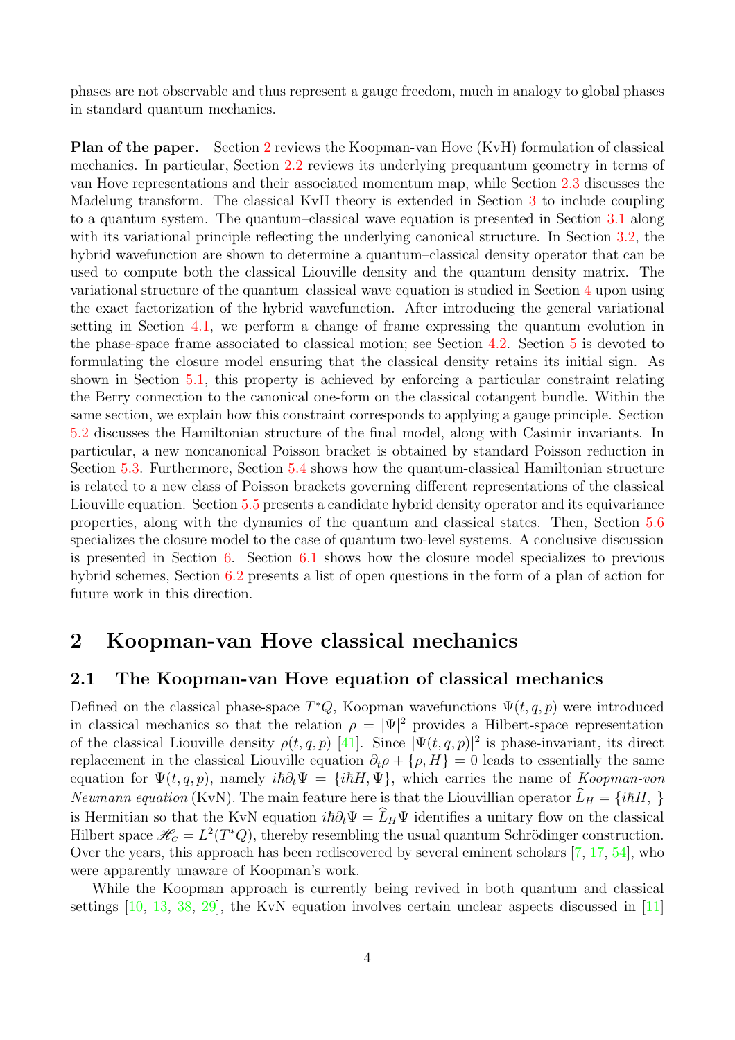phases are not observable and thus represent a gauge freedom, much in analogy to global phases in standard quantum mechanics.

Plan of the paper. Section [2](#page-3-0) reviews the Koopman-van Hove (KvH) formulation of classical mechanics. In particular, Section [2.2](#page-5-0) reviews its underlying prequantum geometry in terms of van Hove representations and their associated momentum map, while Section [2.3](#page-7-0) discusses the Madelung transform. The classical KvH theory is extended in Section [3](#page-9-0) to include coupling to a quantum system. The quantum–classical wave equation is presented in Section [3.1](#page-9-1) along with its variational principle reflecting the underlying canonical structure. In Section [3.2,](#page-10-0) the hybrid wavefunction are shown to determine a quantum–classical density operator that can be used to compute both the classical Liouville density and the quantum density matrix. The variational structure of the quantum–classical wave equation is studied in Section [4](#page-12-0) upon using the exact factorization of the hybrid wavefunction. After introducing the general variational setting in Section [4.1,](#page-13-0) we perform a change of frame expressing the quantum evolution in the phase-space frame associated to classical motion; see Section [4.2.](#page-16-0) Section [5](#page-19-0) is devoted to formulating the closure model ensuring that the classical density retains its initial sign. As shown in Section [5.1,](#page-19-1) this property is achieved by enforcing a particular constraint relating the Berry connection to the canonical one-form on the classical cotangent bundle. Within the same section, we explain how this constraint corresponds to applying a gauge principle. Section [5.2](#page-22-0) discusses the Hamiltonian structure of the final model, along with Casimir invariants. In particular, a new noncanonical Poisson bracket is obtained by standard Poisson reduction in Section [5.3.](#page-24-0) Furthermore, Section [5.4](#page-27-0) shows how the quantum-classical Hamiltonian structure is related to a new class of Poisson brackets governing different representations of the classical Liouville equation. Section [5.5](#page-29-0) presents a candidate hybrid density operator and its equivariance properties, along with the dynamics of the quantum and classical states. Then, Section [5.6](#page-32-0) specializes the closure model to the case of quantum two-level systems. A conclusive discussion is presented in Section [6.](#page-34-0) Section [6.1](#page-34-1) shows how the closure model specializes to previous hybrid schemes, Section [6.2](#page-35-0) presents a list of open questions in the form of a plan of action for future work in this direction.

## <span id="page-3-0"></span>2 Koopman-van Hove classical mechanics

#### <span id="page-3-1"></span>2.1 The Koopman-van Hove equation of classical mechanics

Defined on the classical phase-space  $T^*Q$ , Koopman wavefunctions  $\Psi(t, q, p)$  were introduced in classical mechanics so that the relation  $\rho = |\Psi|^2$  provides a Hilbert-space representation of the classical Liouville density  $\rho(t, q, p)$  [\[41\]](#page-38-6). Since  $|\Psi(t, q, p)|^2$  is phase-invariant, its direct replacement in the classical Liouville equation  $\partial_t \rho + \{\rho, H\} = 0$  leads to essentially the same equation for  $\Psi(t, q, p)$ , namely  $i\hbar\partial_t \Psi = \{i\hbar H, \Psi\}$ , which carries the name of Koopman-von *Neumann equation* (KvN). The main feature here is that the Liouvillian operator  $L_H = \{i\hbar H, \}$ is Hermitian so that the KvN equation  $i\hbar\partial_t\Psi = \hat{L}_H\Psi$  identifies a unitary flow on the classical Hilbert space  $\mathcal{H}_c = L^2(T^*Q)$ , thereby resembling the usual quantum Schrödinger construction. Over the years, this approach has been rediscovered by several eminent scholars [\[7,](#page-36-5) [17,](#page-37-5) [54\]](#page-39-10), who were apparently unaware of Koopman's work.

While the Koopman approach is currently being revived in both quantum and classical settings [\[10,](#page-37-6) [13,](#page-37-7) [38,](#page-38-7) [29\]](#page-38-8), the KvN equation involves certain unclear aspects discussed in [\[11\]](#page-37-2)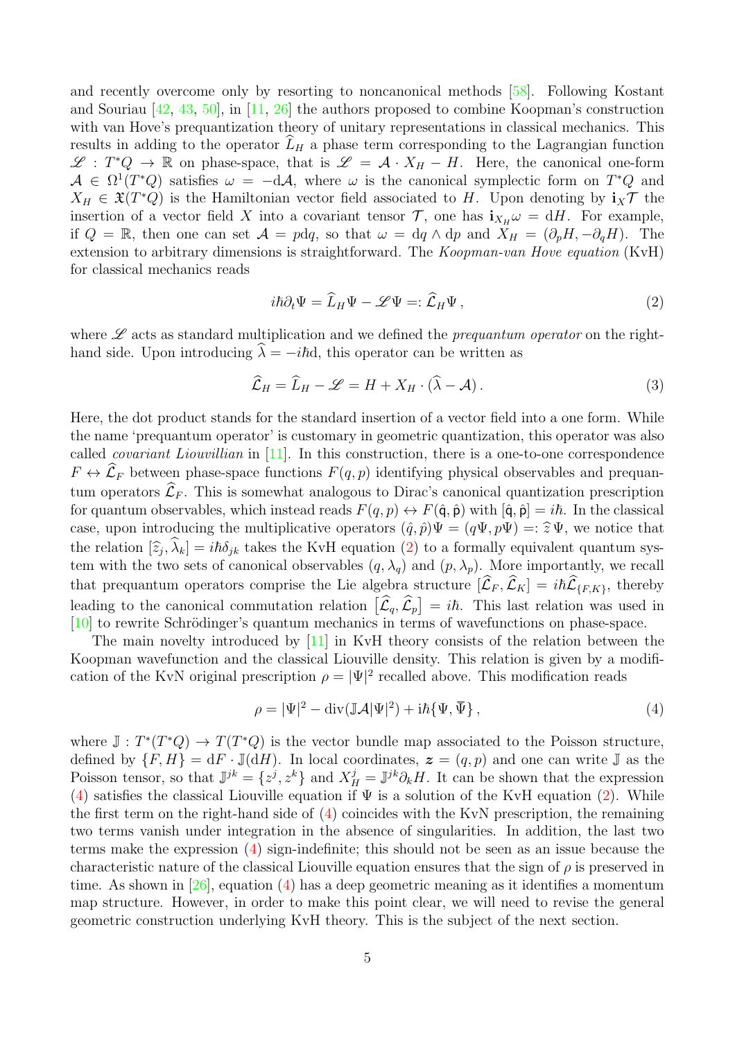and recently overcome only by resorting to noncanonical methods [\[58\]](#page-39-11). Following Kostant and Souriau [\[42,](#page-38-9) [43,](#page-39-12) [50\]](#page-39-13), in [\[11,](#page-37-2) [26\]](#page-38-5) the authors proposed to combine Koopman's construction with van Hove's prequantization theory of unitary representations in classical mechanics. This results in adding to the operator  $\tilde{L}_H$  a phase term corresponding to the Lagrangian function  $\mathscr{L}: T^*Q \to \mathbb{R}$  on phase-space, that is  $\mathscr{L} = \mathcal{A} \cdot X_H - H$ . Here, the canonical one-form  $\mathcal{A} \in \Omega^1(T^*Q)$  satisfies  $\omega = -d\mathcal{A}$ , where  $\omega$  is the canonical symplectic form on  $T^*Q$  and  $X_H \in \mathfrak{X}(T^*Q)$  is the Hamiltonian vector field associated to H. Upon denoting by  $\mathbf{i}_X \mathcal{T}$  the insertion of a vector field X into a covariant tensor  $\mathcal{T}$ , one has  $\mathbf{i}_{X_H}\omega = dH$ . For example, if  $Q = \mathbb{R}$ , then one can set  $\mathcal{A} = pdq$ , so that  $\omega = dq \wedge dp$  and  $X_H = (\partial_p H, -\partial_q H)$ . The extension to arbitrary dimensions is straightforward. The *Koopman-van Hove equation* (KvH) for classical mechanics reads

<span id="page-4-0"></span>
$$
i\hbar \partial_t \Psi = \widehat{L}_H \Psi - \mathscr{L} \Psi =: \widehat{\mathcal{L}}_H \Psi , \qquad (2)
$$

where  $\mathscr L$  acts as standard multiplication and we defined the *prequantum operator* on the righthand side. Upon introducing  $\lambda = -i\hbar d$ , this operator can be written as

<span id="page-4-2"></span>
$$
\widehat{\mathcal{L}}_H = \widehat{L}_H - \mathscr{L} = H + X_H \cdot (\widehat{\lambda} - \mathcal{A}). \tag{3}
$$

Here, the dot product stands for the standard insertion of a vector field into a one form. While the name 'prequantum operator' is customary in geometric quantization, this operator was also called *covariant Liouvillian* in  $[11]$ . In this construction, there is a one-to-one correspondence  $F \leftrightarrow \widehat{\mathcal{L}}_F$  between phase-space functions  $F(q, p)$  identifying physical observables and prequantum operators  $\widehat{\mathcal{L}}_F$ . This is somewhat analogous to Dirac's canonical quantization prescription for quantum observables, which instead reads  $F(q, p) \leftrightarrow F(\hat{q}, \hat{p})$  with  $[\hat{q}, \hat{p}] = i\hbar$ . In the classical case, upon introducing the multiplicative operators  $(\hat{q}, \hat{p})\Psi = (q\Psi, p\Psi) =: \hat{\mathfrak{X}}\Psi$ , we notice that the relation  $[\hat{z}_j, \hat{\lambda}_k] = i\hbar \delta_{jk}$  takes the KvH equation [\(2\)](#page-4-0) to a formally equivalent quantum system with the two sets of canonical observables  $(q, \lambda_q)$  and  $(p, \lambda_p)$ . More importantly, we recall that prequantum operators comprise the Lie algebra structure  $[\hat{\mathcal{L}}_F, \hat{\mathcal{L}}_K] = i\hbar \hat{\mathcal{L}}_{\{F,K\}}$ , thereby leading to the canonical commutation relation  $[\hat{\mathcal{L}}_q, \hat{\mathcal{L}}_p] = i\hbar$ . This last relation was used in  $[10]$  to rewrite Schrödinger's quantum mechanics in terms of wavefunctions on phase-space.

The main novelty introduced by [\[11\]](#page-37-2) in KvH theory consists of the relation between the Koopman wavefunction and the classical Liouville density. This relation is given by a modification of the KvN original prescription  $\rho = |\Psi|^2$  recalled above. This modification reads

<span id="page-4-1"></span>
$$
\rho = |\Psi|^2 - \operatorname{div}(\mathbb{J}\mathcal{A}|\Psi|^2) + i\hbar\{\Psi, \overline{\Psi}\},\qquad(4)
$$

where  $\mathbb{J}: T^*(T^*Q) \to T(T^*Q)$  is the vector bundle map associated to the Poisson structure, defined by  $\{F, H\} = dF \cdot \mathbb{J}(dH)$ . In local coordinates,  $\boldsymbol{z} = (q, p)$  and one can write  $\mathbb{J}$  as the Poisson tensor, so that  $\mathbb{J}^{jk} = \{z^j, z^k\}$  and  $X^j_H = \mathbb{J}^{jk}\partial_k H$ . It can be shown that the expression [\(4\)](#page-4-1) satisfies the classical Liouville equation if  $\Psi$  is a solution of the KvH equation [\(2\)](#page-4-0). While the first term on the right-hand side of [\(4\)](#page-4-1) coincides with the KvN prescription, the remaining two terms vanish under integration in the absence of singularities. In addition, the last two terms make the expression [\(4\)](#page-4-1) sign-indefinite; this should not be seen as an issue because the characteristic nature of the classical Liouville equation ensures that the sign of  $\rho$  is preserved in time. As shown in [\[26\]](#page-38-5), equation [\(4\)](#page-4-1) has a deep geometric meaning as it identifies a momentum map structure. However, in order to make this point clear, we will need to revise the general geometric construction underlying KvH theory. This is the subject of the next section.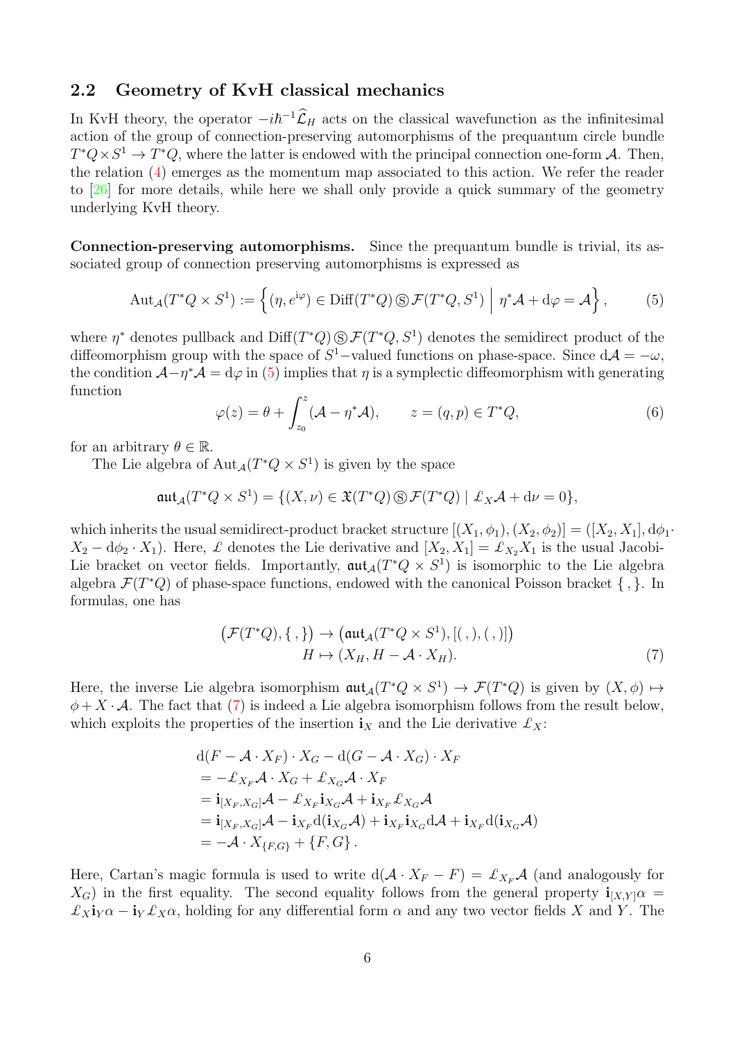### <span id="page-5-0"></span>2.2 Geometry of KvH classical mechanics

In KvH theory, the operator  $-i\hbar^{-1}\hat{\mathcal{L}}_H$  acts on the classical wavefunction as the infinitesimal action of the group of connection-preserving automorphisms of the prequantum circle bundle  $T^*Q \times S^1 \to T^*Q$ , where the latter is endowed with the principal connection one-form A. Then, the relation [\(4\)](#page-4-1) emerges as the momentum map associated to this action. We refer the reader to [\[26\]](#page-38-5) for more details, while here we shall only provide a quick summary of the geometry underlying KvH theory.

Connection-preserving automorphisms. Since the prequantum bundle is trivial, its associated group of connection preserving automorphisms is expressed as

<span id="page-5-1"></span>
$$
\text{Aut}_{\mathcal{A}}(T^*Q \times S^1) := \left\{ (\eta, e^{\mathrm{i}\varphi}) \in \text{Diff}(T^*Q) \,\textcircled{s} \,\mathcal{F}(T^*Q, S^1) \middle| \, \eta^* \mathcal{A} + \mathrm{d}\varphi = \mathcal{A} \right\},\tag{5}
$$

where  $\eta^*$  denotes pullback and  $\text{Diff}(T^*Q) \text{S} \mathcal{F}(T^*Q, S^1)$  denotes the semidirect product of the diffeomorphism group with the space of  $S^1$ -valued functions on phase-space. Since  $d\mathcal{A} = -\omega$ , the condition  $\mathcal{A}-\eta^*\mathcal{A}=\mathrm{d}\varphi$  in [\(5\)](#page-5-1) implies that  $\eta$  is a symplectic diffeomorphism with generating function

<span id="page-5-3"></span>
$$
\varphi(z) = \theta + \int_{z_0}^{z} (\mathcal{A} - \eta^* \mathcal{A}), \qquad z = (q, p) \in T^* Q,
$$
\n(6)

for an arbitrary  $\theta \in \mathbb{R}$ .

The Lie algebra of  $\text{Aut}_{\mathcal{A}}(T^*Q \times S^1)$  is given by the space

$$
\mathfrak{aut}_{\mathcal A}(T^*Q\times S^1)=\{(X,\nu)\in \mathfrak{X}(T^*Q)\,\circledS\,\mathcal{F}(T^*Q)\mid \pounds_X\mathcal{A}+d\nu=0\},
$$

which inherits the usual semidirect-product bracket structure  $[(X_1, \phi_1), (X_2, \phi_2)] = ([X_2, X_1], d\phi_1$  $X_2 - d\phi_2 \cdot X_1$ ). Here,  $\mathcal L$  denotes the Lie derivative and  $[X_2, X_1] = \mathcal L_{X_2} X_1$  is the usual Jacobi-Lie bracket on vector fields. Importantly,  $\operatorname{\mathfrak{aut}}_{\mathcal{A}}(T^*Q \times S^1)$  is isomorphic to the Lie algebra algebra  $\mathcal{F}(T^*Q)$  of phase-space functions, endowed with the canonical Poisson bracket  $\{\, ,\}$ . In formulas, one has

<span id="page-5-2"></span>
$$
\left(\mathcal{F}(T^*Q), \{\,,\}\right) \to \left(\operatorname{aut}_{\mathcal{A}}(T^*Q \times S^1), [(\,,), (\,,)]\right)
$$

$$
H \mapsto (X_H, H - \mathcal{A} \cdot X_H). \tag{7}
$$

Here, the inverse Lie algebra isomorphism  $\operatorname{aut}_{\mathcal{A}}(T^*Q \times S^1) \to \mathcal{F}(T^*Q)$  is given by  $(X,\phi) \mapsto$  $\phi + X \cdot A$ . The fact that [\(7\)](#page-5-2) is indeed a Lie algebra isomorphism follows from the result below, which exploits the properties of the insertion  $\mathbf{i}_X$  and the Lie derivative  $\mathcal{L}_X$ :

$$
d(F - A \cdot X_F) \cdot X_G - d(G - A \cdot X_G) \cdot X_F
$$
  
=  $- \mathcal{L}_{X_F} \mathcal{A} \cdot X_G + \mathcal{L}_{X_G} \mathcal{A} \cdot X_F$   
=  $\mathbf{i}_{[X_F, X_G]} \mathcal{A} - \mathcal{L}_{X_F} \mathbf{i}_{X_G} \mathcal{A} + \mathbf{i}_{X_F} \mathcal{L}_{X_G} \mathcal{A}$   
=  $\mathbf{i}_{[X_F, X_G]} \mathcal{A} - \mathbf{i}_{X_F} d(\mathbf{i}_{X_G} \mathcal{A}) + \mathbf{i}_{X_F} \mathbf{i}_{X_G} d\mathcal{A} + \mathbf{i}_{X_F} d(\mathbf{i}_{X_G} \mathcal{A})$   
=  $-\mathcal{A} \cdot X_{\{F, G\}} + \{F, G\}.$ 

Here, Cartan's magic formula is used to write  $d(\mathcal{A} \cdot X_F - F) = \pounds_{X_F} \mathcal{A}$  (and analogously for  $X_G$ ) in the first equality. The second equality follows from the general property  $\mathbf{i}_{[X,Y]}$   $\alpha$  $\mathcal{L}_X \mathbf{i}_Y \alpha - \mathbf{i}_Y \mathcal{L}_X \alpha$ , holding for any differential form  $\alpha$  and any two vector fields X and Y. The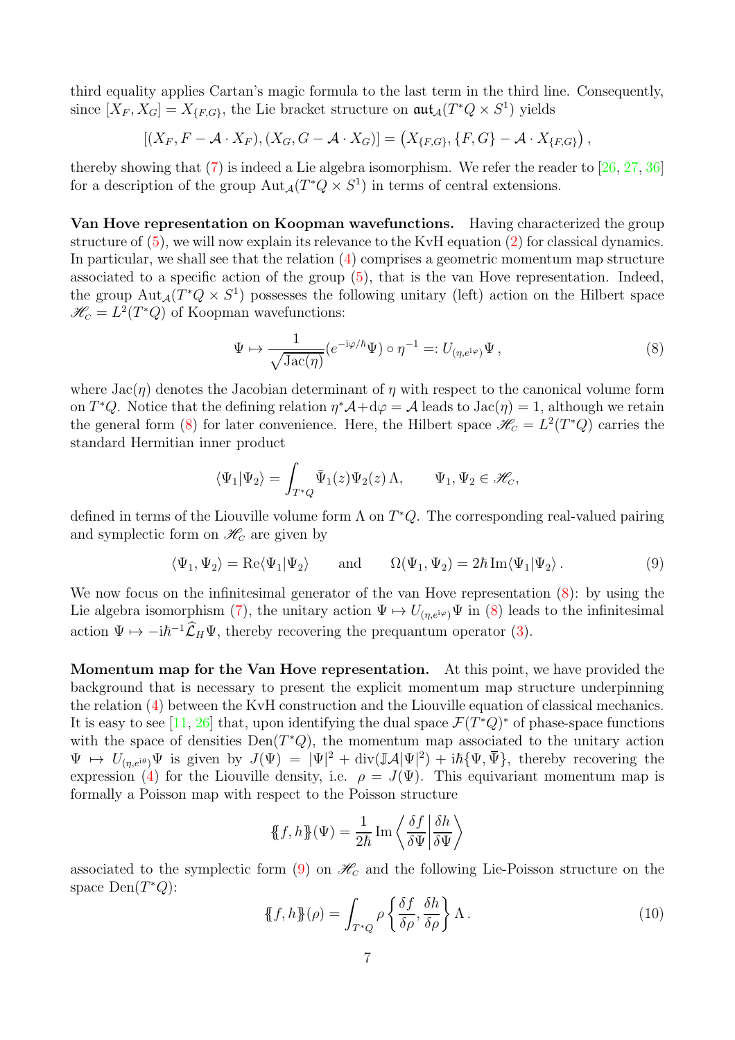third equality applies Cartan's magic formula to the last term in the third line. Consequently, since  $[X_F, X_G] = X_{\{F, G\}}$ , the Lie bracket structure on  $\mathfrak{aut}_{\mathcal{A}}(T^*Q \times S^1)$  yields

 $[(X_F, F - \mathcal{A} \cdot X_F), (X_G, G - \mathcal{A} \cdot X_G)] = (X_{\{F,G\}}, \{F, G\} - \mathcal{A} \cdot X_{\{F,G\}}),$ 

thereby showing that [\(7\)](#page-5-2) is indeed a Lie algebra isomorphism. We refer the reader to [\[26,](#page-38-5) [27,](#page-38-10) [36\]](#page-38-11) for a description of the group  $\text{Aut}_{\mathcal{A}}(T^*Q \times S^1)$  in terms of central extensions.

Van Hove representation on Koopman wavefunctions. Having characterized the group structure of [\(5\)](#page-5-1), we will now explain its relevance to the KvH equation [\(2\)](#page-4-0) for classical dynamics. In particular, we shall see that the relation  $(4)$  comprises a geometric momentum map structure associated to a specific action of the group [\(5\)](#page-5-1), that is the van Hove representation. Indeed, the group  $Aut_{\mathcal{A}}(T^*Q \times S^1)$  possesses the following unitary (left) action on the Hilbert space  $\mathcal{H}_c = L^2(T^*Q)$  of Koopman wavefunctions:

<span id="page-6-0"></span>
$$
\Psi \mapsto \frac{1}{\sqrt{\text{Jac}(\eta)}} (e^{-i\varphi/\hbar} \Psi) \circ \eta^{-1} =: U_{(\eta, e^{i\varphi})} \Psi , \qquad (8)
$$

where  $Jac(\eta)$  denotes the Jacobian determinant of  $\eta$  with respect to the canonical volume form on  $T^*Q$ . Notice that the defining relation  $\eta^*A + d\varphi = A$  leads to  $Jac(\eta) = 1$ , although we retain the general form [\(8\)](#page-6-0) for later convenience. Here, the Hilbert space  $\mathcal{H}_C = L^2(T^*Q)$  carries the standard Hermitian inner product

$$
\langle \Psi_1 | \Psi_2 \rangle = \int_{T^*Q} \bar{\Psi}_1(z) \Psi_2(z) \Lambda, \qquad \Psi_1, \Psi_2 \in \mathcal{H}_C,
$$

defined in terms of the Liouville volume form  $\Lambda$  on  $T^*Q$ . The corresponding real-valued pairing and symplectic form on  $\mathcal{H}_C$  are given by

<span id="page-6-1"></span>
$$
\langle \Psi_1, \Psi_2 \rangle = \text{Re}\langle \Psi_1 | \Psi_2 \rangle
$$
 and  $\Omega(\Psi_1, \Psi_2) = 2\hbar \text{Im}\langle \Psi_1 | \Psi_2 \rangle$ . (9)

We now focus on the infinitesimal generator of the van Hove representation  $(8)$ : by using the Lie algebra isomorphism [\(7\)](#page-5-2), the unitary action  $\Psi \mapsto U_{(\eta,e^{i\varphi})}\Psi$  in [\(8\)](#page-6-0) leads to the infinitesimal action  $\Psi \mapsto -i\hbar^{-1}\hat{\mathcal{L}}_H\Psi$ , thereby recovering the prequantum operator [\(3\)](#page-4-2).

Momentum map for the Van Hove representation. At this point, we have provided the background that is necessary to present the explicit momentum map structure underpinning the relation [\(4\)](#page-4-1) between the KvH construction and the Liouville equation of classical mechanics. It is easy to see [\[11,](#page-37-2) [26\]](#page-38-5) that, upon identifying the dual space  $\mathcal{F}(T^*Q)^*$  of phase-space functions with the space of densities  $Den(T^*Q)$ , the momentum map associated to the unitary action  $\Psi \mapsto U_{(\eta,e^{i\theta})}\Psi$  is given by  $J(\Psi) = |\Psi|^2 + \text{div}(\mathbb{J}A|\Psi|^2) + i\hbar\{\Psi,\bar{\Psi}\}\$ , thereby recovering the expression [\(4\)](#page-4-1) for the Liouville density, i.e.  $\rho = J(\Psi)$ . This equivariant momentum map is formally a Poisson map with respect to the Poisson structure

$$
\{\!\!\{f,h\}\!\!\}(\Psi) = \frac{1}{2\hbar} \operatorname{Im} \left\langle \frac{\delta f}{\delta \Psi} \middle| \frac{\delta h}{\delta \Psi} \right\rangle
$$

associated to the symplectic form [\(9\)](#page-6-1) on  $\mathcal{H}_C$  and the following Lie-Poisson structure on the space  $Den(T^*Q)$ :

<span id="page-6-2"></span>
$$
\{\!\!\{f,h\}\!\!\}(\rho) = \int_{T^*Q} \rho \left\{\frac{\delta f}{\delta \rho}, \frac{\delta h}{\delta \rho}\right\} \Lambda \,. \tag{10}
$$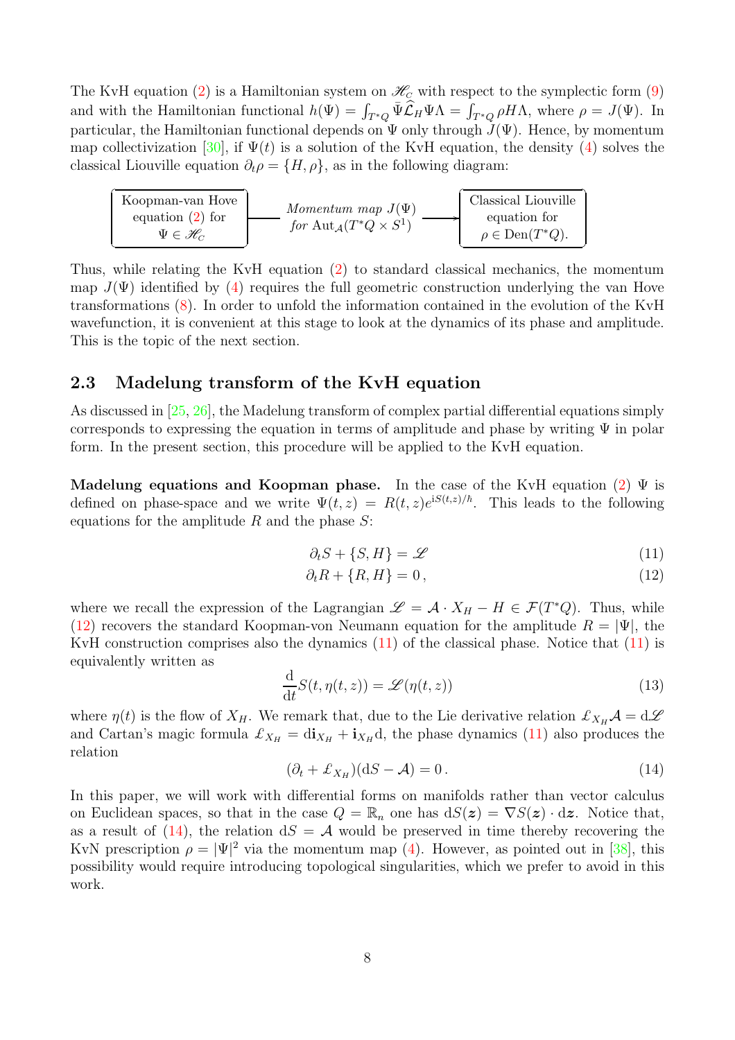The KvH equation [\(2\)](#page-4-0) is a Hamiltonian system on  $\mathcal{H}_C$  with respect to the symplectic form [\(9\)](#page-6-1) and with the Hamiltonian functional  $h(\Psi) = \int_{T^*Q} \bar{\Psi} \widehat{\mathcal{L}}_H \Psi \Lambda = \int_{T^*Q} \rho H \Lambda$ , where  $\rho = J(\Psi)$ . In particular, the Hamiltonian functional depends on  $\Psi$  only through  $J(\Psi)$ . Hence, by momentum map collectivization [\[30\]](#page-38-12), if  $\Psi(t)$  is a solution of the KvH equation, the density [\(4\)](#page-4-1) solves the classical Liouville equation  $\partial_t \rho = \{H, \rho\}$ , as in the following diagram:

| Koopman-van Hove<br>equation $(2)$ for | Momentum map $J(\Psi)$<br>for $\text{Aut}_{\mathcal{A}}(T^*Q\times S^1)$ | Classical Liouville<br>equation for<br>$\rho \in \text{Den}(T^*Q).$ |
|----------------------------------------|--------------------------------------------------------------------------|---------------------------------------------------------------------|
| $\Psi \in \mathscr{H}_C$               |                                                                          |                                                                     |

Thus, while relating the KvH equation [\(2\)](#page-4-0) to standard classical mechanics, the momentum map  $J(\Psi)$  identified by [\(4\)](#page-4-1) requires the full geometric construction underlying the van Hove transformations [\(8\)](#page-6-0). In order to unfold the information contained in the evolution of the KvH wavefunction, it is convenient at this stage to look at the dynamics of its phase and amplitude. This is the topic of the next section.

## <span id="page-7-0"></span>2.3 Madelung transform of the KvH equation

As discussed in [\[25,](#page-37-8) [26\]](#page-38-5), the Madelung transform of complex partial differential equations simply corresponds to expressing the equation in terms of amplitude and phase by writing  $\Psi$  in polar form. In the present section, this procedure will be applied to the KvH equation.

Madelung equations and Koopman phase. In the case of the KvH equation [\(2\)](#page-4-0)  $\Psi$  is defined on phase-space and we write  $\Psi(t, z) = R(t, z)e^{iS(t, z)/\hbar}$ . This leads to the following equations for the amplitude  $R$  and the phase  $S$ :

<span id="page-7-2"></span><span id="page-7-1"></span>
$$
\partial_t S + \{S, H\} = \mathcal{L} \tag{11}
$$

$$
\partial_t R + \{R, H\} = 0, \tag{12}
$$

where we recall the expression of the Lagrangian  $\mathscr{L} = \mathcal{A} \cdot X_H - H \in \mathcal{F}(T^*Q)$ . Thus, while [\(12\)](#page-7-1) recovers the standard Koopman-von Neumann equation for the amplitude  $R = |\Psi|$ , the KvH construction comprises also the dynamics  $(11)$  of the classical phase. Notice that  $(11)$  is equivalently written as

$$
\frac{\mathrm{d}}{\mathrm{d}t}S(t,\eta(t,z)) = \mathcal{L}(\eta(t,z))\tag{13}
$$

where  $\eta(t)$  is the flow of  $X_H$ . We remark that, due to the Lie derivative relation  $\mathcal{L}_{X_H} \mathcal{A} = d \mathcal{L}$ and Cartan's magic formula  $\mathcal{L}_{X_H} = \text{di}_{X_H} + \text{i}_{X_H} \text{d}$ , the phase dynamics [\(11\)](#page-7-2) also produces the relation

<span id="page-7-3"></span>
$$
(\partial_t + \mathcal{L}_{X_H})(dS - \mathcal{A}) = 0.
$$
\n(14)

In this paper, we will work with differential forms on manifolds rather than vector calculus on Euclidean spaces, so that in the case  $Q = \mathbb{R}_n$  one has  $dS(z) = \nabla S(z) \cdot dz$ . Notice that, as a result of [\(14\)](#page-7-3), the relation  $dS = A$  would be preserved in time thereby recovering the KvN prescription  $\rho = |\Psi|^2$  via the momentum map [\(4\)](#page-4-1). However, as pointed out in [\[38\]](#page-38-7), this possibility would require introducing topological singularities, which we prefer to avoid in this work.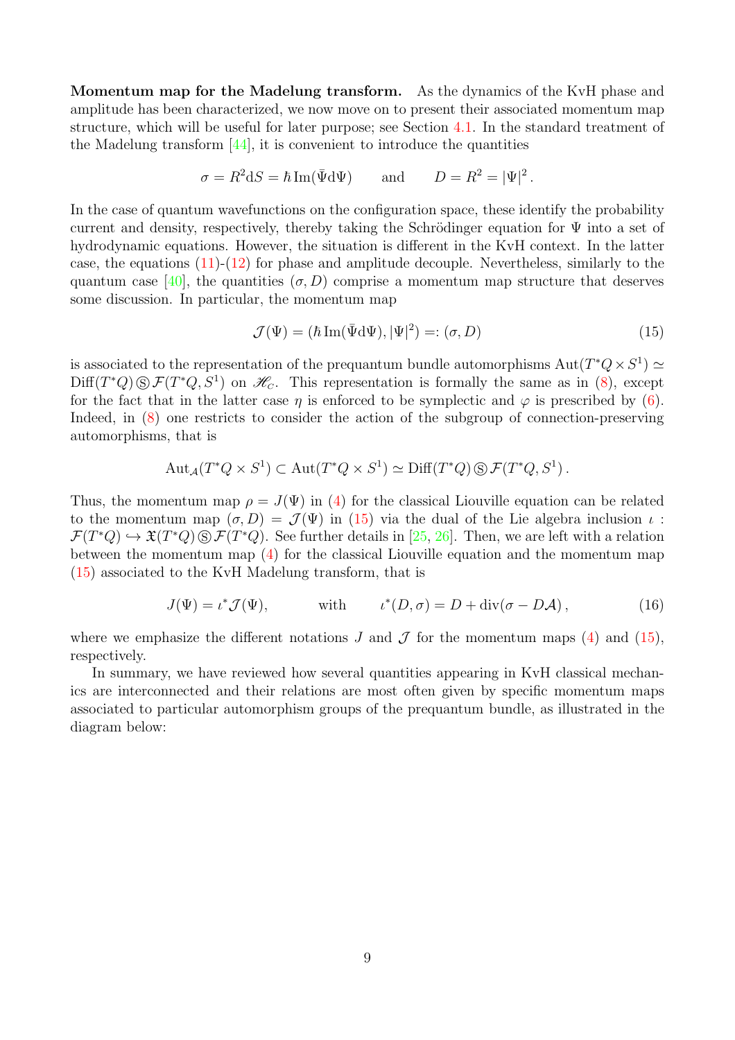Momentum map for the Madelung transform. As the dynamics of the KvH phase and amplitude has been characterized, we now move on to present their associated momentum map structure, which will be useful for later purpose; see Section [4.1.](#page-13-0) In the standard treatment of the Madelung transform [\[44\]](#page-39-14), it is convenient to introduce the quantities

$$
\sigma = R^2 dS = \hbar \operatorname{Im}(\bar{\Psi} d\Psi) \quad \text{and} \quad D = R^2 = |\Psi|^2.
$$

In the case of quantum wavefunctions on the configuration space, these identify the probability current and density, respectively, thereby taking the Schrödinger equation for  $\Psi$  into a set of hydrodynamic equations. However, the situation is different in the KvH context. In the latter case, the equations  $(11)-(12)$  $(11)-(12)$  for phase and amplitude decouple. Nevertheless, similarly to the quantum case [\[40\]](#page-38-13), the quantities  $(\sigma, D)$  comprise a momentum map structure that deserves some discussion. In particular, the momentum map

<span id="page-8-0"></span>
$$
\mathcal{J}(\Psi) = (\hbar \operatorname{Im}(\bar{\Psi} \mathrm{d}\Psi), |\Psi|^2) =: (\sigma, D) \tag{15}
$$

is associated to the representation of the prequantum bundle automorphisms  $Aut(T^*Q \times S^1) \simeq$  $Diff(T^*Q) \textcircled{s} \mathcal{F}(T^*Q, S^1)$  on  $\mathcal{H}_c$ . This representation is formally the same as in [\(8\)](#page-6-0), except for the fact that in the latter case  $\eta$  is enforced to be symplectic and  $\varphi$  is prescribed by [\(6\)](#page-5-3). Indeed, in [\(8\)](#page-6-0) one restricts to consider the action of the subgroup of connection-preserving automorphisms, that is

$$
\mathrm{Aut}_{\mathcal{A}}(T^*Q \times S^1) \subset \mathrm{Aut}(T^*Q \times S^1) \simeq \mathrm{Diff}(T^*Q) \,\circledS\, \mathcal{F}(T^*Q, S^1)\,.
$$

Thus, the momentum map  $\rho = J(\Psi)$  in [\(4\)](#page-4-1) for the classical Liouville equation can be related to the momentum map  $(\sigma, D) = \mathcal{J}(\Psi)$  in [\(15\)](#page-8-0) via the dual of the Lie algebra inclusion  $\iota$ :  $\mathcal{F}(T^*Q) \hookrightarrow \mathfrak{X}(T^*Q) \otimes \mathcal{F}(T^*Q)$ . See further details in [\[25,](#page-37-8) [26\]](#page-38-5). Then, we are left with a relation between the momentum map [\(4\)](#page-4-1) for the classical Liouville equation and the momentum map [\(15\)](#page-8-0) associated to the KvH Madelung transform, that is

<span id="page-8-1"></span>
$$
J(\Psi) = \iota^* \mathcal{J}(\Psi), \qquad \text{with} \qquad \iota^*(D, \sigma) = D + \text{div}(\sigma - D\mathcal{A}), \qquad (16)
$$

where we emphasize the different notations J and  $\mathcal J$  for the momentum maps [\(4\)](#page-4-1) and [\(15\)](#page-8-0), respectively.

In summary, we have reviewed how several quantities appearing in KvH classical mechanics are interconnected and their relations are most often given by specific momentum maps associated to particular automorphism groups of the prequantum bundle, as illustrated in the diagram below: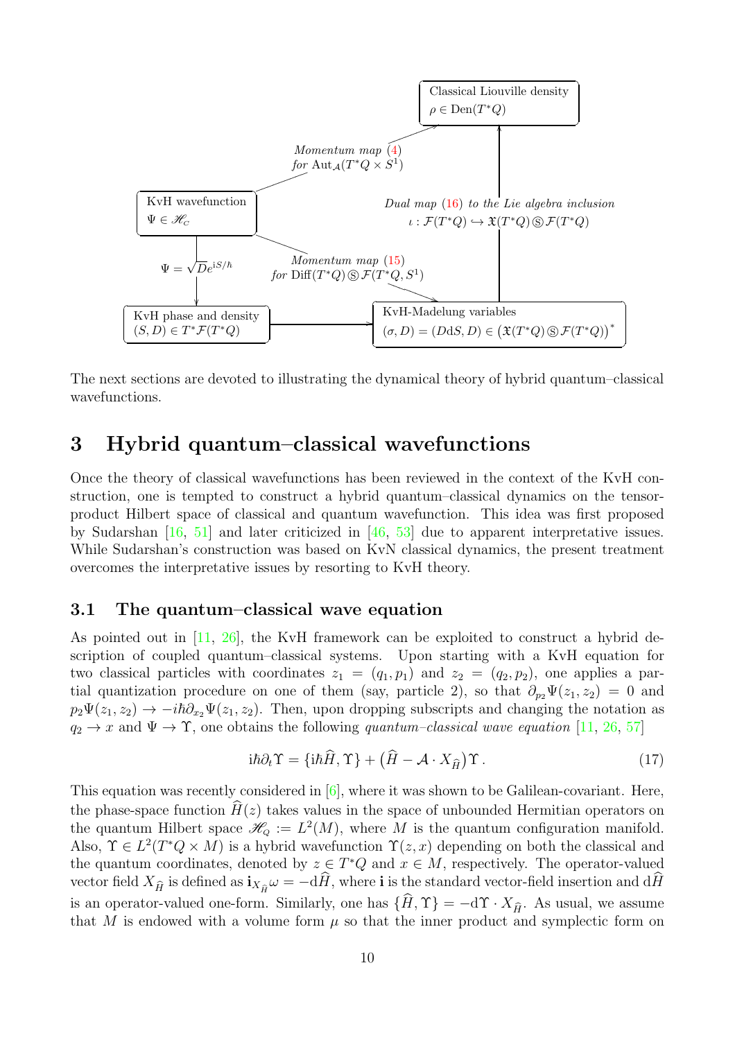

The next sections are devoted to illustrating the dynamical theory of hybrid quantum–classical wavefunctions.

## <span id="page-9-0"></span>3 Hybrid quantum–classical wavefunctions

Once the theory of classical wavefunctions has been reviewed in the context of the KvH construction, one is tempted to construct a hybrid quantum–classical dynamics on the tensorproduct Hilbert space of classical and quantum wavefunction. This idea was first proposed by Sudarshan [\[16,](#page-37-1) [51\]](#page-39-2) and later criticized in [\[46,](#page-39-4) [53\]](#page-39-5) due to apparent interpretative issues. While Sudarshan's construction was based on KvN classical dynamics, the present treatment overcomes the interpretative issues by resorting to KvH theory.

## <span id="page-9-1"></span>3.1 The quantum–classical wave equation

As pointed out in [\[11,](#page-37-2) [26\]](#page-38-5), the KvH framework can be exploited to construct a hybrid description of coupled quantum–classical systems. Upon starting with a KvH equation for two classical particles with coordinates  $z_1 = (q_1, p_1)$  and  $z_2 = (q_2, p_2)$ , one applies a partial quantization procedure on one of them (say, particle 2), so that  $\partial_{p_2}\Psi(z_1, z_2) = 0$  and  $p_2\Psi(z_1, z_2) \to -i\hbar\partial_{x_2}\Psi(z_1, z_2)$ . Then, upon dropping subscripts and changing the notation as  $q_2 \to x$  and  $\Psi \to \Upsilon$ , one obtains the following quantum–classical wave equation [\[11,](#page-37-2) [26,](#page-38-5) [57\]](#page-39-8)

<span id="page-9-2"></span>
$$
i\hbar \partial_t \Upsilon = \{i\hbar \hat{H}, \Upsilon\} + \left(\hat{H} - \mathcal{A} \cdot X_{\hat{H}}\right) \Upsilon. \tag{17}
$$

This equation was recently considered in [\[6\]](#page-36-6), where it was shown to be Galilean-covariant. Here, the phase-space function  $\hat{H}(z)$  takes values in the space of unbounded Hermitian operators on the quantum Hilbert space  $\mathcal{H}_Q := L^2(M)$ , where M is the quantum configuration manifold. Also,  $\Upsilon \in L^2(T^*Q \times M)$  is a hybrid wavefunction  $\Upsilon(z, x)$  depending on both the classical and the quantum coordinates, denoted by  $z \in T^*Q$  and  $x \in M$ , respectively. The operator-valued vector field  $X_{\hat{H}}$  is defined as  $i_{X_{\hat{H}}} \omega = -d\hat{H}$ , where i is the standard vector-field insertion and  $d\hat{H}$ is an operator-valued one-form. Similarly, one has  $\{H, \Upsilon\} = -d\Upsilon \cdot X_{\hat{H}}$ . As usual, we assume that M is endowed with a volume form  $\mu$  so that the inner product and symplectic form on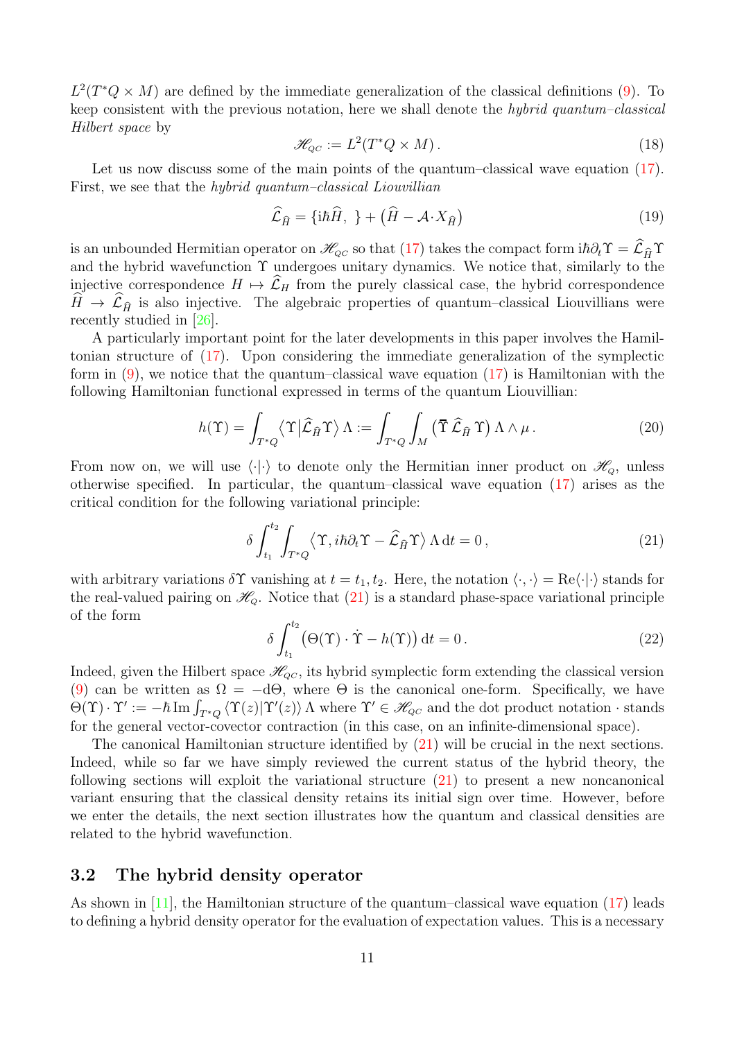$L^2(T^*Q \times M)$  are defined by the immediate generalization of the classical definitions [\(9\)](#page-6-1). To keep consistent with the previous notation, here we shall denote the hybrid quantum–classical Hilbert space by

$$
\mathcal{H}_{QC} := L^2(T^*Q \times M). \tag{18}
$$

Let us now discuss some of the main points of the quantum–classical wave equation [\(17\)](#page-9-2). First, we see that the *hybrid quantum–classical Liouvillian* 

<span id="page-10-3"></span>
$$
\widehat{\mathcal{L}}_{\widehat{H}} = \{ i\hbar \widehat{H}, \ \} + \left( \widehat{H} - \mathcal{A} \cdot X_{\widehat{H}} \right) \tag{19}
$$

is an unbounded Hermitian operator on  $\mathscr{H}_{\scriptscriptstyle{QC}}$  so that [\(17\)](#page-9-2) takes the compact form  $i\hbar \partial_t \Upsilon = \widehat{\mathcal{L}}_{\widehat{H}} \Upsilon$ and the hybrid wavefunction  $\Upsilon$  undergoes unitary dynamics. We notice that, similarly to the injective correspondence  $H \mapsto \mathcal{L}_H$  from the purely classical case, the hybrid correspondence  $H \to \mathcal{L}_{\hat{H}}$  is also injective. The algebraic properties of quantum–classical Liouvillians were recently studied in [\[26\]](#page-38-5).

A particularly important point for the later developments in this paper involves the Hamiltonian structure of [\(17\)](#page-9-2). Upon considering the immediate generalization of the symplectic form in  $(9)$ , we notice that the quantum–classical wave equation  $(17)$  is Hamiltonian with the following Hamiltonian functional expressed in terms of the quantum Liouvillian:

<span id="page-10-2"></span>
$$
h(\Upsilon) = \int_{T^*Q} \langle \Upsilon | \hat{\mathcal{L}}_{\hat{H}} \Upsilon \rangle \Lambda := \int_{T^*Q} \int_M (\overline{\Upsilon} \hat{\mathcal{L}}_{\hat{H}} \Upsilon) \Lambda \wedge \mu.
$$
 (20)

From now on, we will use  $\langle \cdot | \cdot \rangle$  to denote only the Hermitian inner product on  $\mathscr{H}_0$ , unless otherwise specified. In particular, the quantum–classical wave equation [\(17\)](#page-9-2) arises as the critical condition for the following variational principle:

<span id="page-10-1"></span>
$$
\delta \int_{t_1}^{t_2} \int_{T^*Q} \langle \Upsilon, i\hbar \partial_t \Upsilon - \widehat{\mathcal{L}}_{\widehat{H}} \Upsilon \rangle \Lambda \, \mathrm{d}t = 0, \tag{21}
$$

with arbitrary variations  $\delta \Upsilon$  vanishing at  $t = t_1, t_2$ . Here, the notation  $\langle \cdot, \cdot \rangle = \text{Re}\langle \cdot | \cdot \rangle$  stands for the real-valued pairing on  $\mathcal{H}_Q$ . Notice that [\(21\)](#page-10-1) is a standard phase-space variational principle of the form

<span id="page-10-4"></span>
$$
\delta \int_{t_1}^{t_2} \left( \Theta(\Upsilon) \cdot \dot{\Upsilon} - h(\Upsilon) \right) dt = 0.
$$
 (22)

Indeed, given the Hilbert space  $\mathcal{H}_{QC}$ , its hybrid symplectic form extending the classical version [\(9\)](#page-6-1) can be written as  $\Omega = -d\Theta$ , where  $\Theta$  is the canonical one-form. Specifically, we have  $\Theta(\Upsilon) \cdot \Upsilon' := -\hbar \, \text{Im} \int_{T^*Q} \langle \Upsilon(z) | \Upsilon'(z) \rangle \, \Lambda$  where  $\Upsilon' \in \mathcal{H}_{\scriptscriptstyle{QC}}$  and the dot product notation  $\cdot$  stands for the general vector-covector contraction (in this case, on an infinite-dimensional space).

The canonical Hamiltonian structure identified by [\(21\)](#page-10-1) will be crucial in the next sections. Indeed, while so far we have simply reviewed the current status of the hybrid theory, the following sections will exploit the variational structure [\(21\)](#page-10-1) to present a new noncanonical variant ensuring that the classical density retains its initial sign over time. However, before we enter the details, the next section illustrates how the quantum and classical densities are related to the hybrid wavefunction.

## <span id="page-10-0"></span>3.2 The hybrid density operator

As shown in [\[11\]](#page-37-2), the Hamiltonian structure of the quantum–classical wave equation [\(17\)](#page-9-2) leads to defining a hybrid density operator for the evaluation of expectation values. This is a necessary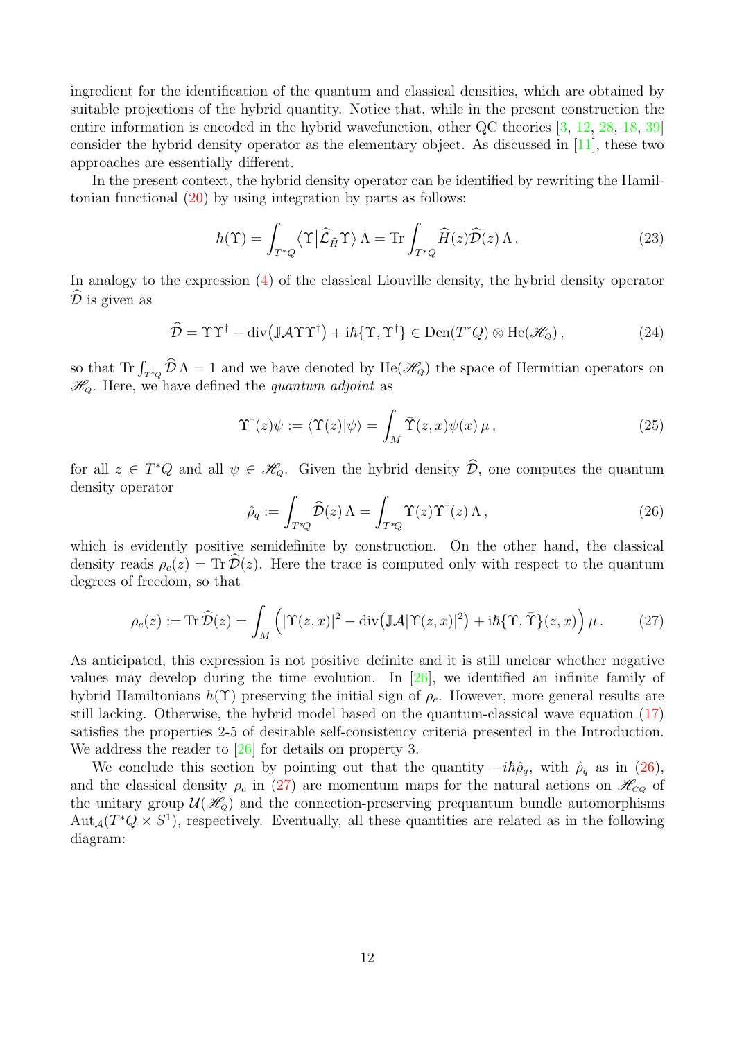ingredient for the identification of the quantum and classical densities, which are obtained by suitable projections of the hybrid quantity. Notice that, while in the present construction the entire information is encoded in the hybrid wavefunction, other QC theories [\[3,](#page-36-0) [12,](#page-37-0) [28,](#page-38-1) [18,](#page-37-3) [39\]](#page-38-2) consider the hybrid density operator as the elementary object. As discussed in [\[11\]](#page-37-2), these two approaches are essentially different.

In the present context, the hybrid density operator can be identified by rewriting the Hamiltonian functional [\(20\)](#page-10-2) by using integration by parts as follows:

<span id="page-11-3"></span>
$$
h(\Upsilon) = \int_{T^*Q} \langle \Upsilon | \hat{\mathcal{L}}_{\hat{H}} \Upsilon \rangle \Lambda = \text{Tr} \int_{T^*Q} \hat{H}(z) \hat{\mathcal{D}}(z) \Lambda. \tag{23}
$$

In analogy to the expression [\(4\)](#page-4-1) of the classical Liouville density, the hybrid density operator  $\mathcal D$  is given as

<span id="page-11-2"></span>
$$
\widehat{\mathcal{D}} = \Upsilon \Upsilon^{\dagger} - \text{div}(\mathbb{J} \mathcal{A} \Upsilon \Upsilon^{\dagger}) + i\hbar \{\Upsilon, \Upsilon^{\dagger}\} \in \text{Den}(T^*Q) \otimes \text{He}(\mathcal{H}_Q), \tag{24}
$$

so that  $\text{Tr} \int_{T^*Q} \widehat{D} \Lambda = 1$  and we have denoted by  $\text{He}(\mathcal{H}_Q)$  the space of Hermitian operators on  $\mathcal{H}_o$ . Here, we have defined the quantum adjoint as

$$
\Upsilon^{\dagger}(z)\psi := \langle \Upsilon(z)|\psi \rangle = \int_M \overline{\Upsilon}(z,x)\psi(x)\,\mu\,,\tag{25}
$$

for all  $z \in T^*Q$  and all  $\psi \in \mathcal{H}_Q$ . Given the hybrid density  $\widehat{\mathcal{D}}$ , one computes the quantum density operator

<span id="page-11-1"></span><span id="page-11-0"></span>
$$
\hat{\rho}_q := \int_{T^*Q} \widehat{\mathcal{D}}(z) \,\Lambda = \int_{T^*Q} \Upsilon(z) \Upsilon^\dagger(z) \,\Lambda \,, \tag{26}
$$

which is evidently positive semidefinite by construction. On the other hand, the classical density reads  $\rho_c(z) = \text{Tr} \mathcal{D}(z)$ . Here the trace is computed only with respect to the quantum degrees of freedom, so that

$$
\rho_c(z) := \text{Tr}\,\widehat{\mathcal{D}}(z) = \int_M \left( |\Upsilon(z,x)|^2 - \text{div}\big(\mathbb{J}\mathcal{A}|\Upsilon(z,x)|^2\big) + i\hbar\{\Upsilon,\overline{\Upsilon}\}(z,x) \right) \mu. \tag{27}
$$

As anticipated, this expression is not positive–definite and it is still unclear whether negative values may develop during the time evolution. In [\[26\]](#page-38-5), we identified an infinite family of hybrid Hamiltonians  $h(\Upsilon)$  preserving the initial sign of  $\rho_c$ . However, more general results are still lacking. Otherwise, the hybrid model based on the quantum-classical wave equation [\(17\)](#page-9-2) satisfies the properties 2-5 of desirable self-consistency criteria presented in the Introduction. We address the reader to [\[26\]](#page-38-5) for details on property 3.

We conclude this section by pointing out that the quantity  $-i\hbar\hat{\rho}_q$ , with  $\hat{\rho}_q$  as in [\(26\)](#page-11-0), and the classical density  $\rho_c$  in [\(27\)](#page-11-1) are momentum maps for the natural actions on  $\mathscr{H}_{CQ}$  of the unitary group  $\mathcal{U}(\mathcal{H}_{\alpha})$  and the connection-preserving prequantum bundle automorphisms Aut<sub>A</sub>( $T^*Q \times S^1$ ), respectively. Eventually, all these quantities are related as in the following diagram: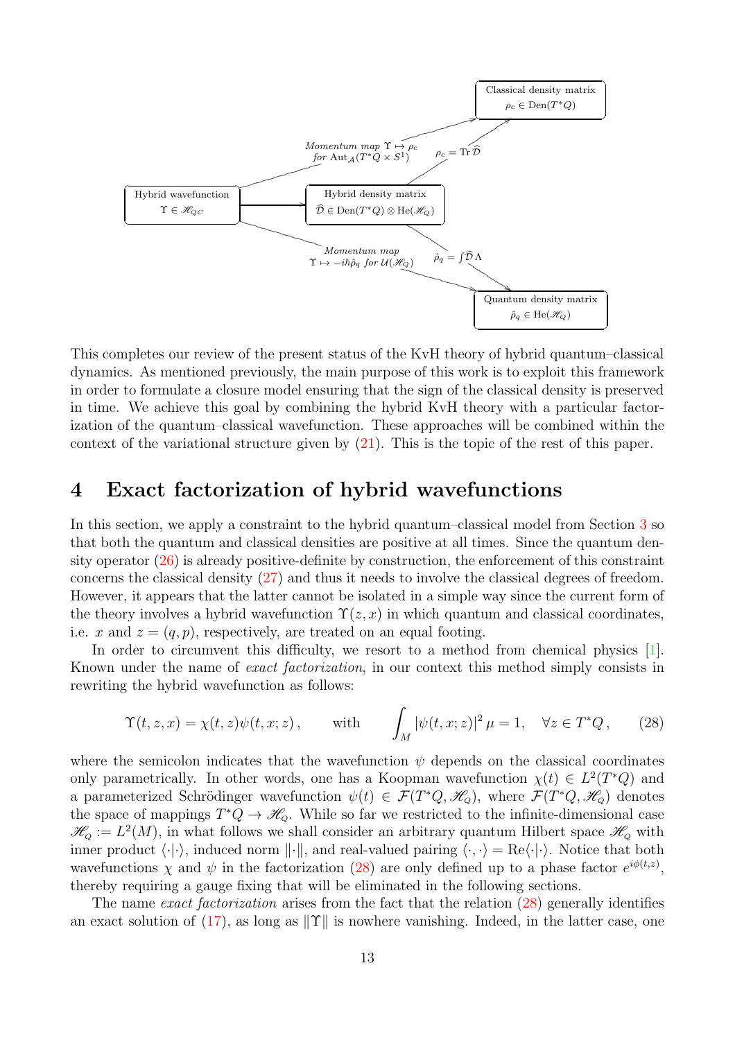

This completes our review of the present status of the KvH theory of hybrid quantum–classical dynamics. As mentioned previously, the main purpose of this work is to exploit this framework in order to formulate a closure model ensuring that the sign of the classical density is preserved in time. We achieve this goal by combining the hybrid KvH theory with a particular factorization of the quantum–classical wavefunction. These approaches will be combined within the context of the variational structure given by  $(21)$ . This is the topic of the rest of this paper.

## <span id="page-12-0"></span>4 Exact factorization of hybrid wavefunctions

In this section, we apply a constraint to the hybrid quantum–classical model from Section [3](#page-9-0) so that both the quantum and classical densities are positive at all times. Since the quantum density operator  $(26)$  is already positive-definite by construction, the enforcement of this constraint concerns the classical density [\(27\)](#page-11-1) and thus it needs to involve the classical degrees of freedom. However, it appears that the latter cannot be isolated in a simple way since the current form of the theory involves a hybrid wavefunction  $\Upsilon(z, x)$  in which quantum and classical coordinates, i.e. x and  $z = (q, p)$ , respectively, are treated on an equal footing.

In order to circumvent this difficulty, we resort to a method from chemical physics [\[1\]](#page-36-4). Known under the name of exact factorization, in our context this method simply consists in rewriting the hybrid wavefunction as follows:

<span id="page-12-1"></span>
$$
\Upsilon(t, z, x) = \chi(t, z)\psi(t, x; z), \quad \text{with} \quad \int_M |\psi(t, x; z)|^2 \mu = 1, \quad \forall z \in T^*Q, \quad (28)
$$

where the semicolon indicates that the wavefunction  $\psi$  depends on the classical coordinates only parametrically. In other words, one has a Koopman wavefunction  $\chi(t) \in L^2(T^*Q)$  and a parameterized Schrödinger wavefunction  $\psi(t) \in \mathcal{F}(T^*Q, \mathcal{H}_Q)$ , where  $\mathcal{F}(T^*Q, \mathcal{H}_Q)$  denotes the space of mappings  $T^*Q \to \mathscr{H}_{Q}$ . While so far we restricted to the infinite-dimensional case  $\mathscr{H}_{Q} := L^{2}(M)$ , in what follows we shall consider an arbitrary quantum Hilbert space  $\mathscr{H}_{Q}$  with inner product  $\langle \cdot | \cdot \rangle$ , induced norm  $\| \cdot \|$ , and real-valued pairing  $\langle \cdot, \cdot \rangle = \text{Re}\langle \cdot | \cdot \rangle$ . Notice that both wavefunctions  $\chi$  and  $\psi$  in the factorization [\(28\)](#page-12-1) are only defined up to a phase factor  $e^{i\phi(t,z)}$ , thereby requiring a gauge fixing that will be eliminated in the following sections.

The name *exact factorization* arises from the fact that the relation [\(28\)](#page-12-1) generally identifies an exact solution of [\(17\)](#page-9-2), as long as  $\|\Upsilon\|$  is nowhere vanishing. Indeed, in the latter case, one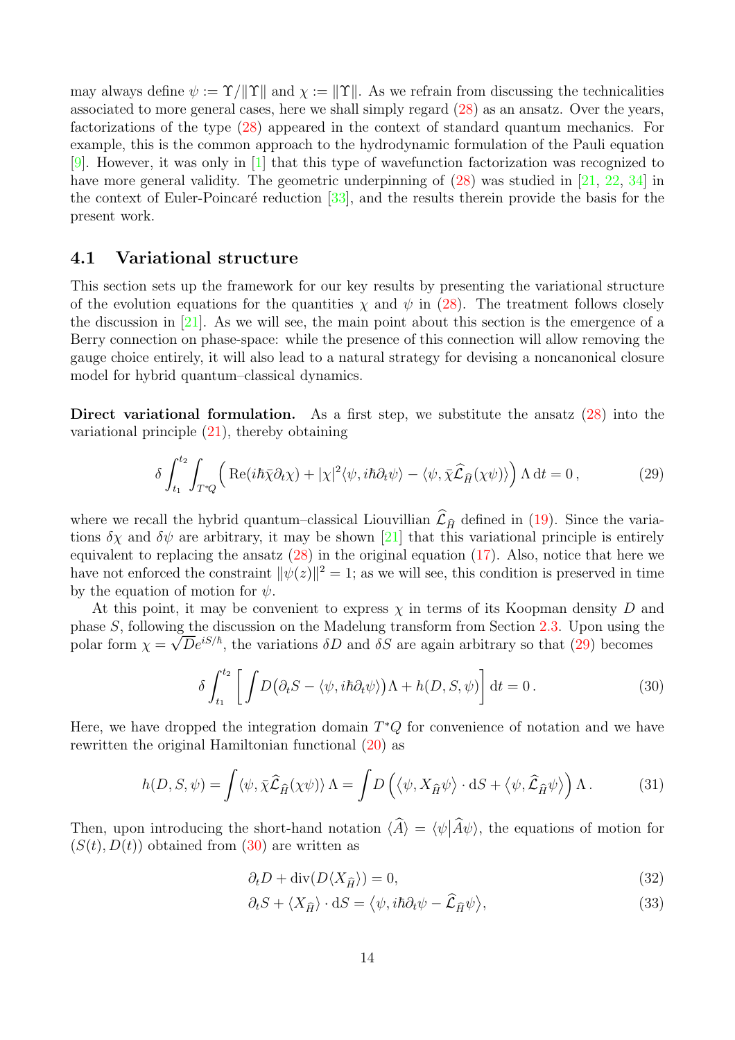may always define  $\psi := \Upsilon / \| \Upsilon \|$  and  $\chi := \| \Upsilon \|$ . As we refrain from discussing the technicalities associated to more general cases, here we shall simply regard [\(28\)](#page-12-1) as an ansatz. Over the years, factorizations of the type [\(28\)](#page-12-1) appeared in the context of standard quantum mechanics. For example, this is the common approach to the hydrodynamic formulation of the Pauli equation [\[9\]](#page-37-9). However, it was only in [\[1\]](#page-36-4) that this type of wavefunction factorization was recognized to have more general validity. The geometric underpinning of  $(28)$  was studied in [\[21,](#page-37-10) [22,](#page-37-11) [34\]](#page-38-14) in the context of Euler-Poincaré reduction  $[33]$ , and the results therein provide the basis for the present work.

## <span id="page-13-0"></span>4.1 Variational structure

This section sets up the framework for our key results by presenting the variational structure of the evolution equations for the quantities  $\chi$  and  $\psi$  in [\(28\)](#page-12-1). The treatment follows closely the discussion in  $[21]$ . As we will see, the main point about this section is the emergence of a Berry connection on phase-space: while the presence of this connection will allow removing the gauge choice entirely, it will also lead to a natural strategy for devising a noncanonical closure model for hybrid quantum–classical dynamics.

Direct variational formulation. As a first step, we substitute the ansatz  $(28)$  into the variational principle [\(21\)](#page-10-1), thereby obtaining

<span id="page-13-1"></span>
$$
\delta \int_{t_1}^{t_2} \int_{T^*Q} \left( \text{Re}(i\hbar \bar{\chi} \partial_t \chi) + |\chi|^2 \langle \psi, i\hbar \partial_t \psi \rangle - \langle \psi, \bar{\chi} \widehat{\mathcal{L}}_{\widehat{H}}(\chi \psi) \rangle \right) \Lambda \, \mathrm{d}t = 0 \,, \tag{29}
$$

where we recall the hybrid quantum–classical Liouvillian  $\mathcal{L}_{\hat{H}}$  defined in [\(19\)](#page-10-3). Since the variations  $\delta \chi$  and  $\delta \psi$  are arbitrary, it may be shown [\[21\]](#page-37-10) that this variational principle is entirely equivalent to replacing the ansatz  $(28)$  in the original equation  $(17)$ . Also, notice that here we have not enforced the constraint  $\|\psi(z)\|^2 = 1$ ; as we will see, this condition is preserved in time by the equation of motion for  $\psi$ .

At this point, it may be convenient to express  $\chi$  in terms of its Koopman density D and phase S, following the discussion on the Madelung transform from Section [2.3.](#page-7-0) Upon using the phase B; the will generalize the variations  $\delta D$  and  $\delta S$  are again arbitrary so that [\(29\)](#page-13-1) becomes

<span id="page-13-2"></span>
$$
\delta \int_{t_1}^{t_2} \left[ \int D(\partial_t S - \langle \psi, i\hbar \partial_t \psi \rangle) \Lambda + h(D, S, \psi) \right] dt = 0.
$$
 (30)

Here, we have dropped the integration domain  $T^*Q$  for convenience of notation and we have rewritten the original Hamiltonian functional [\(20\)](#page-10-2) as

$$
h(D, S, \psi) = \int \langle \psi, \bar{\chi} \widehat{\mathcal{L}}_{\widehat{H}}(\chi \psi) \rangle \Lambda = \int D\left(\langle \psi, X_{\widehat{H}} \psi \rangle \cdot dS + \langle \psi, \widehat{\mathcal{L}}_{\widehat{H}} \psi \rangle\right) \Lambda. \tag{31}
$$

Then, upon introducing the short-hand notation  $\langle \hat{A} \rangle = \langle \psi | \hat{A} \psi \rangle$ , the equations of motion for  $(S(t), D(t))$  obtained from [\(30\)](#page-13-2) are written as

<span id="page-13-5"></span><span id="page-13-4"></span><span id="page-13-3"></span>
$$
\partial_t D + \operatorname{div}(D \langle X_{\hat{H}} \rangle) = 0,\tag{32}
$$

$$
\partial_t S + \langle X_{\hat{H}} \rangle \cdot dS = \langle \psi, i\hbar \partial_t \psi - \hat{\mathcal{L}}_{\hat{H}} \psi \rangle,
$$
\n(33)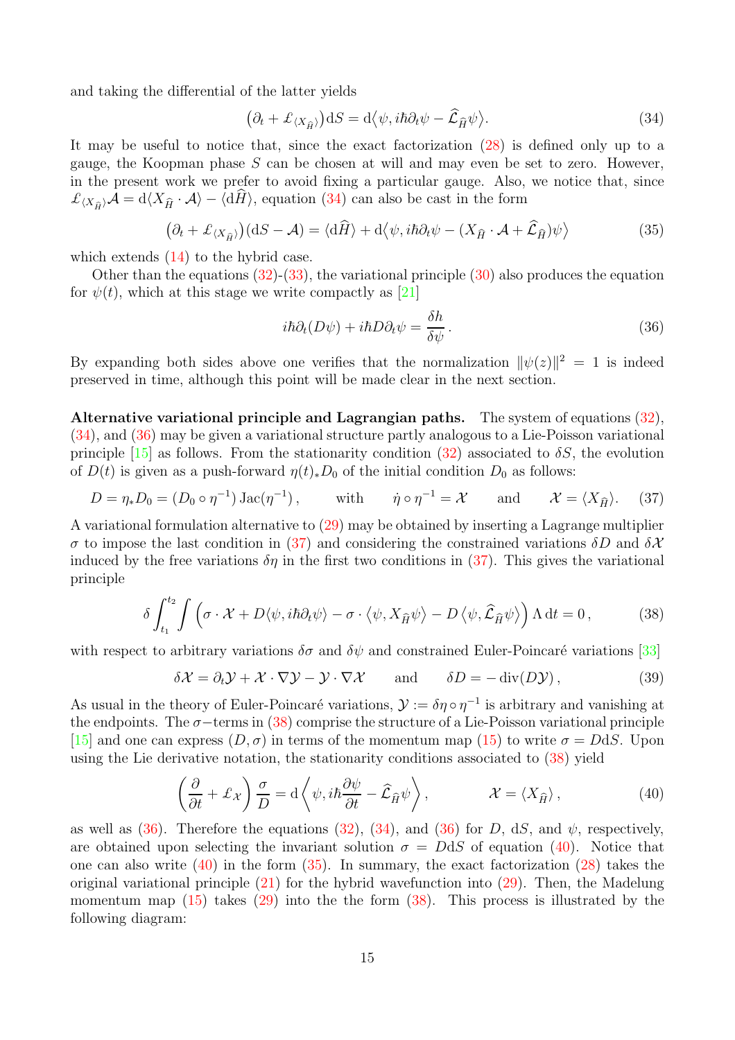and taking the differential of the latter yields

<span id="page-14-0"></span>
$$
(\partial_t + \mathcal{L}_{\langle X_{\hat{H}} \rangle}) dS = d \langle \psi, i\hbar \partial_t \psi - \hat{\mathcal{L}}_{\hat{H}} \psi \rangle.
$$
 (34)

It may be useful to notice that, since the exact factorization [\(28\)](#page-12-1) is defined only up to a gauge, the Koopman phase  $S$  can be chosen at will and may even be set to zero. However, in the present work we prefer to avoid fixing a particular gauge. Also, we notice that, since  $\mathcal{L}_{X_{\hat{H}}}\mathcal{A} = d\langle X_{\hat{H}}\cdot \mathcal{A}\rangle - \langle d\hat{H}\rangle$ , equation [\(34\)](#page-14-0) can also be cast in the form

<span id="page-14-5"></span>
$$
(\partial_t + \mathcal{L}_{\langle X_{\hat{H}} \rangle})(dS - \mathcal{A}) = \langle d\hat{H} \rangle + d\langle \psi, i\hbar \partial_t \psi - (X_{\hat{H}} \cdot \mathcal{A} + \hat{\mathcal{L}}_{\hat{H}}) \psi \rangle \tag{35}
$$

which extends  $(14)$  to the hybrid case.

Other than the equations  $(32)-(33)$  $(32)-(33)$ , the variational principle  $(30)$  also produces the equation for  $\psi(t)$ , which at this stage we write compactly as [\[21\]](#page-37-10)

<span id="page-14-1"></span>
$$
i\hbar\partial_t(D\psi) + i\hbar D\partial_t\psi = \frac{\delta h}{\delta\psi}.
$$
\n(36)

By expanding both sides above one verifies that the normalization  $\|\psi(z)\|^2 = 1$  is indeed preserved in time, although this point will be made clear in the next section.

Alternative variational principle and Lagrangian paths. The system of equations [\(32\)](#page-13-3), [\(34\)](#page-14-0), and [\(36\)](#page-14-1) may be given a variational structure partly analogous to a Lie-Poisson variational principle [\[15\]](#page-37-12) as follows. From the stationarity condition [\(32\)](#page-13-3) associated to  $\delta S$ , the evolution of  $D(t)$  is given as a push-forward  $\eta(t)_*D_0$  of the initial condition  $D_0$  as follows:

<span id="page-14-2"></span>
$$
D = \eta_* D_0 = (D_0 \circ \eta^{-1}) \operatorname{Jac}(\eta^{-1}), \quad \text{with} \quad \dot{\eta} \circ \eta^{-1} = \mathcal{X} \quad \text{and} \quad \mathcal{X} = \langle X_{\widehat{H}} \rangle. \tag{37}
$$

A variational formulation alternative to [\(29\)](#page-13-1) may be obtained by inserting a Lagrange multiplier σ to impose the last condition in [\(37\)](#page-14-2) and considering the constrained variations δD and  $\delta X$ induced by the free variations  $\delta\eta$  in the first two conditions in [\(37\)](#page-14-2). This gives the variational principle

<span id="page-14-3"></span>
$$
\delta \int_{t_1}^{t_2} \int \left( \sigma \cdot \mathcal{X} + D \langle \psi, i\hbar \partial_t \psi \rangle - \sigma \cdot \langle \psi, X_{\widehat{H}} \psi \rangle - D \langle \psi, \widehat{\mathcal{L}}_{\widehat{H}} \psi \rangle \right) \Lambda dt = 0, \tag{38}
$$

with respect to arbitrary variations  $\delta\sigma$  and  $\delta\psi$  and constrained Euler-Poincaré variations [\[33\]](#page-38-15)

$$
\delta \mathcal{X} = \partial_t \mathcal{Y} + \mathcal{X} \cdot \nabla \mathcal{Y} - \mathcal{Y} \cdot \nabla \mathcal{X} \quad \text{and} \quad \delta D = -\operatorname{div}(D \mathcal{Y}), \tag{39}
$$

As usual in the theory of Euler-Poincaré variations,  $\mathcal{Y} := \delta \eta \circ \eta^{-1}$  is arbitrary and vanishing at the endpoints. The  $\sigma$ −terms in [\(38\)](#page-14-3) comprise the structure of a Lie-Poisson variational principle [\[15\]](#page-37-12) and one can express  $(D, \sigma)$  in terms of the momentum map [\(15\)](#page-8-0) to write  $\sigma = DdS$ . Upon using the Lie derivative notation, the stationarity conditions associated to [\(38\)](#page-14-3) yield

<span id="page-14-4"></span>
$$
\left(\frac{\partial}{\partial t} + \mathcal{L}_{\mathcal{X}}\right) \frac{\sigma}{D} = d \left\langle \psi, i\hbar \frac{\partial \psi}{\partial t} - \hat{\mathcal{L}}_{\hat{H}} \psi \right\rangle, \qquad \mathcal{X} = \langle X_{\hat{H}} \rangle, \qquad (40)
$$

as well as [\(36\)](#page-14-1). Therefore the equations [\(32\)](#page-13-3), [\(34\)](#page-14-0), and (36) for D, dS, and  $\psi$ , respectively, are obtained upon selecting the invariant solution  $\sigma = DdS$  of equation [\(40\)](#page-14-4). Notice that one can also write  $(40)$  in the form  $(35)$ . In summary, the exact factorization  $(28)$  takes the original variational principle  $(21)$  for the hybrid wavefunction into  $(29)$ . Then, the Madelung momentum map  $(15)$  takes  $(29)$  into the the form  $(38)$ . This process is illustrated by the following diagram: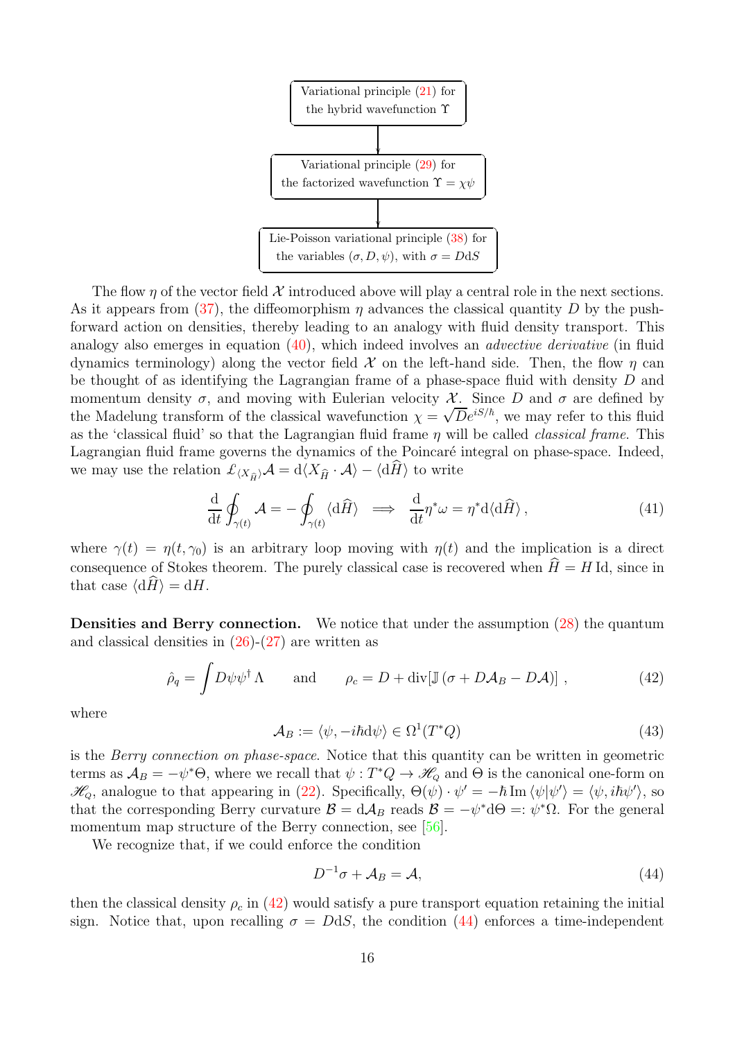

The flow  $\eta$  of the vector field X introduced above will play a central role in the next sections. As it appears from [\(37\)](#page-14-2), the diffeomorphism  $\eta$  advances the classical quantity D by the pushforward action on densities, thereby leading to an analogy with fluid density transport. This analogy also emerges in equation  $(40)$ , which indeed involves an *advective derivative* (in fluid dynamics terminology) along the vector field  $\mathcal X$  on the left-hand side. Then, the flow  $\eta$  can be thought of as identifying the Lagrangian frame of a phase-space fluid with density D and momentum density  $\sigma$ , and moving with Eulerian velocity X. Since D and  $\sigma$  are defined by the Madelung transform of the classical wavefunction  $\chi = \sqrt{D}e^{iS/\hbar}$ , we may refer to this fluid as the 'classical fluid' so that the Lagrangian fluid frame  $\eta$  will be called *classical frame*. This Lagrangian fluid frame governs the dynamics of the Poincaré integral on phase-space. Indeed, we may use the relation  $\mathcal{L}_{\langle X_{\hat{H}}\rangle}\mathcal{A} = d\langle X_{\hat{H}}\cdot \mathcal{A}\rangle - \langle d\hat{H}\rangle$  to write

<span id="page-15-3"></span>
$$
\frac{\mathrm{d}}{\mathrm{d}t} \oint_{\gamma(t)} \mathcal{A} = -\oint_{\gamma(t)} \langle \mathrm{d}\widehat{H} \rangle \implies \frac{\mathrm{d}}{\mathrm{d}t} \eta^* \omega = \eta^* \mathrm{d} \langle \mathrm{d}\widehat{H} \rangle, \tag{41}
$$

where  $\gamma(t) = \eta(t, \gamma_0)$  is an arbitrary loop moving with  $\eta(t)$  and the implication is a direct consequence of Stokes theorem. The purely classical case is recovered when  $\hat{H} = H$  Id, since in that case  $\langle dH \rangle = dH$ .

Densities and Berry connection. We notice that under the assumption [\(28\)](#page-12-1) the quantum and classical densities in  $(26)-(27)$  $(26)-(27)$  are written as

<span id="page-15-0"></span>
$$
\hat{\rho}_q = \int D\psi \psi^\dagger \Lambda \quad \text{and} \quad \rho_c = D + \text{div}[\mathbb{J}(\sigma + D\mathcal{A}_B - D\mathcal{A})], \qquad (42)
$$

where

<span id="page-15-2"></span>
$$
\mathcal{A}_B := \langle \psi, -i\hbar \mathrm{d}\psi \rangle \in \Omega^1(T^*Q) \tag{43}
$$

is the Berry connection on phase-space. Notice that this quantity can be written in geometric terms as  $\mathcal{A}_B = -\psi^*\Theta$ , where we recall that  $\psi: T^*Q \to \mathscr{H}_Q$  and  $\Theta$  is the canonical one-form on  $\mathscr{H}_{Q}$ , analogue to that appearing in [\(22\)](#page-10-4). Specifically,  $\Theta(\psi) \cdot \psi' = -\hbar \operatorname{Im} \langle \psi | \psi' \rangle = \langle \psi, i\hbar \psi' \rangle$ , so that the corresponding Berry curvature  $\mathcal{B} = d\mathcal{A}_B$  reads  $\mathcal{B} = -\psi^* d\Theta =: \psi^* \Omega$ . For the general momentum map structure of the Berry connection, see [\[56\]](#page-39-15).

We recognize that, if we could enforce the condition

<span id="page-15-1"></span>
$$
D^{-1}\sigma + \mathcal{A}_B = \mathcal{A},\tag{44}
$$

then the classical density  $\rho_c$  in [\(42\)](#page-15-0) would satisfy a pure transport equation retaining the initial sign. Notice that, upon recalling  $\sigma = DdS$ , the condition [\(44\)](#page-15-1) enforces a time-independent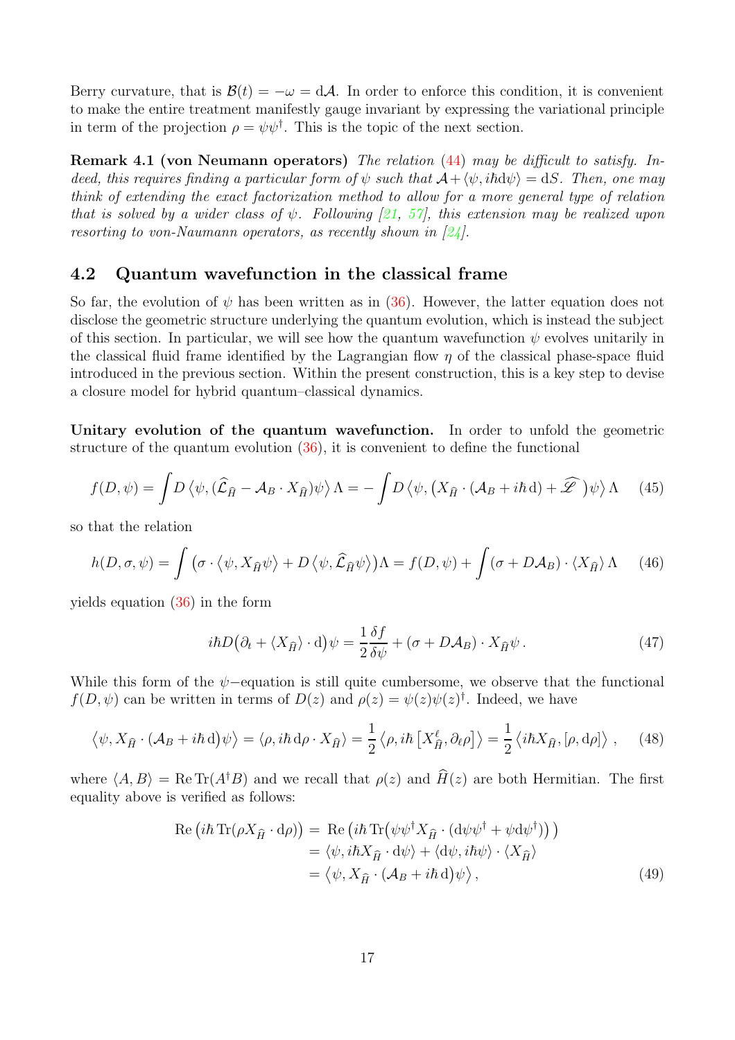Berry curvature, that is  $\mathcal{B}(t) = -\omega = d\mathcal{A}$ . In order to enforce this condition, it is convenient to make the entire treatment manifestly gauge invariant by expressing the variational principle in term of the projection  $\rho = \psi \psi^{\dagger}$ . This is the topic of the next section.

Remark 4.1 (von Neumann operators) The relation [\(44\)](#page-15-1) may be difficult to satisfy. Indeed, this requires finding a particular form of  $\psi$  such that  $\mathcal{A}+\langle \psi, i\hbar d\psi \rangle = dS$ . Then, one may think of extending the exact factorization method to allow for a more general type of relation that is solved by a wider class of  $\psi$ . Following [\[21,](#page-37-10) [57\]](#page-39-8), this extension may be realized upon resorting to von-Naumann operators, as recently shown in  $[24]$ .

## <span id="page-16-0"></span>4.2 Quantum wavefunction in the classical frame

So far, the evolution of  $\psi$  has been written as in [\(36\)](#page-14-1). However, the latter equation does not disclose the geometric structure underlying the quantum evolution, which is instead the subject of this section. In particular, we will see how the quantum wavefunction  $\psi$  evolves unitarily in the classical fluid frame identified by the Lagrangian flow  $\eta$  of the classical phase-space fluid introduced in the previous section. Within the present construction, this is a key step to devise a closure model for hybrid quantum–classical dynamics.

Unitary evolution of the quantum wavefunction. In order to unfold the geometric structure of the quantum evolution [\(36\)](#page-14-1), it is convenient to define the functional

<span id="page-16-1"></span>
$$
f(D,\psi) = \int D\left\langle \psi, (\hat{\mathcal{L}}_{\hat{H}} - \mathcal{A}_B \cdot X_{\hat{H}}) \psi \right\rangle \Lambda = -\int D\left\langle \psi, \left( X_{\hat{H}} \cdot (\mathcal{A}_B + i\hbar d) + \widehat{\mathscr{L}} \right) \psi \right\rangle \Lambda \tag{45}
$$

so that the relation

$$
h(D, \sigma, \psi) = \int (\sigma \cdot \langle \psi, X_{\hat{H}} \psi \rangle + D \langle \psi, \hat{\mathcal{L}}_{\hat{H}} \psi \rangle) \Lambda = f(D, \psi) + \int (\sigma + D\mathcal{A}_B) \cdot \langle X_{\hat{H}} \rangle \Lambda \tag{46}
$$

yields equation [\(36\)](#page-14-1) in the form

<span id="page-16-2"></span>
$$
i\hbar D(\partial_t + \langle X_{\hat{H}} \rangle \cdot d)\psi = \frac{1}{2} \frac{\delta f}{\delta \psi} + (\sigma + D\mathcal{A}_B) \cdot X_{\hat{H}} \psi. \tag{47}
$$

While this form of the  $\psi$ -equation is still quite cumbersome, we observe that the functional  $f(D, \psi)$  can be written in terms of  $D(z)$  and  $\rho(z) = \psi(z)\psi(z)^{\dagger}$ . Indeed, we have

$$
\langle \psi, X_{\hat{H}} \cdot (\mathcal{A}_B + i\hbar d)\psi \rangle = \langle \rho, i\hbar d\rho \cdot X_{\hat{H}} \rangle = \frac{1}{2} \langle \rho, i\hbar \left[ X_{\hat{H}}^{\ell}, \partial_{\ell}\rho \right] \rangle = \frac{1}{2} \langle i\hbar X_{\hat{H}}, [\rho, d\rho] \rangle , \quad (48)
$$

where  $\langle A, B \rangle = \text{Re Tr}(A^{\dagger}B)$  and we recall that  $\rho(z)$  and  $\widehat{H}(z)$  are both Hermitian. The first equality above is verified as follows:

$$
Re (i\hbar Tr(\rho X_{\hat{H}} \cdot d\rho)) = Re (i\hbar Tr(\psi \psi^{\dagger} X_{\hat{H}} \cdot (d\psi \psi^{\dagger} + \psi d\psi^{\dagger})) )
$$
  

$$
= \langle \psi, i\hbar X_{\hat{H}} \cdot d\psi \rangle + \langle d\psi, i\hbar \psi \rangle \cdot \langle X_{\hat{H}} \rangle
$$
  

$$
= \langle \psi, X_{\hat{H}} \cdot (A_B + i\hbar d)\psi \rangle,
$$
 (49)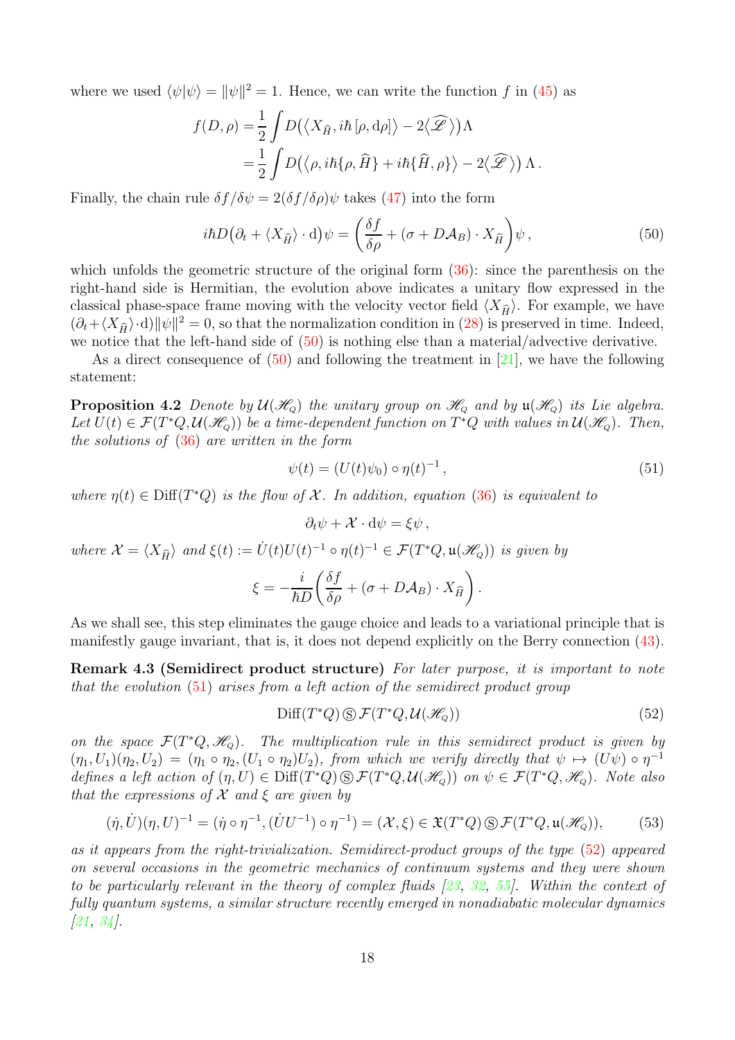where we used  $\langle \psi | \psi \rangle = ||\psi||^2 = 1$ . Hence, we can write the function f in [\(45\)](#page-16-1) as

$$
f(D,\rho) = \frac{1}{2} \int D(\langle X_{\widehat{H}}, i\hbar \left[ \rho, d\rho \right] \rangle - 2\langle \widehat{\mathscr{L}} \rangle) \Lambda
$$
  
=  $\frac{1}{2} \int D(\langle \rho, i\hbar \{\rho, \widehat{H}\} + i\hbar \{\widehat{H}, \rho\} \rangle - 2\langle \widehat{\mathscr{L}} \rangle) \Lambda.$ 

Finally, the chain rule  $\delta f/\delta \psi = 2(\delta f/\delta \rho)\psi$  takes [\(47\)](#page-16-2) into the form

<span id="page-17-0"></span>
$$
i\hbar D(\partial_t + \langle X_{\hat{H}} \rangle \cdot d)\psi = \left(\frac{\delta f}{\delta \rho} + (\sigma + D\mathcal{A}_B) \cdot X_{\hat{H}}\right)\psi, \tag{50}
$$

which unfolds the geometric structure of the original form  $(36)$ : since the parenthesis on the right-hand side is Hermitian, the evolution above indicates a unitary flow expressed in the classical phase-space frame moving with the velocity vector field  $\langle X_{\hat{H}} \rangle$ . For example, we have  $(\partial_t + \langle X_{\hat{H}} \rangle \cdot d) ||\psi||^2 = 0$ , so that the normalization condition in [\(28\)](#page-12-1) is preserved in time. Indeed, we notice that the left-hand side of [\(50\)](#page-17-0) is nothing else than a material/advective derivative.

As a direct consequence of [\(50\)](#page-17-0) and following the treatment in [\[21\]](#page-37-10), we have the following statement:

**Proposition 4.2** Denote by  $\mathcal{U}(\mathcal{H}_{Q})$  the unitary group on  $\mathcal{H}_{Q}$  and by  $\mathfrak{u}(\mathcal{H}_{Q})$  its Lie algebra. Let  $U(t) \in \mathcal{F}(T^*Q, \mathcal{U}(\mathcal{H}_Q))$  be a time-dependent function on  $T^*Q$  with values in  $\mathcal{U}(\mathcal{H}_Q)$ . Then, the solutions of [\(36\)](#page-14-1) are written in the form

<span id="page-17-1"></span>
$$
\psi(t) = (U(t)\psi_0) \circ \eta(t)^{-1}, \qquad (51)
$$

where  $\eta(t) \in \text{Diff}(T^*Q)$  is the flow of X. In addition, equation [\(36\)](#page-14-1) is equivalent to

$$
\partial_t \psi + \mathcal{X} \cdot d\psi = \xi \psi \,,
$$

where  $\mathcal{X} = \langle X_{\widehat{H}} \rangle$  and  $\xi(t) := \dot{U}(t)U(t)^{-1} \circ \eta(t)^{-1} \in \mathcal{F}(T^*Q, \mathfrak{u}(\mathcal{H}_Q))$  is given by

$$
\xi = -\frac{i}{\hbar D} \left( \frac{\delta f}{\delta \rho} + (\sigma + D \mathcal{A}_B) \cdot X_{\widehat{H}} \right).
$$

As we shall see, this step eliminates the gauge choice and leads to a variational principle that is manifestly gauge invariant, that is, it does not depend explicitly on the Berry connection [\(43\)](#page-15-2).

Remark 4.3 (Semidirect product structure) For later purpose, it is important to note that the evolution [\(51\)](#page-17-1) arises from a left action of the semidirect product group

<span id="page-17-2"></span>
$$
\text{Diff}(T^*Q)\text{S}\mathcal{F}(T^*Q,\mathcal{U}(\mathcal{H}_Q))\tag{52}
$$

on the space  $\mathcal{F}(T^*Q, \mathcal{H}_Q)$ . The multiplication rule in this semidirect product is given by  $(\eta_1, U_1)(\eta_2, U_2) = (\eta_1 \circ \eta_2, (U_1 \circ \eta_2)U_2)$ , from which we verify directly that  $\psi \mapsto (U\psi) \circ \eta^{-1}$ defines a left action of  $(\eta, U) \in \text{Diff}(T^*Q) \otimes \mathcal{F}(T^*Q, \mathcal{U}(\mathcal{H}_{Q}))$  on  $\psi \in \mathcal{F}(T^*Q, \mathcal{H}_{Q})$ . Note also that the expressions of  $\mathcal X$  and  $\xi$  are given by

<span id="page-17-3"></span>
$$
(\dot{\eta}, \dot{U})(\eta, U)^{-1} = (\dot{\eta} \circ \eta^{-1}, (\dot{U}U^{-1}) \circ \eta^{-1}) = (\mathcal{X}, \xi) \in \mathfrak{X}(T^*Q) \circledS \mathcal{F}(T^*Q, \mathfrak{u}(\mathcal{H}_Q)),
$$
(53)

as it appears from the right-trivialization. Semidirect-product groups of the type [\(52\)](#page-17-2) appeared on several occasions in the geometric mechanics of continuum systems and they were shown to be particularly relevant in the theory of complex fluids [\[23,](#page-37-14) [32,](#page-38-16) [55\]](#page-39-16). Within the context of fully quantum systems, a similar structure recently emerged in nonadiabatic molecular dynamics  $[21, 34]$  $[21, 34]$  $[21, 34]$ .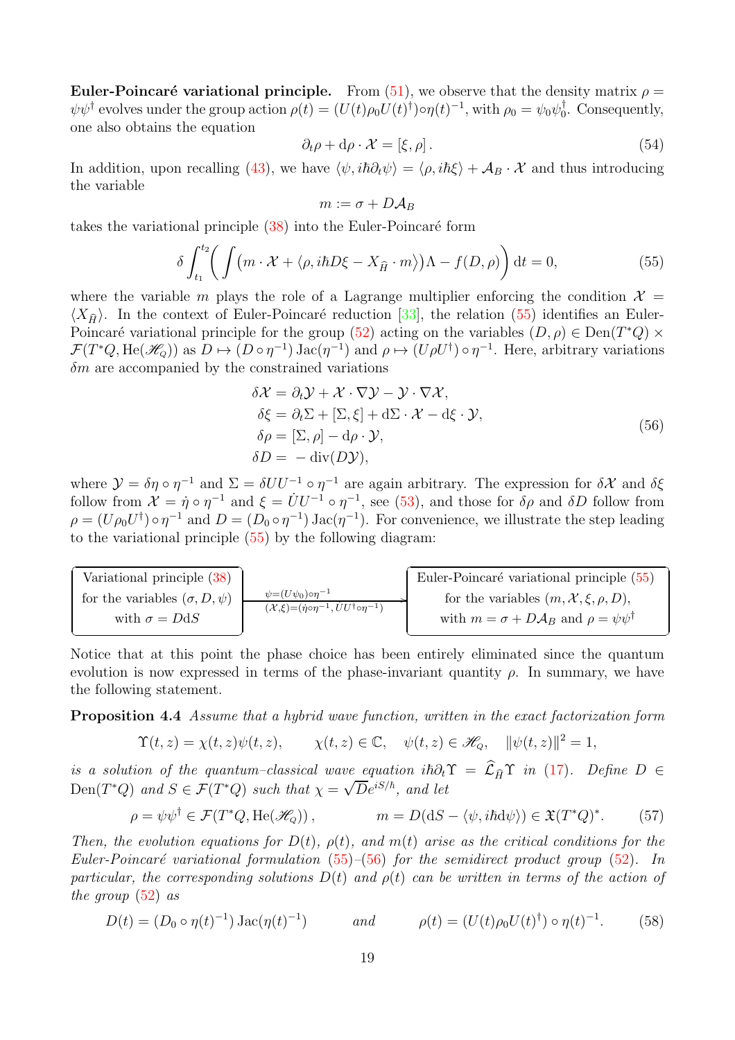Euler-Poincaré variational principle. From [\(51\)](#page-17-1), we observe that the density matrix  $\rho =$  $\psi \psi^{\dagger}$  evolves under the group action  $\rho(t) = (U(t)\rho_0 U(t)^{\dagger}) \circ \eta(t)^{-1}$ , with  $\rho_0 = \psi_0 \psi_0^{\dagger}$  $\iota_0^{\dagger}$ . Consequently, one also obtains the equation

<span id="page-18-2"></span>
$$
\partial_t \rho + \mathrm{d}\rho \cdot \mathcal{X} = [\xi, \rho]. \tag{54}
$$

In addition, upon recalling [\(43\)](#page-15-2), we have  $\langle \psi, i\hbar \partial_t \psi \rangle = \langle \rho, i\hbar \xi \rangle + A_B \cdot \chi$  and thus introducing the variable

$$
m:=\sigma+D\mathcal{A}_B
$$

takes the variational principle  $(38)$  into the Euler-Poincaré form

<span id="page-18-0"></span>
$$
\delta \int_{t_1}^{t_2} \bigg( \int \big( m \cdot \mathcal{X} + \langle \rho, i\hbar D\xi - X_{\widehat{H}} \cdot m \rangle \big) \Lambda - f(D, \rho) \bigg) dt = 0, \tag{55}
$$

where the variable m plays the role of a Lagrange multiplier enforcing the condition  $\mathcal{X} =$  $\langle X_{\hat{H}} \rangle$ . In the context of Euler-Poincaré reduction [\[33\]](#page-38-15), the relation [\(55\)](#page-18-0) identifies an Euler-Poincaré variational principle for the group [\(52\)](#page-17-2) acting on the variables  $(D, \rho) \in \text{Den}(T^*Q) \times$  $\mathcal{F}(T^*Q, \text{He}(\mathcal{H}_Q))$  as  $D \mapsto (D \circ \eta^{-1}) \text{Jac}(\eta^{-1})$  and  $\rho \mapsto (U\rho U^{\dagger}) \circ \eta^{-1}$ . Here, arbitrary variations  $\delta m$  are accompanied by the constrained variations

<span id="page-18-1"></span>
$$
\delta \mathcal{X} = \partial_t \mathcal{Y} + \mathcal{X} \cdot \nabla \mathcal{Y} - \mathcal{Y} \cdot \nabla \mathcal{X},
$$
  
\n
$$
\delta \xi = \partial_t \Sigma + [\Sigma, \xi] + d\Sigma \cdot \mathcal{X} - d\xi \cdot \mathcal{Y},
$$
  
\n
$$
\delta \rho = [\Sigma, \rho] - d\rho \cdot \mathcal{Y},
$$
  
\n
$$
\delta D = -\text{div}(D\mathcal{Y}),
$$
\n(56)

where  $\mathcal{Y} = \delta \eta \circ \eta^{-1}$  and  $\Sigma = \delta U U^{-1} \circ \eta^{-1}$  are again arbitrary. The expression for  $\delta \mathcal{X}$  and  $\delta \xi$ follow from  $\mathcal{X} = \eta \circ \eta^{-1}$  and  $\xi = U U^{-1} \circ \eta^{-1}$ , see [\(53\)](#page-17-3), and those for  $\delta \rho$  and  $\delta D$  follow from  $\rho = (U\rho_0 U^{\dagger}) \circ \eta^{-1}$  and  $D = (D_0 \circ \eta^{-1}) \operatorname{Jac}(\eta^{-1})$ . For convenience, we illustrate the step leading to the variational principle [\(55\)](#page-18-0) by the following diagram:

 $\overline{V}$   $\cdot$   $\cdot$   $\overline{1}$   $\cdot$   $\cdot$   $\overline{1}$   $\overline{(90)}$  Variational principle [\(38\)](#page-14-3) for the variables  $(\sigma, D, \psi)$ with  $\sigma = D \mathrm{d}S$  $\frac{\psi = (U\psi_0) \circ \eta^{-1}}{(\gamma \epsilon) - (\dot{\gamma} \epsilon) \cdot \eta^{-1} + \dot{\gamma} U \dot{\gamma} \epsilon}$  $(\mathcal{X}, \xi) = (\dot{\eta} \circ \eta^{-1}, \dot{U}U^{\dagger} \circ \eta^{-1})$  <u> La componenta de la componenta de la componenta de la componenta de la componenta de la componenta de la compo</u> Euler-Poincaré variational principle [\(55\)](#page-18-0) for the variables  $(m, \mathcal{X}, \xi, \rho, D),$ with  $m = \sigma + D\mathcal{A}_B$  and  $\rho = \psi \psi^{\dagger}$ 

Notice that at this point the phase choice has been entirely eliminated since the quantum evolution is now expressed in terms of the phase-invariant quantity  $\rho$ . In summary, we have the following statement.

Proposition 4.4 Assume that a hybrid wave function, written in the exact factorization form

$$
\Upsilon(t,z) = \chi(t,z)\psi(t,z), \qquad \chi(t,z) \in \mathbb{C}, \quad \psi(t,z) \in \mathcal{H}_Q, \quad \|\psi(t,z)\|^2 = 1,
$$

is a solution of the quantum–classical wave equation i $\hbar \partial_t \Upsilon = \hat{\mathcal{L}}_{\hat{H}} \Upsilon$  in [\(17\)](#page-9-2). Define  $D \in$ Den(T\*Q) and  $S \in \mathcal{F}(T^*Q)$  such that  $\chi = \sqrt{D}e^{iS/\hbar}$ , and let

$$
\rho = \psi \psi^{\dagger} \in \mathcal{F}(T^*Q, \text{He}(\mathscr{H}_{Q}))\,, \qquad m = D(\text{d}S - \langle \psi, i\hbar \text{d}\psi \rangle) \in \mathfrak{X}(T^*Q)^*.\tag{57}
$$

Then, the evolution equations for  $D(t)$ ,  $\rho(t)$ , and  $m(t)$  arise as the critical conditions for the Euler-Poincaré variational formulation  $(55)$ – $(56)$  for the semidirect product group [\(52\)](#page-17-2). In particular, the corresponding solutions  $D(t)$  and  $\rho(t)$  can be written in terms of the action of the group  $(52)$  as

<span id="page-18-3"></span>
$$
D(t) = (D_0 \circ \eta(t)^{-1}) \operatorname{Jac}(\eta(t)^{-1}) \qquad \text{and} \qquad \rho(t) = (U(t)\rho_0 U(t)^{\dagger}) \circ \eta(t)^{-1}.
$$
 (58)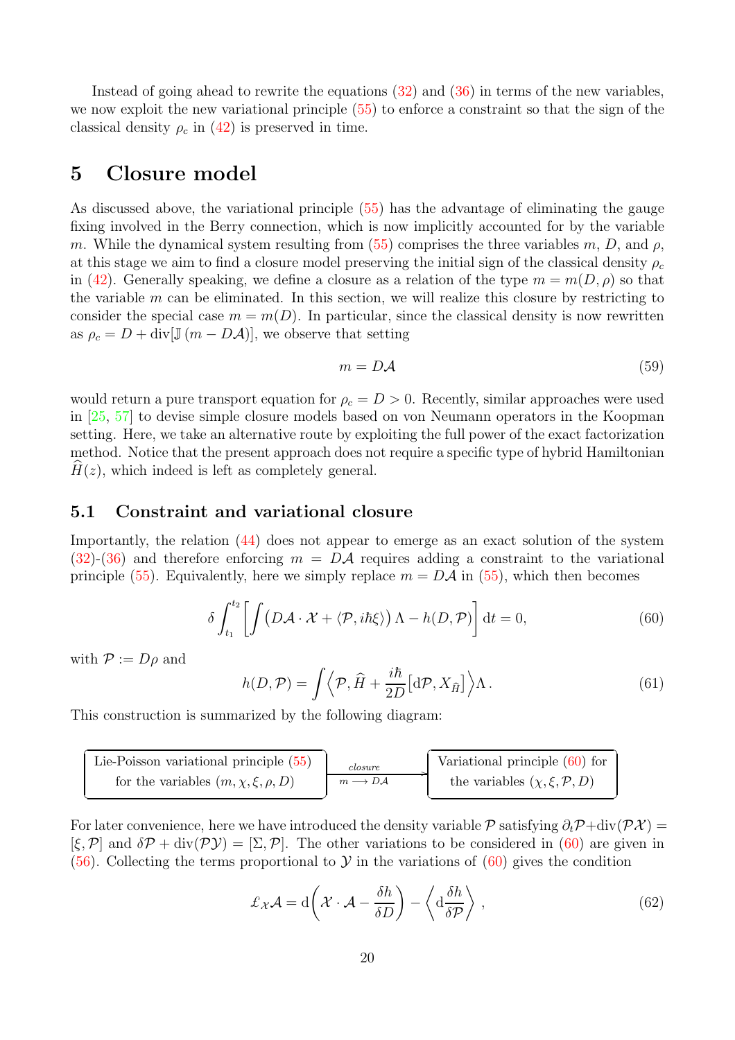Instead of going ahead to rewrite the equations [\(32\)](#page-13-3) and [\(36\)](#page-14-1) in terms of the new variables, we now exploit the new variational principle [\(55\)](#page-18-0) to enforce a constraint so that the sign of the classical density  $\rho_c$  in [\(42\)](#page-15-0) is preserved in time.

## <span id="page-19-0"></span>5 Closure model

As discussed above, the variational principle [\(55\)](#page-18-0) has the advantage of eliminating the gauge fixing involved in the Berry connection, which is now implicitly accounted for by the variable m. While the dynamical system resulting from [\(55\)](#page-18-0) comprises the three variables m, D, and  $\rho$ , at this stage we aim to find a closure model preserving the initial sign of the classical density  $\rho_c$ in [\(42\)](#page-15-0). Generally speaking, we define a closure as a relation of the type  $m = m(D, \rho)$  so that the variable  $m$  can be eliminated. In this section, we will realize this closure by restricting to consider the special case  $m = m(D)$ . In particular, since the classical density is now rewritten as  $\rho_c = D + \text{div}[\mathbb{J}(m - D\mathcal{A})]$ , we observe that setting

<span id="page-19-5"></span>
$$
m = D\mathcal{A} \tag{59}
$$

would return a pure transport equation for  $\rho_c = D > 0$ . Recently, similar approaches were used in [\[25,](#page-37-8) [57\]](#page-39-8) to devise simple closure models based on von Neumann operators in the Koopman setting. Here, we take an alternative route by exploiting the full power of the exact factorization method. Notice that the present approach does not require a specific type of hybrid Hamiltonian  $H(z)$ , which indeed is left as completely general.

## <span id="page-19-1"></span>5.1 Constraint and variational closure

Importantly, the relation [\(44\)](#page-15-1) does not appear to emerge as an exact solution of the system [\(32\)](#page-13-3)-[\(36\)](#page-14-1) and therefore enforcing  $m = D\mathcal{A}$  requires adding a constraint to the variational principle [\(55\)](#page-18-0). Equivalently, here we simply replace  $m = D\mathcal{A}$  in (55), which then becomes

<span id="page-19-2"></span>
$$
\delta \int_{t_1}^{t_2} \left[ \int \left( D\mathcal{A} \cdot \mathcal{X} + \langle \mathcal{P}, i\hbar \xi \rangle \right) \Lambda - h(D, \mathcal{P}) \right] dt = 0, \tag{60}
$$

with  $P := D\rho$  and

<span id="page-19-4"></span>
$$
h(D, \mathcal{P}) = \int \left\langle \mathcal{P}, \hat{H} + \frac{i\hbar}{2D} \left[ d\mathcal{P}, X_{\hat{H}} \right] \right\rangle \Lambda. \tag{61}
$$

This construction is summarized by the following diagram:

| Lie-Poisson variational principle $(55)$    | closure             | Variational principle $(60)$ for            |
|---------------------------------------------|---------------------|---------------------------------------------|
| for the variables $(m, \chi, \xi, \rho, D)$ | $m \rightarrow D A$ | the variables $(\chi, \xi, \mathcal{P}, D)$ |

For later convenience, here we have introduced the density variable  $\mathcal P$  satisfying  $\partial_t \mathcal P + \text{div}(\mathcal P \mathcal X) =$  $[\xi, \mathcal{P}]$  and  $\delta \mathcal{P} + \text{div}(\mathcal{P} \mathcal{Y}) = [\Sigma, \mathcal{P}]$ . The other variations to be considered in [\(60\)](#page-19-2) are given in [\(56\)](#page-18-1). Collecting the terms proportional to  $\mathcal Y$  in the variations of [\(60\)](#page-19-2) gives the condition

<span id="page-19-3"></span>
$$
\mathcal{L}_{\mathcal{X}}\mathcal{A} = d\left(\mathcal{X}\cdot\mathcal{A} - \frac{\delta h}{\delta D}\right) - \left\langle d\frac{\delta h}{\delta P} \right\rangle, \qquad (62)
$$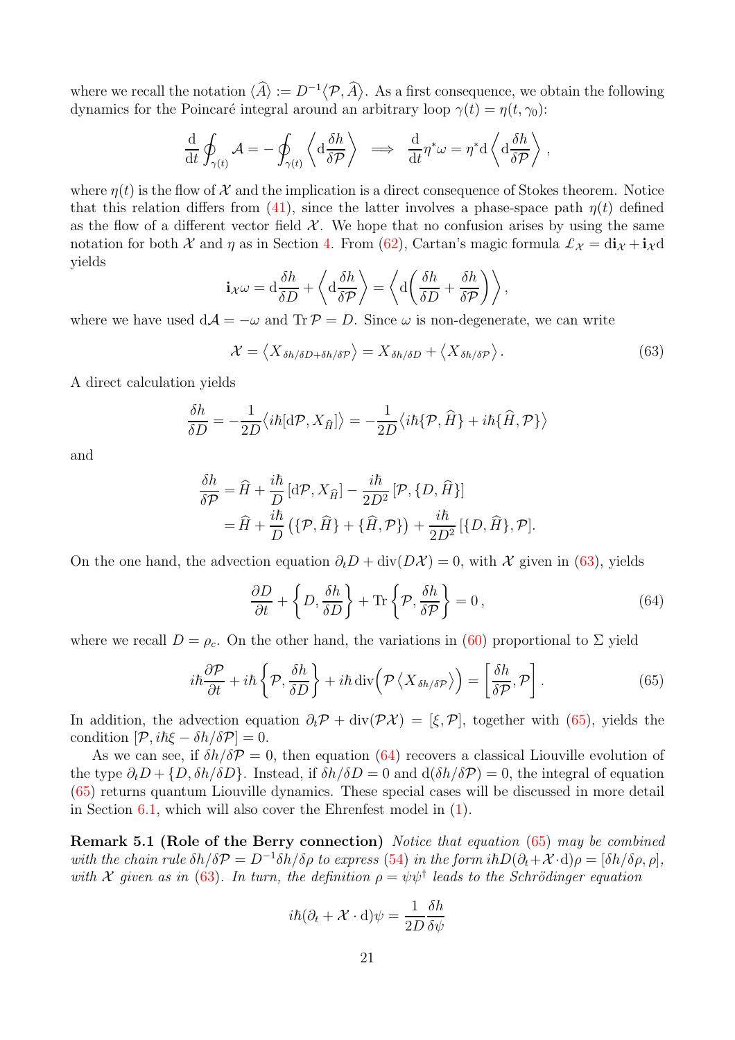where we recall the notation  $\langle \hat{A} \rangle := D^{-1} \langle \mathcal{P}, \hat{A} \rangle$ . As a first consequence, we obtain the following dynamics for the Poincaré integral around an arbitrary loop  $\gamma(t) = \eta(t, \gamma_0)$ :

$$
\frac{\mathrm{d}}{\mathrm{d}t} \oint_{\gamma(t)} \mathcal{A} = -\oint_{\gamma(t)} \left\langle \mathrm{d} \frac{\delta h}{\delta \mathcal{P}} \right\rangle \implies \frac{\mathrm{d}}{\mathrm{d}t} \eta^* \omega = \eta^* \mathrm{d} \left\langle \mathrm{d} \frac{\delta h}{\delta \mathcal{P}} \right\rangle,
$$

where  $\eta(t)$  is the flow of X and the implication is a direct consequence of Stokes theorem. Notice that this relation differs from [\(41\)](#page-15-3), since the latter involves a phase-space path  $\eta(t)$  defined as the flow of a different vector field  $\mathcal{X}$ . We hope that no confusion arises by using the same notation for both X and  $\eta$  as in Section [4.](#page-12-0) From [\(62\)](#page-19-3), Cartan's magic formula  $\mathcal{L}_{\chi} = d\mathbf{i}_{\chi} + \mathbf{i}_{\chi} d$ yields

$$
\mathbf{i} \chi \omega = \mathrm{d} \frac{\delta h}{\delta D} + \left\langle \mathrm{d} \frac{\delta h}{\delta P} \right\rangle = \left\langle \mathrm{d} \left( \frac{\delta h}{\delta D} + \frac{\delta h}{\delta P} \right) \right\rangle,
$$

where we have used  $dA = -\omega$  and  $\text{Tr } P = D$ . Since  $\omega$  is non-degenerate, we can write

<span id="page-20-0"></span>
$$
\mathcal{X} = \langle X_{\delta h/\delta D + \delta h/\delta P} \rangle = X_{\delta h/\delta D} + \langle X_{\delta h/\delta P} \rangle.
$$
 (63)

A direct calculation yields

$$
\frac{\delta h}{\delta D} = -\frac{1}{2D} \langle i\hbar [\mathrm{d}\mathcal{P}, X_{\widehat{H}}] \rangle = -\frac{1}{2D} \langle i\hbar \{\mathcal{P}, \widehat{H}\} + i\hbar \{\widehat{H}, \mathcal{P}\} \rangle
$$

and

$$
\frac{\delta h}{\delta \mathcal{P}} = \hat{H} + \frac{i\hbar}{D} [\mathrm{d}\mathcal{P}, X_{\hat{H}}] - \frac{i\hbar}{2D^2} [\mathcal{P}, \{D, \hat{H}\}]
$$
  
=  $\hat{H} + \frac{i\hbar}{D} (\{\mathcal{P}, \hat{H}\} + \{\hat{H}, \mathcal{P}\}) + \frac{i\hbar}{2D^2} [\{D, \hat{H}\}, \mathcal{P}].$ 

On the one hand, the advection equation  $\partial_t D + \text{div}(D\mathcal{X}) = 0$ , with X given in [\(63\)](#page-20-0), yields

<span id="page-20-2"></span>
$$
\frac{\partial D}{\partial t} + \left\{ D, \frac{\delta h}{\delta D} \right\} + \text{Tr} \left\{ \mathcal{P}, \frac{\delta h}{\delta \mathcal{P}} \right\} = 0, \tag{64}
$$

where we recall  $D = \rho_c$ . On the other hand, the variations in [\(60\)](#page-19-2) proportional to  $\Sigma$  yield

<span id="page-20-1"></span>
$$
i\hbar \frac{\partial \mathcal{P}}{\partial t} + i\hbar \left\{ \mathcal{P}, \frac{\delta h}{\delta D} \right\} + i\hbar \operatorname{div} \left( \mathcal{P} \left\langle X_{\delta h/\delta \mathcal{P}} \right\rangle \right) = \left[ \frac{\delta h}{\delta \mathcal{P}}, \mathcal{P} \right]. \tag{65}
$$

In addition, the advection equation  $\partial_t \mathcal{P} + \text{div}(\mathcal{P} \mathcal{X}) = [\xi, \mathcal{P}]$ , together with [\(65\)](#page-20-1), yields the condition  $[\mathcal{P}, i\hbar\xi - \delta h/\delta\mathcal{P}] = 0.$ 

As we can see, if  $\delta h/\delta P = 0$ , then equation [\(64\)](#page-20-2) recovers a classical Liouville evolution of the type  $\partial_t D + \{D, \delta h/\delta D\}$ . Instead, if  $\delta h/\delta D = 0$  and  $d(\delta h/\delta P) = 0$ , the integral of equation [\(65\)](#page-20-1) returns quantum Liouville dynamics. These special cases will be discussed in more detail in Section [6.1,](#page-34-1) which will also cover the Ehrenfest model in [\(1\)](#page-1-1).

<span id="page-20-3"></span>Remark 5.1 (Role of the Berry connection) Notice that equation [\(65\)](#page-20-1) may be combined with the chain rule  $\delta h/\delta P = D^{-1}\delta h/\delta \rho$  to express [\(54\)](#page-18-2) in the form  $i\hbar D(\partial_t + \mathcal{X} \cdot d)\rho = [\delta h/\delta \rho, \rho]$ , with X given as in [\(63\)](#page-20-0). In turn, the definition  $\rho = \psi \psi^{\dagger}$  leads to the Schrödinger equation

$$
i\hbar(\partial_t + \mathcal{X} \cdot \mathrm{d})\psi = \frac{1}{2D} \frac{\delta h}{\delta \psi}
$$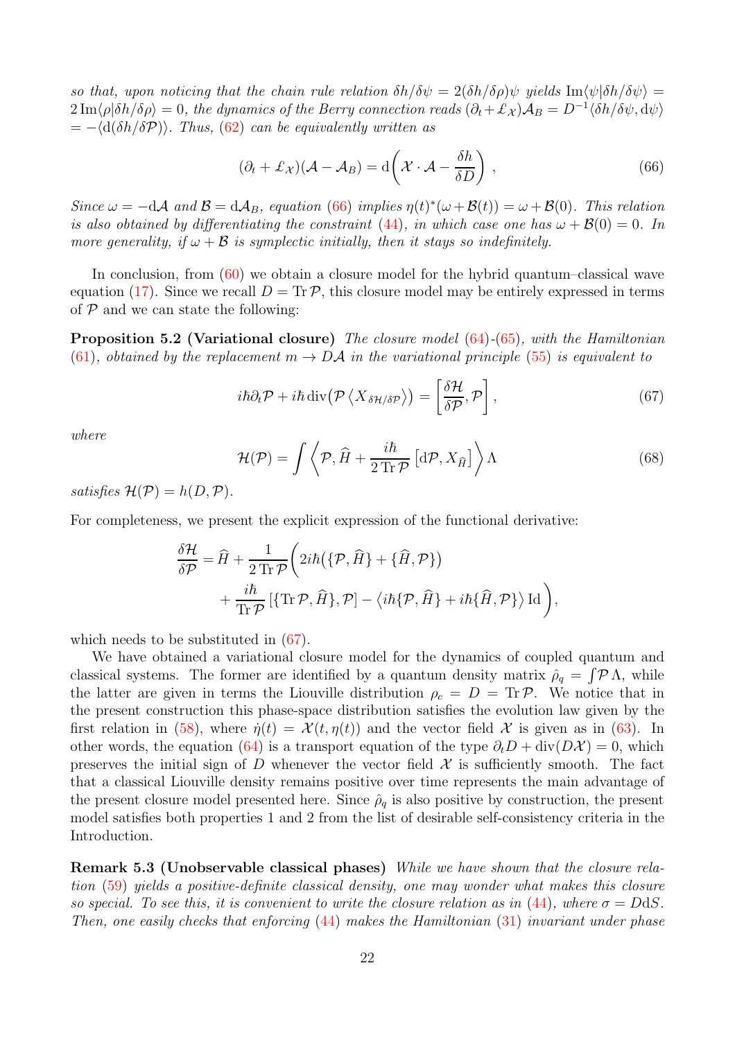so that, upon noticing that the chain rule relation  $\delta h/\delta \psi = 2(\delta h/\delta \rho)\psi$  yields  $\text{Im}\langle \psi|\delta h/\delta \psi \rangle =$  $2 \text{Im}\langle \rho | \delta h / \delta \rho \rangle = 0$ , the dynamics of the Berry connection reads  $(\partial_t + \mathcal{L}_\mathcal{X}) \mathcal{A}_B = D^{-1} \langle \delta h / \delta \psi, d\psi \rangle$  $= -\langle d(\delta h/\delta P) \rangle$ . Thus, [\(62\)](#page-19-3) can be equivalently written as

<span id="page-21-0"></span>
$$
(\partial_t + \pounds_{\mathcal{X}})(\mathcal{A} - \mathcal{A}_B) = d\left(\mathcal{X} \cdot \mathcal{A} - \frac{\delta h}{\delta D}\right),\tag{66}
$$

Since  $\omega = -dA$  and  $B = dA_B$ , equation [\(66\)](#page-21-0) implies  $\eta(t)^*(\omega + B(t)) = \omega + B(0)$ . This relation is also obtained by differentiating the constraint [\(44\)](#page-15-1), in which case one has  $\omega + \mathcal{B}(0) = 0$ . In more generality, if  $\omega + \mathcal{B}$  is symplectic initially, then it stays so indefinitely.

In conclusion, from [\(60\)](#page-19-2) we obtain a closure model for the hybrid quantum–classical wave equation [\(17\)](#page-9-2). Since we recall  $D = \text{Tr} \mathcal{P}$ , this closure model may be entirely expressed in terms of  $P$  and we can state the following:

Proposition 5.2 (Variational closure) The closure model [\(64\)](#page-20-2)-[\(65\)](#page-20-1), with the Hamiltonian [\(61\)](#page-19-4), obtained by the replacement  $m \to D\mathcal{A}$  in the variational principle [\(55\)](#page-18-0) is equivalent to

<span id="page-21-2"></span><span id="page-21-1"></span>
$$
i\hbar \partial_t \mathcal{P} + i\hbar \operatorname{div} (\mathcal{P} \left\langle X_{\delta \mathcal{H}/\delta \mathcal{P}} \right\rangle) = \left[ \frac{\delta \mathcal{H}}{\delta \mathcal{P}}, \mathcal{P} \right], \tag{67}
$$

where

<span id="page-21-3"></span>
$$
\mathcal{H}(\mathcal{P}) = \int \left\langle \mathcal{P}, \hat{H} + \frac{i\hbar}{2\,\text{Tr}\,\mathcal{P}} \left[ \mathrm{d}\mathcal{P}, X_{\hat{H}} \right] \right\rangle \Lambda \tag{68}
$$

satisfies  $\mathcal{H}(\mathcal{P}) = h(D, \mathcal{P}).$ 

For completeness, we present the explicit expression of the functional derivative:

$$
\frac{\delta \mathcal{H}}{\delta \mathcal{P}} = \hat{H} + \frac{1}{2 \operatorname{Tr} \mathcal{P}} \left( 2i\hbar \left( \{ \mathcal{P}, \hat{H} \} + \{ \hat{H}, \mathcal{P} \} \right) + \frac{i\hbar}{\operatorname{Tr} \mathcal{P}} \left[ \{ \operatorname{Tr} \mathcal{P}, \hat{H} \}, \mathcal{P} \right] - \left\langle i\hbar \{ \mathcal{P}, \hat{H} \} + i\hbar \{ \hat{H}, \mathcal{P} \} \right\rangle \operatorname{Id} \right),
$$

which needs to be substituted in [\(67\)](#page-21-1).

We have obtained a variational closure model for the dynamics of coupled quantum and classical systems. The former are identified by a quantum density matrix  $\rho_q = \int \mathcal{P} \Lambda$ , while the latter are given in terms the Liouville distribution  $\rho_c = D = \text{Tr } P$ . We notice that in the present construction this phase-space distribution satisfies the evolution law given by the first relation in [\(58\)](#page-18-3), where  $\dot{\eta}(t) = \mathcal{X}(t, \eta(t))$  and the vector field X is given as in [\(63\)](#page-20-0). In other words, the equation [\(64\)](#page-20-2) is a transport equation of the type  $\partial_t D + \text{div}(D\mathcal{X}) = 0$ , which preserves the initial sign of D whenever the vector field  $\mathcal X$  is sufficiently smooth. The fact that a classical Liouville density remains positive over time represents the main advantage of the present closure model presented here. Since  $\hat{\rho}_q$  is also positive by construction, the present model satisfies both properties 1 and 2 from the list of desirable self-consistency criteria in the Introduction.

Remark 5.3 (Unobservable classical phases) While we have shown that the closure relation [\(59\)](#page-19-5) yields a positive-definite classical density, one may wonder what makes this closure so special. To see this, it is convenient to write the closure relation as in [\(44\)](#page-15-1), where  $\sigma = D \, \mathrm{d} S$ . Then, one easily checks that enforcing [\(44\)](#page-15-1) makes the Hamiltonian [\(31\)](#page-13-5) invariant under phase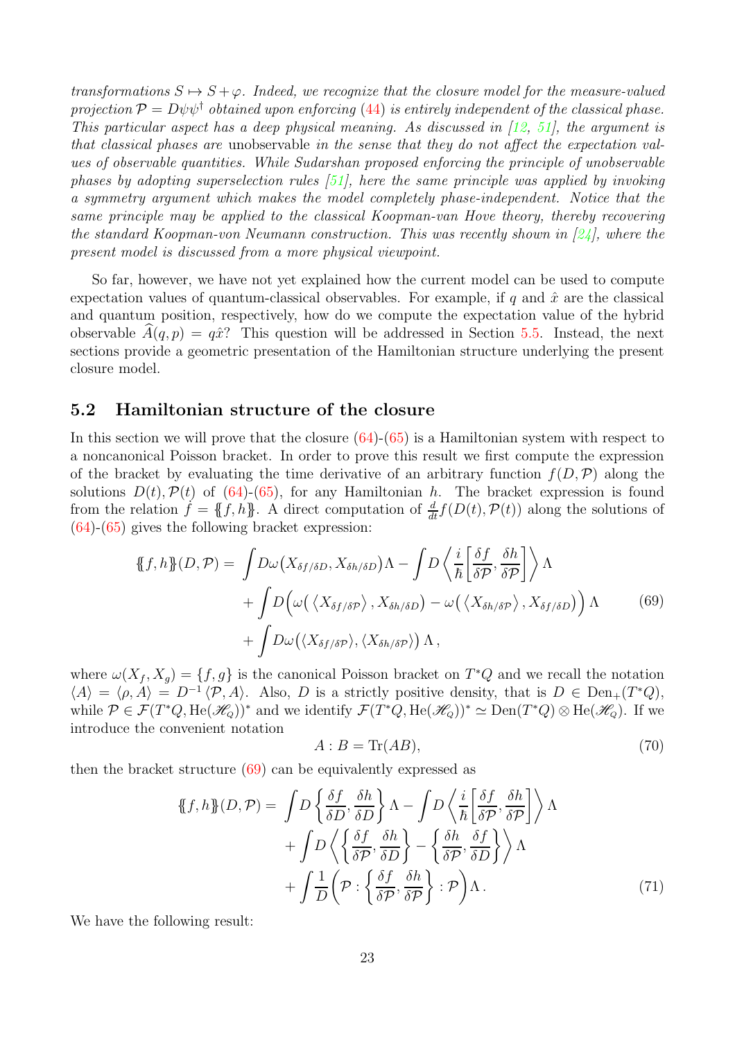transformations  $S \mapsto S + \varphi$ . Indeed, we recognize that the closure model for the measure-valued projection  $P = D\psi\psi^{\dagger}$  obtained upon enforcing [\(44\)](#page-15-1) is entirely independent of the classical phase. This particular aspect has a deep physical meaning. As discussed in [\[12,](#page-37-0) [51\]](#page-39-2), the argument is that classical phases are unobservable in the sense that they do not affect the expectation values of observable quantities. While Sudarshan proposed enforcing the principle of unobservable phases by adopting superselection rules  $[51]$ , here the same principle was applied by invoking a symmetry argument which makes the model completely phase-independent. Notice that the same principle may be applied to the classical Koopman-van Hove theory, thereby recovering the standard Koopman-von Neumann construction. This was recently shown in  $[24]$ , where the present model is discussed from a more physical viewpoint.

So far, however, we have not yet explained how the current model can be used to compute expectation values of quantum-classical observables. For example, if q and  $\hat{x}$  are the classical and quantum position, respectively, how do we compute the expectation value of the hybrid observable  $A(q, p) = q\hat{x}$ ? This question will be addressed in Section [5.5.](#page-29-0) Instead, the next sections provide a geometric presentation of the Hamiltonian structure underlying the present closure model.

### <span id="page-22-0"></span>5.2 Hamiltonian structure of the closure

In this section we will prove that the closure  $(64)-(65)$  $(64)-(65)$  is a Hamiltonian system with respect to a noncanonical Poisson bracket. In order to prove this result we first compute the expression of the bracket by evaluating the time derivative of an arbitrary function  $f(D,\mathcal{P})$  along the solutions  $D(t)$ ,  $\mathcal{P}(t)$  of [\(64\)](#page-20-2)-[\(65\)](#page-20-1), for any Hamiltonian h. The bracket expression is found from the relation  $\hat{f} = \{\!\{f, h\}\!\}$ . A direct computation of  $\frac{d}{dt}f(D(t), \mathcal{P}(t))$  along the solutions of  $(64)-(65)$  $(64)-(65)$  $(64)-(65)$  gives the following bracket expression:

<span id="page-22-1"></span>
$$
\{\!\!\{f,h\}\!\!\}(D,\mathcal{P}) = \int D\omega \big(X_{\delta f/\delta D}, X_{\delta h/\delta D}\big) \Lambda - \int D\left\langle \frac{i}{\hbar} \bigg[\frac{\delta f}{\delta \mathcal{P}}, \frac{\delta h}{\delta \mathcal{P}}\bigg] \right\rangle \Lambda \n+ \int D\big(\omega \big(\big\langle X_{\delta f/\delta \mathcal{P}}\big\rangle, X_{\delta h/\delta D}\big) - \omega \big(\big\langle X_{\delta h/\delta \mathcal{P}}\big\rangle, X_{\delta f/\delta D}\big)\big) \Lambda \n+ \int D\omega \big(\langle X_{\delta f/\delta \mathcal{P}}\big\rangle, \langle X_{\delta h/\delta \mathcal{P}}\rangle\big) \Lambda,
$$
\n(69)

where  $\omega(X_f, X_g) = \{f, g\}$  is the canonical Poisson bracket on  $T^*Q$  and we recall the notation  $\langle A \rangle = \langle \rho, A \rangle = D^{-1} \langle \mathcal{P}, A \rangle$ . Also, D is a strictly positive density, that is  $D \in \text{Den}_+(T^*Q)$ , while  $\mathcal{P} \in \mathcal{F}(T^*Q, \text{He}(\mathscr{H}_{Q}))^*$  and we identify  $\mathcal{F}(T^*Q, \text{He}(\mathscr{H}_{Q}))^* \simeq \text{Den}(T^*Q) \otimes \text{He}(\mathscr{H}_{Q})$ . If we introduce the convenient notation

<span id="page-22-3"></span><span id="page-22-2"></span>
$$
A: B = \text{Tr}(AB),\tag{70}
$$

then the bracket structure [\(69\)](#page-22-1) can be equivalently expressed as

<span id="page-22-4"></span>
$$
\{\!\!\{f,h\}\!\!\}(D,\mathcal{P}) = \int D\left\{\frac{\delta f}{\delta D}, \frac{\delta h}{\delta D}\right\} \Lambda - \int D\left\{\frac{i}{\hbar} \left[\frac{\delta f}{\delta \mathcal{P}}, \frac{\delta h}{\delta \mathcal{P}}\right]\right\} \Lambda \n+ \int D\left\{\left\{\frac{\delta f}{\delta \mathcal{P}}, \frac{\delta h}{\delta D}\right\} - \left\{\frac{\delta h}{\delta \mathcal{P}}, \frac{\delta f}{\delta D}\right\}\right\} \Lambda \n+ \int \frac{1}{D}\left(\mathcal{P} : \left\{\frac{\delta f}{\delta \mathcal{P}}, \frac{\delta h}{\delta \mathcal{P}}\right\} : \mathcal{P}\right) \Lambda.
$$
\n(71)

We have the following result: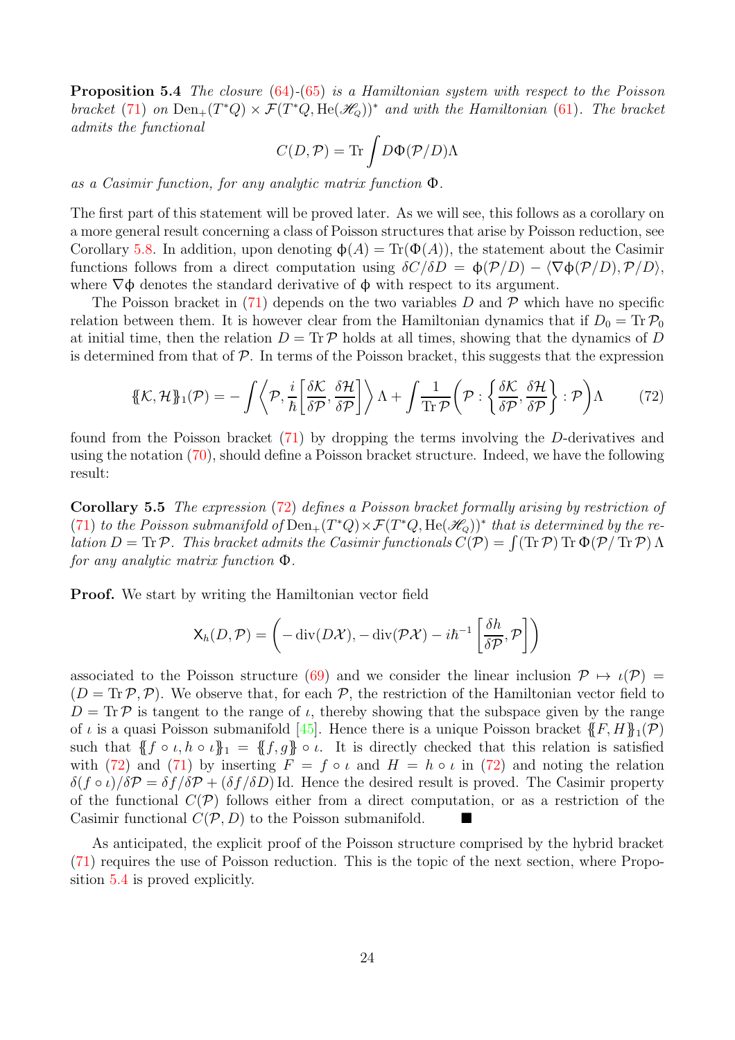Proposition 5.4 The closure [\(64\)](#page-20-2)-[\(65\)](#page-20-1) is a Hamiltonian system with respect to the Poisson bracket [\(71\)](#page-22-2) on  $Den_+(T^*Q) \times \mathcal{F}(T^*Q, He(\mathcal{H}_Q))^*$  and with the Hamiltonian [\(61\)](#page-19-4). The bracket admits the functional

$$
C(D,\mathcal{P})=\text{Tr}\int D\Phi(\mathcal{P}/D)\Lambda
$$

as a Casimir function, for any analytic matrix function Φ.

The first part of this statement will be proved later. As we will see, this follows as a corollary on a more general result concerning a class of Poisson structures that arise by Poisson reduction, see Corollary [5.8.](#page-26-0) In addition, upon denoting  $\phi(A) = \text{Tr}(\Phi(A))$ , the statement about the Casimir functions follows from a direct computation using  $\delta C/\delta D = \phi(\mathcal{P}/D) - \langle \nabla \phi(\mathcal{P}/D), \mathcal{P}/D \rangle$ , where  $\nabla \phi$  denotes the standard derivative of  $\phi$  with respect to its argument.

The Poisson bracket in  $(71)$  depends on the two variables D and P which have no specific relation between them. It is however clear from the Hamiltonian dynamics that if  $D_0 = Tr \mathcal{P}_0$ at initial time, then the relation  $D = \text{Tr } P$  holds at all times, showing that the dynamics of D is determined from that of  $P$ . In terms of the Poisson bracket, this suggests that the expression

<span id="page-23-0"></span>
$$
\{\!\!\{\mathcal{K},\mathcal{H}\\!\!\}_{1}(\mathcal{P}) = -\int \left\langle \mathcal{P},\frac{i}{\hbar} \left[ \frac{\delta \mathcal{K}}{\delta \mathcal{P}},\frac{\delta \mathcal{H}}{\delta \mathcal{P}} \right] \right\rangle \Lambda + \int \frac{1}{\text{Tr}\,\mathcal{P}} \left( \mathcal{P} : \left\{ \frac{\delta \mathcal{K}}{\delta \mathcal{P}},\frac{\delta \mathcal{H}}{\delta \mathcal{P}} \right\} : \mathcal{P} \right) \Lambda \tag{72}
$$

<span id="page-23-1"></span>found from the Poisson bracket [\(71\)](#page-22-2) by dropping the terms involving the D-derivatives and using the notation [\(70\)](#page-22-3), should define a Poisson bracket structure. Indeed, we have the following result:

Corollary 5.5 The expression [\(72\)](#page-23-0) defines a Poisson bracket formally arising by restriction of [\(71\)](#page-22-2) to the Poisson submanifold of  $Den_{+}(T^*Q) \times \mathcal{F}(T^*Q, He(\mathcal{H}_{Q}))^*$  that is determined by the relation  $D = \text{Tr}\,\mathcal{P}$ . This bracket admits the Casimir functionals  $C(\mathcal{P}) = \int (\text{Tr}\,\mathcal{P}) \text{Tr}\,\Phi(\mathcal{P}/\text{Tr}\,\mathcal{P}) \Lambda$ for any analytic matrix function Φ.

Proof. We start by writing the Hamiltonian vector field

$$
\mathsf{X}_h(D,\mathcal{P}) = \left(-\operatorname{div}(D\mathcal{X}), -\operatorname{div}(\mathcal{P}\mathcal{X}) - i\hbar^{-1}\left[\frac{\delta h}{\delta \mathcal{P}}, \mathcal{P}\right]\right)
$$

associated to the Poisson structure [\(69\)](#page-22-1) and we consider the linear inclusion  $\mathcal{P} \mapsto \iota(\mathcal{P}) =$  $(D = \text{Tr } \mathcal{P}, \mathcal{P})$ . We observe that, for each  $\mathcal{P}$ , the restriction of the Hamiltonian vector field to  $D = \text{Tr }\mathcal{P}$  is tangent to the range of  $\iota$ , thereby showing that the subspace given by the range of  $\iota$  is a quasi Poisson submanifold [\[45\]](#page-39-17). Hence there is a unique Poisson bracket  $\{F, H\}_1(\mathcal{P})$ such that  ${f \circ \iota, h \circ \iota}_1 = {f, g} \circ \iota$ . It is directly checked that this relation is satisfied with [\(72\)](#page-23-0) and [\(71\)](#page-22-2) by inserting  $F = f \circ \iota$  and  $H = h \circ \iota$  in (72) and noting the relation  $\delta(f \circ \iota)/\delta \mathcal{P} = \delta f/\delta \mathcal{P} + (\delta f/\delta D)$  Id. Hence the desired result is proved. The Casimir property of the functional  $C(\mathcal{P})$  follows either from a direct computation, or as a restriction of the Casimir functional  $C(\mathcal{P}, D)$  to the Poisson submanifold.

As anticipated, the explicit proof of the Poisson structure comprised by the hybrid bracket [\(71\)](#page-22-2) requires the use of Poisson reduction. This is the topic of the next section, where Proposition [5.4](#page-22-4) is proved explicitly.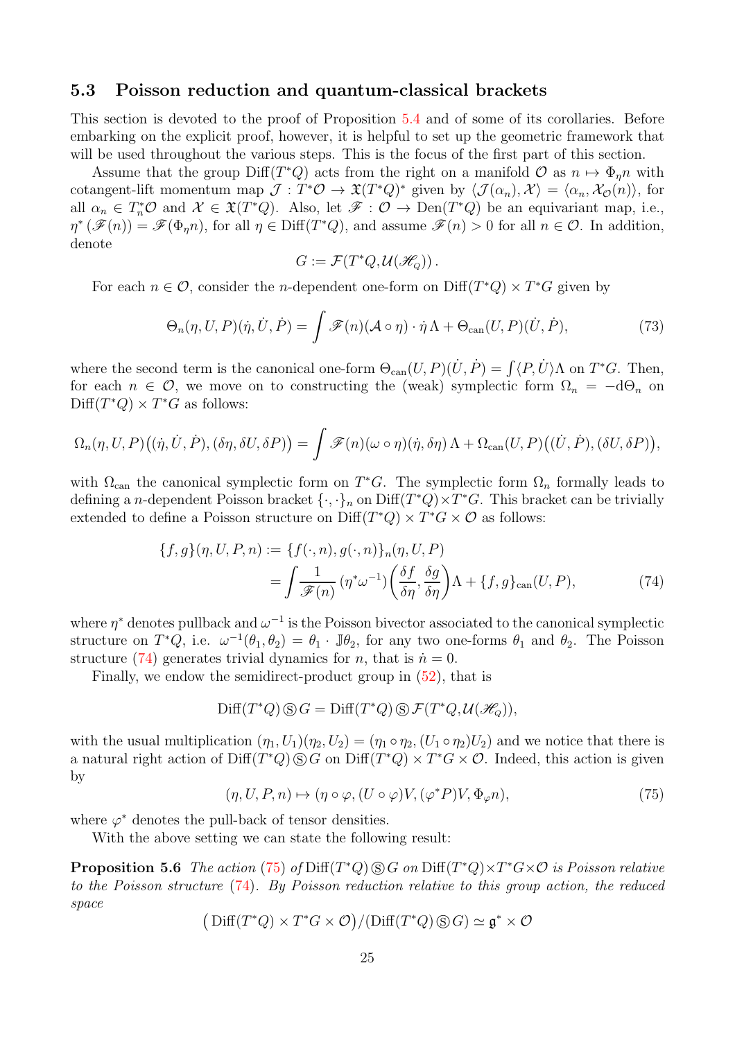### <span id="page-24-0"></span>5.3 Poisson reduction and quantum-classical brackets

This section is devoted to the proof of Proposition [5.4](#page-22-4) and of some of its corollaries. Before embarking on the explicit proof, however, it is helpful to set up the geometric framework that will be used throughout the various steps. This is the focus of the first part of this section.

Assume that the group  $\text{Diff}(T^*Q)$  acts from the right on a manifold  $\mathcal{O}$  as  $n \mapsto \Phi_{\eta}n$  with cotangent-lift momentum map  $\mathcal{J}: T^*\mathcal{O} \to \mathfrak{X}(T^*Q)^*$  given by  $\langle \mathcal{J}(\alpha_n), \mathcal{X} \rangle = \langle \alpha_n, \mathcal{X}_{\mathcal{O}}(n) \rangle$ , for all  $\alpha_n \in T_n^* \mathcal{O}$  and  $\mathcal{X} \in \mathfrak{X}(T^*Q)$ . Also, let  $\mathscr{F} : \mathcal{O} \to \text{Den}(T^*Q)$  be an equivariant map, i.e.,  $\eta^* (\mathscr{F}(n)) = \mathscr{F}(\Phi_{\eta} n)$ , for all  $\eta \in \text{Diff}(T^*Q)$ , and assume  $\mathscr{F}(n) > 0$  for all  $n \in \mathcal{O}$ . In addition, denote

$$
G:=\mathcal{F}(T^*Q,\mathcal{U}(\mathcal{H}_Q))\,.
$$

For each  $n \in \mathcal{O}$ , consider the *n*-dependent one-form on  $\text{Diff}(T^*Q) \times T^*G$  given by

<span id="page-24-3"></span>
$$
\Theta_n(\eta, U, P)(\dot{\eta}, \dot{U}, \dot{P}) = \int \mathscr{F}(n) (\mathcal{A} \circ \eta) \cdot \dot{\eta} \Lambda + \Theta_{\text{can}}(U, P)(\dot{U}, \dot{P}), \tag{73}
$$

where the second term is the canonical one-form  $\Theta_{\text{can}}(U, P)(U, P) = \int \langle P, U \rangle \Lambda$  on  $T^*G$ . Then, for each  $n \in \mathcal{O}$ , we move on to constructing the (weak) symplectic form  $\Omega_n = -d\Theta_n$  on  $\text{Diff}(T^*Q) \times T^*G$  as follows:

$$
\Omega_n(\eta, U, P) \big( (\dot{\eta}, \dot{U}, \dot{P}), (\delta \eta, \delta U, \delta P) \big) = \int \mathscr{F}(n) (\omega \circ \eta) (\dot{\eta}, \delta \eta) \Lambda + \Omega_{\operatorname{can}}(U, P) \big( (\dot{U}, \dot{P}), (\delta U, \delta P) \big),
$$

with  $\Omega_{\text{can}}$  the canonical symplectic form on  $T^*G$ . The symplectic form  $\Omega_n$  formally leads to defining a n-dependent Poisson bracket  $\{\cdot,\cdot\}_n$  on  $\text{Diff}(T^*Q)\times T^*G$ . This bracket can be trivially extended to define a Poisson structure on  $\text{Diff}(T^*Q) \times T^*G \times \mathcal{O}$  as follows:

$$
\{f,g\}(\eta, U, P, n) := \{f(\cdot, n), g(\cdot, n)\}_n(\eta, U, P)
$$

$$
= \int \frac{1}{\mathcal{F}(n)} (\eta^* \omega^{-1}) \left(\frac{\delta f}{\delta \eta}, \frac{\delta g}{\delta \eta}\right) \Lambda + \{f, g\}_{\text{can}}(U, P), \tag{74}
$$

where  $\eta^*$  denotes pullback and  $\omega^{-1}$  is the Poisson bivector associated to the canonical symplectic structure on  $T^*Q$ , i.e.  $\omega^{-1}(\theta_1, \theta_2) = \theta_1 \cdot \mathbb{J} \theta_2$ , for any two one-forms  $\theta_1$  and  $\theta_2$ . The Poisson structure [\(74\)](#page-24-1) generates trivial dynamics for *n*, that is  $\dot{n} = 0$ .

Finally, we endow the semidirect-product group in [\(52\)](#page-17-2), that is

<span id="page-24-1"></span>
$$
\text{Diff}(T^*Q)\,\circledS\,G = \text{Diff}(T^*Q)\,\circledS\,\mathcal{F}(T^*Q,\mathcal{U}(\mathcal{H}_Q)),
$$

with the usual multiplication  $(\eta_1, U_1)(\eta_2, U_2) = (\eta_1 \circ \eta_2, (U_1 \circ \eta_2)U_2)$  and we notice that there is a natural right action of  $\text{Diff}(T^*Q) \text{ } \textcircled s \text{ } G$  on  $\text{Diff}(T^*Q) \times T^*G \times \mathcal{O}$ . Indeed, this action is given by

<span id="page-24-4"></span><span id="page-24-2"></span>
$$
(\eta, U, P, n) \mapsto (\eta \circ \varphi, (U \circ \varphi)V, (\varphi^* P)V, \Phi_{\varphi} n), \tag{75}
$$

where  $\varphi^*$  denotes the pull-back of tensor densities.

With the above setting we can state the following result:

**Proposition 5.6** The action [\(75\)](#page-24-2) of  $\text{Diff}(T^*Q) \textcircled{s} G$  on  $\text{Diff}(T^*Q) \times T^*G \times \mathcal{O}$  is Poisson relative to the Poisson structure [\(74\)](#page-24-1). By Poisson reduction relative to this group action, the reduced space

$$
\big(\operatorname{Diff}(T^*Q)\times T^*G\times \mathcal{O}\big)/(\operatorname{Diff}(T^*Q)\,\circledS\, G)\simeq\mathfrak{g}^*\times \mathcal{O}
$$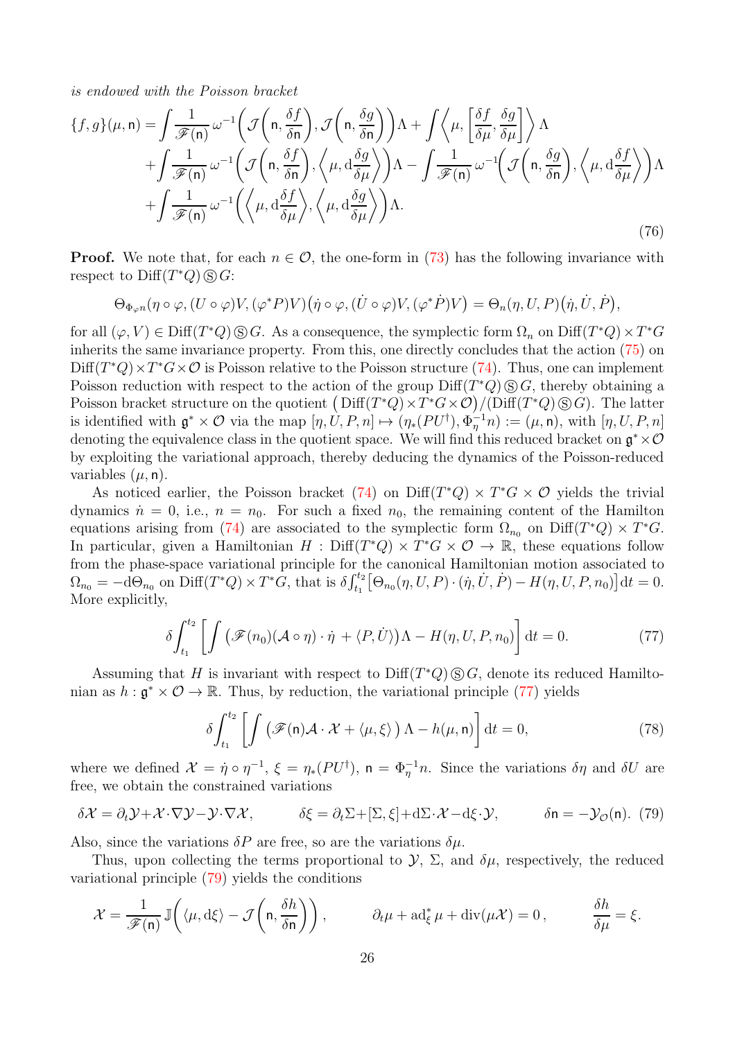is endowed with the Poisson bracket

<span id="page-25-2"></span>
$$
\{f, g\}(\mu, \mathbf{n}) = \int \frac{1}{\mathscr{F}(\mathbf{n})} \omega^{-1} \left( \mathcal{J}\left(\mathbf{n}, \frac{\delta f}{\delta \mathbf{n}}\right), \mathcal{J}\left(\mathbf{n}, \frac{\delta g}{\delta \mathbf{n}}\right) \right) \Lambda + \int \left\langle \mu, \left[ \frac{\delta f}{\delta \mu}, \frac{\delta g}{\delta \mu} \right] \right\rangle \Lambda + \int \frac{1}{\mathscr{F}(\mathbf{n})} \omega^{-1} \left( \mathcal{J}\left(\mathbf{n}, \frac{\delta f}{\delta \mathbf{n}}\right), \left\langle \mu, \mathbf{d} \frac{\delta g}{\delta \mu} \right\rangle \right) \Lambda - \int \frac{1}{\mathscr{F}(\mathbf{n})} \omega^{-1} \left( \mathcal{J}\left(\mathbf{n}, \frac{\delta g}{\delta \mathbf{n}}\right), \left\langle \mu, \mathbf{d} \frac{\delta f}{\delta \mu} \right\rangle \right) \Lambda + \int \frac{1}{\mathscr{F}(\mathbf{n})} \omega^{-1} \left( \left\langle \mu, \mathbf{d} \frac{\delta f}{\delta \mu} \right\rangle, \left\langle \mu, \mathbf{d} \frac{\delta g}{\delta \mu} \right\rangle \right) \Lambda.
$$
\n(76)

**Proof.** We note that, for each  $n \in \mathcal{O}$ , the one-form in [\(73\)](#page-24-3) has the following invariance with respect to  $\text{Diff}(T^*Q) \textcircled{s} G$ :

$$
\Theta_{\Phi_{\varphi}n}(\eta \circ \varphi, (U \circ \varphi)V, (\varphi^* P)V)(\dot{\eta} \circ \varphi, (\dot{U} \circ \varphi)V, (\varphi^* \dot{P})V) = \Theta_n(\eta, U, P)(\dot{\eta}, \dot{U}, \dot{P}),
$$

for all  $(\varphi, V) \in \text{Diff}(T^*Q) \otimes G$ . As a consequence, the symplectic form  $\Omega_n$  on  $\text{Diff}(T^*Q) \times T^*G$ inherits the same invariance property. From this, one directly concludes that the action [\(75\)](#page-24-2) on  $Diff(T^*Q) \times T^*G \times \mathcal{O}$  is Poisson relative to the Poisson structure [\(74\)](#page-24-1). Thus, one can implement Poisson reduction with respect to the action of the group  $\text{Diff}(T^*Q) \textcircled{s} G$ , thereby obtaining a Poisson bracket structure on the quotient  $(Diff(T^*Q) \times T^*G \times \mathcal{O})/(\text{Diff}(T^*Q) \otimes G)$ . The latter is identified with  $\mathfrak{g}^* \times \mathcal{O}$  via the map  $[\eta, U, P, n] \mapsto (\eta_*(PU^{\dagger}), \Phi_{\eta}^{-1}n) := (\mu, \mathsf{n})$ , with  $[\eta, U, P, n]$ denoting the equivalence class in the quotient space. We will find this reduced bracket on  $\mathfrak{g}^* \times \mathcal{O}$ by exploiting the variational approach, thereby deducing the dynamics of the Poisson-reduced variables  $(\mu, n)$ .

As noticed earlier, the Poisson bracket  $(74)$  on Diff $(T^*Q) \times T^*G \times \mathcal{O}$  yields the trivial dynamics  $\dot{n} = 0$ , i.e.,  $n = n_0$ . For such a fixed  $n_0$ , the remaining content of the Hamilton equations arising from [\(74\)](#page-24-1) are associated to the symplectic form  $\Omega_{n_0}$  on Diff(T\*Q) × T\*G. In particular, given a Hamiltonian  $H : \text{Diff}(T^*Q) \times T^*G \times \mathcal{O} \to \mathbb{R}$ , these equations follow from the phase-space variational principle for the canonical Hamiltonian motion associated to  $\Omega_{n_0} = -\mathrm{d}\Theta_{n_0}$  on  $\text{Diff}(T^*Q) \times T^*G$ , that is  $\delta \int_{t_1}^{t_2} \big[\Theta_{n_0}(\eta, U, P) \cdot (\dot{\eta}, \dot{U}, \dot{P}) - H(\eta, U, P, n_0)\big] \mathrm{d}t = 0$ . More explicitly,

<span id="page-25-0"></span>
$$
\delta \int_{t_1}^{t_2} \left[ \int \left( \mathcal{F}(n_0) (\mathcal{A} \circ \eta) \cdot \dot{\eta} + \langle P, \dot{U} \rangle \right) \Lambda - H(\eta, U, P, n_0) \right] dt = 0. \tag{77}
$$

Assuming that H is invariant with respect to  $\text{Diff}(T^*Q)\,\textcircled{S} G$ , denote its reduced Hamiltonian as  $h : \mathfrak{g}^* \times \mathcal{O} \to \mathbb{R}$ . Thus, by reduction, the variational principle [\(77\)](#page-25-0) yields

$$
\delta \int_{t_1}^{t_2} \left[ \int \left( \mathcal{F}(\mathbf{n}) \mathcal{A} \cdot \mathcal{X} + \langle \mu, \xi \rangle \right) \Lambda - h(\mu, \mathbf{n}) \right] dt = 0, \tag{78}
$$

where we defined  $\mathcal{X} = \dot{\eta} \circ \eta^{-1}$ ,  $\xi = \eta_*(PU^{\dagger})$ ,  $\mathsf{n} = \Phi_{\eta}^{-1}n$ . Since the variations  $\delta\eta$  and  $\delta U$  are free, we obtain the constrained variations

<span id="page-25-1"></span>
$$
\delta \mathcal{X} = \partial_t \mathcal{Y} + \mathcal{X} \cdot \nabla \mathcal{Y} - \mathcal{Y} \cdot \nabla \mathcal{X}, \qquad \delta \xi = \partial_t \Sigma + [\Sigma, \xi] + d\Sigma \cdot \mathcal{X} - d\xi \cdot \mathcal{Y}, \qquad \delta \mathsf{n} = -\mathcal{Y}_{\mathcal{O}}(\mathsf{n}). \tag{79}
$$

Also, since the variations  $\delta P$  are free, so are the variations  $\delta \mu$ .

Thus, upon collecting the terms proportional to  $\mathcal{Y}, \Sigma$ , and  $\delta\mu$ , respectively, the reduced variational principle [\(79\)](#page-25-1) yields the conditions

$$
\mathcal{X} = \frac{1}{\mathscr{F}(\mathsf{n})} \mathbb{J}\left(\langle \mu, d\xi \rangle - \mathcal{J}\left(\mathsf{n}, \frac{\delta h}{\delta \mathsf{n}}\right)\right), \qquad \partial_t \mu + \mathrm{ad}_{\xi}^* \mu + \mathrm{div}(\mu \mathcal{X}) = 0, \qquad \frac{\delta h}{\delta \mu} = \xi.
$$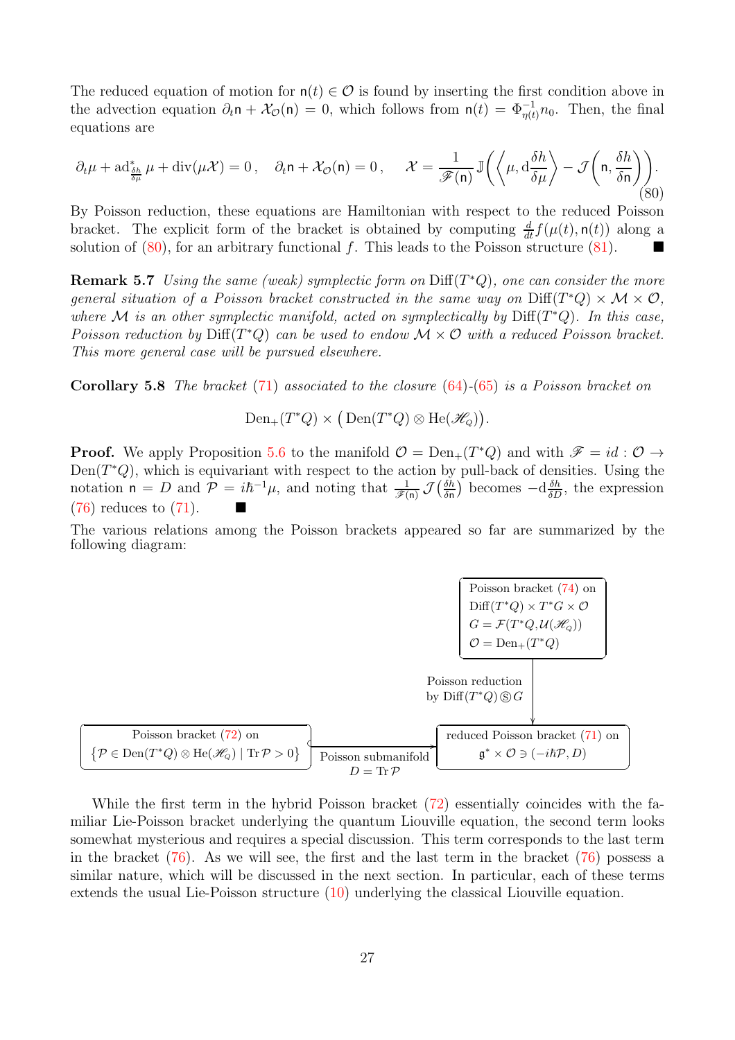The reduced equation of motion for  $n(t) \in \mathcal{O}$  is found by inserting the first condition above in the advection equation  $\partial_t \mathbf{n} + \mathcal{X}_{\mathcal{O}}(\mathbf{n}) = 0$ , which follows from  $\mathbf{n}(t) = \Phi_{\eta(t)}^{-1} n_0$ . Then, the final equations are

<span id="page-26-1"></span>
$$
\partial_t \mu + \mathrm{ad}^*_{\frac{\delta h}{\delta \mu}} \mu + \mathrm{div}(\mu \mathcal{X}) = 0 \,, \quad \partial_t \mathsf{n} + \mathcal{X}_\mathcal{O}(\mathsf{n}) = 0 \,, \quad \mathcal{X} = \frac{1}{\mathscr{F}(\mathsf{n})} \mathbb{J}\left(\left\langle \mu, \mathrm{d} \frac{\delta h}{\delta \mu} \right\rangle - \mathcal{J}\left(\mathsf{n}, \frac{\delta h}{\delta \mathsf{n}}\right) \right) \tag{80}
$$

By Poisson reduction, these equations are Hamiltonian with respect to the reduced Poisson bracket. The explicit form of the bracket is obtained by computing  $\frac{d}{dt} f(\mu(t), \mathbf{n}(t))$  along a solution of  $(80)$ , for an arbitrary functional f. This leads to the Poisson structure  $(81)$ .

**Remark 5.7** Using the same (weak) symplectic form on  $\text{Diff}(T^*Q)$ , one can consider the more general situation of a Poisson bracket constructed in the same way on  $Diff(T^*Q) \times \mathcal{M} \times \mathcal{O}$ , where M is an other symplectic manifold, acted on symplectically by  $\text{Diff}(T^*Q)$ . In this case, Poisson reduction by  $\text{Diff}(T^*Q)$  can be used to endow  $\mathcal{M} \times \mathcal{O}$  with a reduced Poisson bracket. This more general case will be pursued elsewhere.

<span id="page-26-0"></span>Corollary 5.8 The bracket [\(71\)](#page-22-2) associated to the closure [\(64\)](#page-20-2)-[\(65\)](#page-20-1) is a Poisson bracket on

 $Den_{+}(T^{*}Q) \times (Den(T^{*}Q) \otimes He(\mathcal{H}_{Q})).$ 

**Proof.** We apply Proposition [5.6](#page-24-4) to the manifold  $\mathcal{O} = \text{Den}_+(T^*Q)$  and with  $\mathcal{F} = id : \mathcal{O} \to$  $Den(T^*Q)$ , which is equivariant with respect to the action by pull-back of densities. Using the notation  $n = D$  and  $\mathcal{P} = i\hbar^{-1}\mu$ , and noting that  $\frac{1}{\mathscr{F}(n)} \mathcal{J}(\frac{\delta \tilde{h}}{\delta n})$  becomes  $-\mathrm{d}\frac{\delta h}{\delta D}$ , the expression [\(76\)](#page-25-2) reduces to [\(71\)](#page-22-2).

The various relations among the Poisson brackets appeared so far are summarized by the following diagram:

 Poisson bracket [\(74\)](#page-24-1) on Diff(T <sup>∗</sup>Q) <sup>×</sup> <sup>T</sup> <sup>∗</sup><sup>G</sup> × O G = F(T <sup>∗</sup>Q, <sup>U</sup>(HQ)) O = Den+(T <sup>∗</sup>Q) Poisson reduction by Diff(T <sup>∗</sup>Q) s G Poisson bracket [\(72\)](#page-23-0) on P ∈ Den(T <sup>∗</sup>Q) <sup>⊗</sup> He(HQ) <sup>|</sup> Tr<sup>P</sup> <sup>&</sup>gt; <sup>0</sup> Poisson submanifold D = TrP / reduced Poisson bracket [\(71\)](#page-22-2) on g <sup>∗</sup> × O ∋ (−i~P, D)

While the first term in the hybrid Poisson bracket [\(72\)](#page-23-0) essentially coincides with the familiar Lie-Poisson bracket underlying the quantum Liouville equation, the second term looks somewhat mysterious and requires a special discussion. This term corresponds to the last term in the bracket  $(76)$ . As we will see, the first and the last term in the bracket  $(76)$  possess a similar nature, which will be discussed in the next section. In particular, each of these terms extends the usual Lie-Poisson structure [\(10\)](#page-6-2) underlying the classical Liouville equation.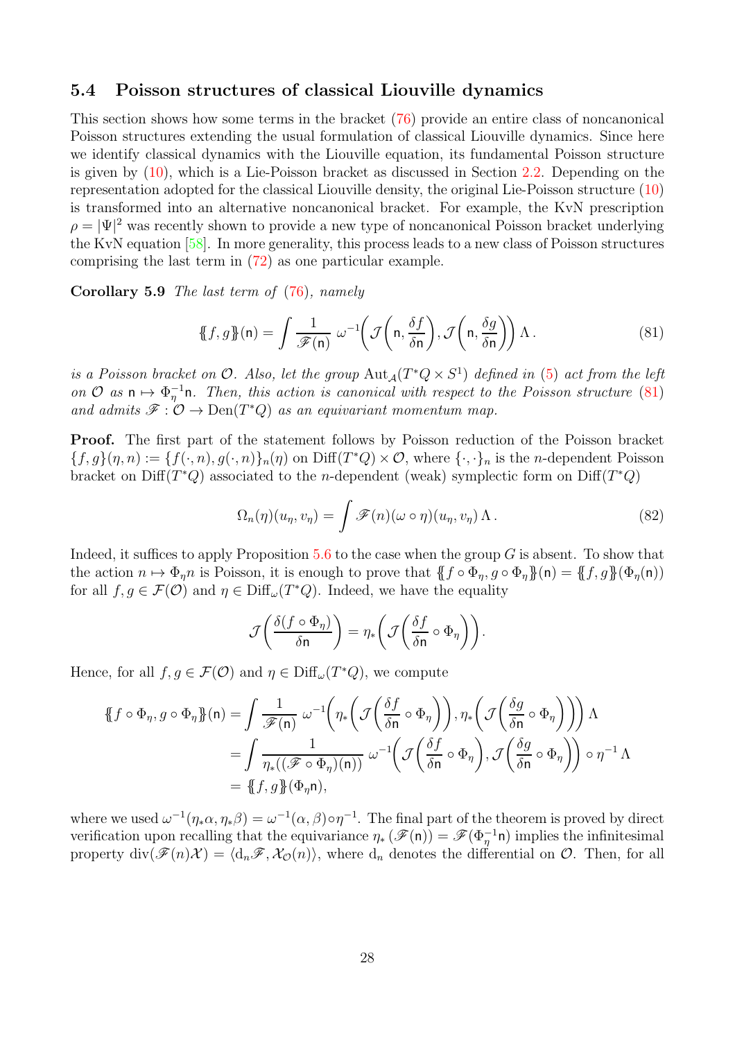### <span id="page-27-0"></span>5.4 Poisson structures of classical Liouville dynamics

This section shows how some terms in the bracket [\(76\)](#page-25-2) provide an entire class of noncanonical Poisson structures extending the usual formulation of classical Liouville dynamics. Since here we identify classical dynamics with the Liouville equation, its fundamental Poisson structure is given by [\(10\)](#page-6-2), which is a Lie-Poisson bracket as discussed in Section [2.2.](#page-5-0) Depending on the representation adopted for the classical Liouville density, the original Lie-Poisson structure [\(10\)](#page-6-2) is transformed into an alternative noncanonical bracket. For example, the KvN prescription  $\rho = |\Psi|^2$  was recently shown to provide a new type of noncanonical Poisson bracket underlying the KvN equation [\[58\]](#page-39-11). In more generality, this process leads to a new class of Poisson structures comprising the last term in [\(72\)](#page-23-0) as one particular example.

Corollary 5.9 The last term of [\(76\)](#page-25-2), namely

<span id="page-27-1"></span>
$$
\{\!\!\{f,g\}\!\!\}(n) = \int \frac{1}{\mathscr{F}(n)} \; \omega^{-1} \!\left(\mathcal{J}\!\left(n, \frac{\delta f}{\delta n}\right), \mathcal{J}\!\left(n, \frac{\delta g}{\delta n}\right)\right) \Lambda \,. \tag{81}
$$

is a Poisson bracket on  $\mathcal O$ . Also, let the group  ${\rm Aut}_\mathcal A(T^*Q\times S^1)$  defined in [\(5\)](#page-5-1) act from the left on  $\mathcal{O}$  as  $\mathsf{n} \mapsto \Phi_{\eta}^{-1} \mathsf{n}$ . Then, this action is canonical with respect to the Poisson structure [\(81\)](#page-27-1) and admits  $\mathscr{F}: \mathcal{O} \to \text{Den}(T^*Q)$  as an equivariant momentum map.

Proof. The first part of the statement follows by Poisson reduction of the Poisson bracket  ${f, g}(n, n) := {f(\cdot, n), g(\cdot, n)}_n(n)$  on  $Diff(T^*Q) \times \mathcal{O}$ , where  ${\cdot, \cdot}_n$  is the *n*-dependent Poisson bracket on Diff( $T^*Q$ ) associated to the *n*-dependent (weak) symplectic form on Diff( $T^*Q$ )

$$
\Omega_n(\eta)(u_\eta, v_\eta) = \int \mathscr{F}(n)(\omega \circ \eta)(u_\eta, v_\eta) \Lambda. \tag{82}
$$

Indeed, it suffices to apply Proposition  $5.6$  to the case when the group G is absent. To show that the action  $n \mapsto \Phi_n n$  is Poisson, it is enough to prove that  $\{f \circ \Phi_n, g \circ \Phi_n\}(n) = \{f, g\}(\Phi_n(n))$ for all  $f, g \in \mathcal{F}(\mathcal{O})$  and  $\eta \in \text{Diff}_{\omega}(T^*Q)$ . Indeed, we have the equality

$$
\mathcal{J}\left(\frac{\delta(f \circ \Phi_{\eta})}{\delta \mathsf{n}}\right) = \eta_*\bigg(\mathcal{J}\bigg(\frac{\delta f}{\delta \mathsf{n}} \circ \Phi_{\eta}\bigg)\bigg).
$$

Hence, for all  $f, g \in \mathcal{F}(\mathcal{O})$  and  $\eta \in \text{Diff}_{\omega}(T^*Q)$ , we compute

$$
\begin{split} \mathcal{H}f \circ \Phi_{\eta}, g \circ \Phi_{\eta} \mathcal{H}(\mathbf{n}) &= \int \frac{1}{\mathscr{F}(\mathbf{n})} \, \omega^{-1} \bigg( \eta_* \bigg( \mathcal{J} \bigg( \frac{\delta f}{\delta \mathbf{n}} \circ \Phi_{\eta} \bigg) \bigg), \eta_* \bigg( \mathcal{J} \bigg( \frac{\delta g}{\delta \mathbf{n}} \circ \Phi_{\eta} \bigg) \bigg) \bigg) \, \Lambda \\ &= \int \frac{1}{\eta_* \big( (\mathscr{F} \circ \Phi_{\eta})(\mathbf{n}) \big)} \, \omega^{-1} \bigg( \mathcal{J} \bigg( \frac{\delta f}{\delta \mathbf{n}} \circ \Phi_{\eta} \bigg), \mathcal{J} \bigg( \frac{\delta g}{\delta \mathbf{n}} \circ \Phi_{\eta} \bigg) \bigg) \circ \eta^{-1} \, \Lambda \\ &= \mathcal{H}f, g \mathcal{H}(\Phi_{\eta} \mathbf{n}), \end{split}
$$

where we used  $\omega^{-1}(\eta_*\alpha, \eta_*\beta) = \omega^{-1}(\alpha, \beta) \circ \eta^{-1}$ . The final part of the theorem is proved by direct verification upon recalling that the equivariance  $\eta_* (\mathscr{F}(n)) = \mathscr{F}(\Phi_{\eta}^{-1} n)$  implies the infinitesimal property  $\text{div}(\mathscr{F}(n)\mathcal{X}) = \langle d_n\mathscr{F}, \mathcal{X}_{\mathcal{O}}(n) \rangle$ , where  $d_n$  denotes the differential on  $\mathcal{O}$ . Then, for all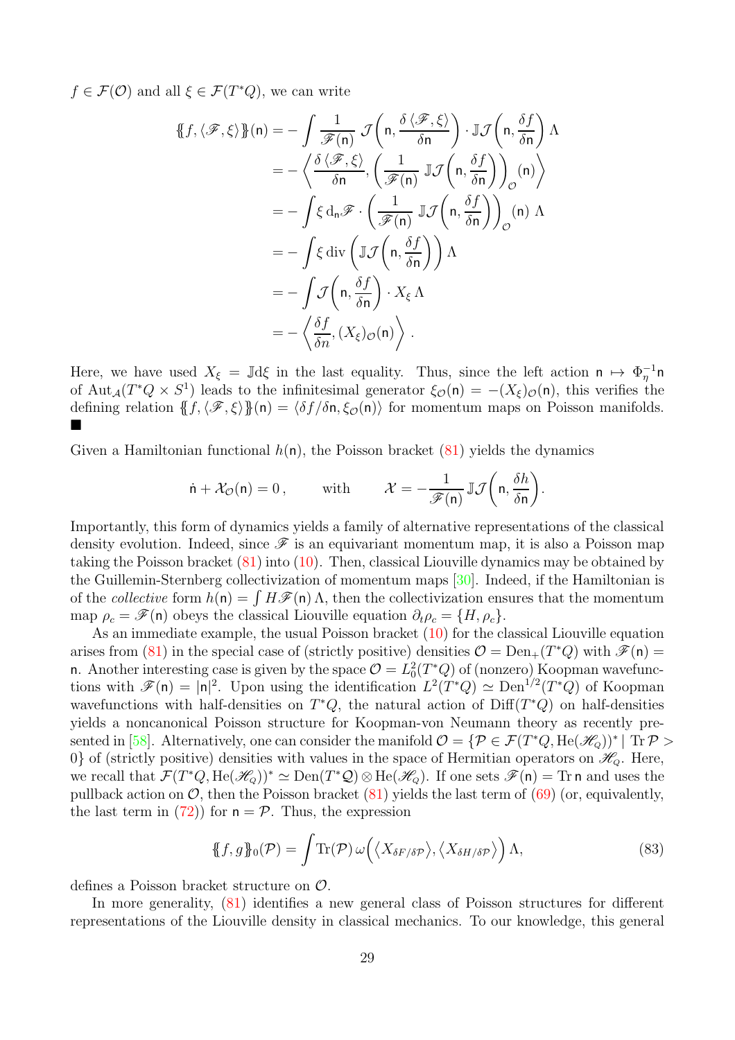$f \in \mathcal{F}(\mathcal{O})$  and all  $\xi \in \mathcal{F}(T^*Q)$ , we can write

$$
\begin{split}\n\{\!\{f,\langle\mathscr{F},\xi\rangle\}\!\}\!(n) &= -\int \frac{1}{\mathscr{F}(n)} \mathcal{J}\!\left(n,\frac{\delta\langle\mathscr{F},\xi\rangle}{\delta n}\right) \cdot \mathbb{J}\mathcal{J}\!\left(n,\frac{\delta f}{\delta n}\right) \Lambda \\
&= -\left\langle \frac{\delta\langle\mathscr{F},\xi\rangle}{\delta n}, \left(\frac{1}{\mathscr{F}(n)} \mathbb{J}\mathcal{J}\!\left(n,\frac{\delta f}{\delta n}\right)\right)_{\mathcal{O}}\!\left(n\right) \right\rangle \\
&= -\int \xi \, d_n \mathscr{F} \cdot \left(\frac{1}{\mathscr{F}(n)} \mathbb{J}\mathcal{J}\!\left(n,\frac{\delta f}{\delta n}\right)\right)_{\mathcal{O}}\!\left(n\right) \Lambda \\
&= -\int \xi \, \text{div}\left(\mathbb{J}\mathcal{J}\!\left(n,\frac{\delta f}{\delta n}\right)\right) \Lambda \\
&= -\int \mathcal{J}\!\left(n,\frac{\delta f}{\delta n}\right) \cdot X_{\xi} \Lambda \\
&= -\left\langle \frac{\delta f}{\delta n}, (X_{\xi})_{\mathcal{O}}\!\left(n\right)\right\rangle.\n\end{split}
$$

Here, we have used  $X_{\xi} = \mathbb{J} d\xi$  in the last equality. Thus, since the left action  $n \mapsto \Phi_{\eta}^{-1} n$ of  ${\rm Aut}_{\mathcal{A}}(T^*Q \times S^1)$  leads to the infinitesimal generator  $\xi_{\mathcal{O}}(\mathsf{n}) = -(X_{\xi})_{\mathcal{O}}(\mathsf{n})$ , this verifies the defining relation  ${f, \langle \mathcal{F}, \xi \rangle }(n) = \langle \delta f/\delta n, \xi_{\mathcal{O}}(n) \rangle$  for momentum maps on Poisson manifolds. 

Given a Hamiltonian functional  $h(n)$ , the Poisson bracket [\(81\)](#page-27-1) yields the dynamics

$$
\dot{\mathsf{n}} + \mathcal{X}_{\mathcal{O}}(\mathsf{n}) = 0\,,\qquad \text{ with }\qquad \mathcal{X} = -\frac{1}{\mathscr{F}(\mathsf{n})}\,\mathbb{J}\mathcal{J}\bigg(\mathsf{n}, \frac{\delta h}{\delta \mathsf{n}}\bigg).
$$

Importantly, this form of dynamics yields a family of alternative representations of the classical density evolution. Indeed, since  $\mathscr F$  is an equivariant momentum map, it is also a Poisson map taking the Poisson bracket [\(81\)](#page-27-1) into [\(10\)](#page-6-2). Then, classical Liouville dynamics may be obtained by the Guillemin-Sternberg collectivization of momentum maps [\[30\]](#page-38-12). Indeed, if the Hamiltonian is of the collective form  $h(n) = \int H \mathscr{F}(n) \Lambda$ , then the collectivization ensures that the momentum map  $\rho_c = \mathscr{F}(\mathsf{n})$  obeys the classical Liouville equation  $\partial_t \rho_c = \{H, \rho_c\}.$ 

As an immediate example, the usual Poisson bracket  $(10)$  for the classical Liouville equation arises from [\(81\)](#page-27-1) in the special case of (strictly positive) densities  $\mathcal{O} = \text{Den}_{+}(T^*Q)$  with  $\mathcal{F}(n) =$ n. Another interesting case is given by the space  $\mathcal{O} = L_0^2(T^*Q)$  of (nonzero) Koopman wavefunctions with  $\mathscr{F}(\mathsf{n}) = |\mathsf{n}|^2$ . Upon using the identification  $L^2(T^*Q) \simeq \text{Den}^{1/2}(T^*Q)$  of Koopman wavefunctions with half-densities on  $T^*Q$ , the natural action of  $\text{Diff}(T^*Q)$  on half-densities yields a noncanonical Poisson structure for Koopman-von Neumann theory as recently pre-sented in [\[58\]](#page-39-11). Alternatively, one can consider the manifold  $\mathcal{O} = \{ \mathcal{P} \in \mathcal{F}(T^*Q, \text{He}(\mathscr{H}_Q))^* | \text{ Tr } \mathcal{P} > \emptyset \}$ 0} of (strictly positive) densities with values in the space of Hermitian operators on  $\mathcal{H}_Q$ . Here, we recall that  $\mathcal{F}(T^*Q, \text{He}(\mathcal{H}_Q))^* \simeq \text{Den}(T^*\mathcal{Q}) \otimes \text{He}(\mathcal{H}_Q)$ . If one sets  $\mathcal{F}(\mathsf{n}) = \text{Tr}\,\mathsf{n}$  and uses the pullback action on  $\mathcal{O}$ , then the Poisson bracket [\(81\)](#page-27-1) yields the last term of [\(69\)](#page-22-1) (or, equivalently, the last term in [\(72\)](#page-23-0)) for  $n = P$ . Thus, the expression

<span id="page-28-0"></span>
$$
\{\!\!\{f,g\}\!\!\}_0(\mathcal{P}) = \int \! \text{Tr}(\mathcal{P}) \, \omega\big(\langle X_{\delta F/\delta \mathcal{P}} \rangle, \langle X_{\delta H/\delta \mathcal{P}} \rangle \big) \, \Lambda,\tag{83}
$$

defines a Poisson bracket structure on O.

In more generality, [\(81\)](#page-27-1) identifies a new general class of Poisson structures for different representations of the Liouville density in classical mechanics. To our knowledge, this general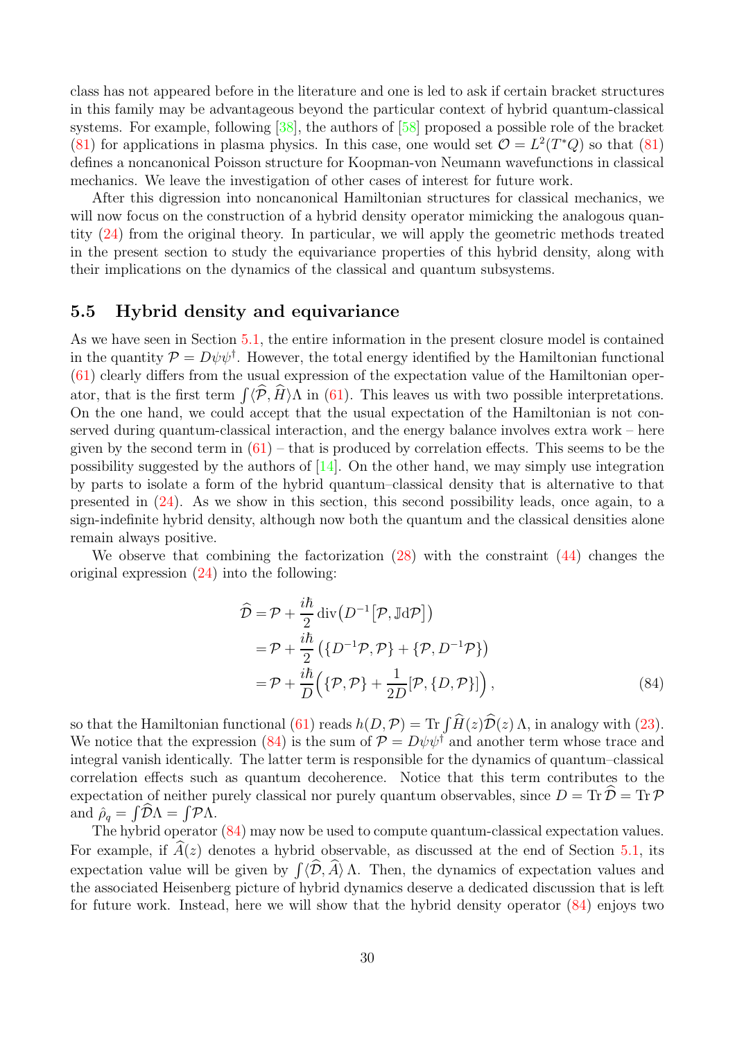class has not appeared before in the literature and one is led to ask if certain bracket structures in this family may be advantageous beyond the particular context of hybrid quantum-classical systems. For example, following [\[38\]](#page-38-7), the authors of [\[58\]](#page-39-11) proposed a possible role of the bracket [\(81\)](#page-27-1) for applications in plasma physics. In this case, one would set  $\mathcal{O} = L^2(T^*Q)$  so that [\(81\)](#page-27-1) defines a noncanonical Poisson structure for Koopman-von Neumann wavefunctions in classical mechanics. We leave the investigation of other cases of interest for future work.

After this digression into noncanonical Hamiltonian structures for classical mechanics, we will now focus on the construction of a hybrid density operator mimicking the analogous quantity [\(24\)](#page-11-2) from the original theory. In particular, we will apply the geometric methods treated in the present section to study the equivariance properties of this hybrid density, along with their implications on the dynamics of the classical and quantum subsystems.

## <span id="page-29-0"></span>5.5 Hybrid density and equivariance

As we have seen in Section [5.1,](#page-19-1) the entire information in the present closure model is contained in the quantity  $\mathcal{P} = D\psi\psi^{\dagger}$ . However, the total energy identified by the Hamiltonian functional [\(61\)](#page-19-4) clearly differs from the usual expression of the expectation value of the Hamiltonian operator, that is the first term  $\int \langle \mathcal{P}, H \rangle \Lambda$  in [\(61\)](#page-19-4). This leaves us with two possible interpretations. On the one hand, we could accept that the usual expectation of the Hamiltonian is not conserved during quantum-classical interaction, and the energy balance involves extra work – here given by the second term in  $(61)$  – that is produced by correlation effects. This seems to be the possibility suggested by the authors of  $[14]$ . On the other hand, we may simply use integration by parts to isolate a form of the hybrid quantum–classical density that is alternative to that presented in [\(24\)](#page-11-2). As we show in this section, this second possibility leads, once again, to a sign-indefinite hybrid density, although now both the quantum and the classical densities alone remain always positive.

We observe that combining the factorization [\(28\)](#page-12-1) with the constraint [\(44\)](#page-15-1) changes the original expression [\(24\)](#page-11-2) into the following:

<span id="page-29-1"></span>
$$
\hat{\mathcal{D}} = \mathcal{P} + \frac{i\hbar}{2} \operatorname{div} (D^{-1} [\mathcal{P}, \mathbb{J} \mathrm{d} \mathcal{P}])
$$
  
\n
$$
= \mathcal{P} + \frac{i\hbar}{2} \left( \{ D^{-1} \mathcal{P}, \mathcal{P} \} + \{ \mathcal{P}, D^{-1} \mathcal{P} \} \right)
$$
  
\n
$$
= \mathcal{P} + \frac{i\hbar}{D} \left( \{ \mathcal{P}, \mathcal{P} \} + \frac{1}{2D} [\mathcal{P}, \{ D, \mathcal{P} \} ] \right),
$$
\n(84)

so that the Hamiltonian functional [\(61\)](#page-19-4) reads  $h(D, \mathcal{P}) = \text{Tr} \int H(z)\mathcal{D}(z) \Lambda$ , in analogy with [\(23\)](#page-11-3). We notice that the expression [\(84\)](#page-29-1) is the sum of  $\mathcal{P} = D\psi \psi^{\dagger}$  and another term whose trace and integral vanish identically. The latter term is responsible for the dynamics of quantum–classical correlation effects such as quantum decoherence. Notice that this term contributes to the expectation of neither purely classical nor purely quantum observables, since  $D = \text{Tr } D = \text{Tr } P$ and  $\hat{\rho}_q = \int \mathcal{D}\Lambda = \int \mathcal{P}\Lambda$ .

The hybrid operator [\(84\)](#page-29-1) may now be used to compute quantum-classical expectation values. For example, if  $\widehat{A}(z)$  denotes a hybrid observable, as discussed at the end of Section [5.1,](#page-19-1) its expectation value will be given by  $\int \langle \mathcal{D}, A \rangle \Lambda$ . Then, the dynamics of expectation values and the associated Heisenberg picture of hybrid dynamics deserve a dedicated discussion that is left for future work. Instead, here we will show that the hybrid density operator [\(84\)](#page-29-1) enjoys two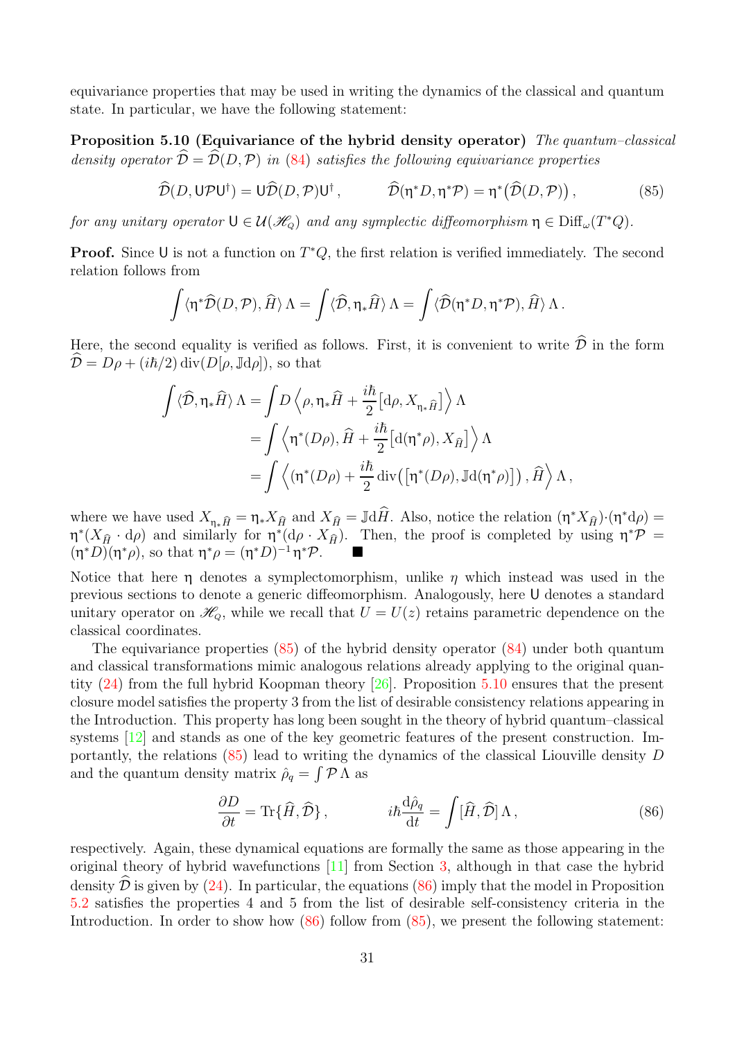<span id="page-30-1"></span>equivariance properties that may be used in writing the dynamics of the classical and quantum state. In particular, we have the following statement:

Proposition 5.10 (Equivariance of the hybrid density operator) The quantum–classical density operator  $\hat{\mathcal{D}} = \hat{\mathcal{D}}(D,\mathcal{P})$  in [\(84\)](#page-29-1) satisfies the following equivariance properties

<span id="page-30-0"></span>
$$
\widehat{\mathcal{D}}(D,\mathsf{U}\mathcal{P}\mathsf{U}^{\dagger})=\mathsf{U}\widehat{\mathcal{D}}(D,\mathcal{P})\mathsf{U}^{\dagger},\qquad \widehat{\mathcal{D}}(\eta^*D,\eta^*\mathcal{P})=\eta^*\big(\widehat{\mathcal{D}}(D,\mathcal{P})\big)\,,\tag{85}
$$

for any unitary operator  $\mathsf{U} \in \mathcal{U}(\mathcal{H}_{\mathcal{Q}})$  and any symplectic diffeomorphism  $\eta \in \text{Diff}_{\omega}(T^*Q)$ .

**Proof.** Since U is not a function on  $T^*Q$ , the first relation is verified immediately. The second relation follows from

$$
\int \langle \eta^* \widehat{\mathcal{D}}(D,\mathcal{P}), \widehat{H} \rangle \Lambda = \int \langle \widehat{\mathcal{D}}, \eta_* \widehat{H} \rangle \Lambda = \int \langle \widehat{\mathcal{D}}(\eta^* D,\eta^* \mathcal{P}), \widehat{H} \rangle \Lambda.
$$

Here, the second equality is verified as follows. First, it is convenient to write  $\widehat{\mathcal{D}}$  in the form  $\hat{\mathcal{D}} = D\rho + (i\hbar/2) \operatorname{div}(D[\rho, \mathbb{J}d\rho]),$  so that

$$
\int \langle \widehat{\mathcal{D}}, \eta_* \widehat{H} \rangle \Lambda = \int D \left\langle \rho, \eta_* \widehat{H} + \frac{i\hbar}{2} \Big[ d\rho, X_{\eta_* \widehat{H}} \Big] \right\rangle \Lambda \n= \int \left\langle \eta^*(D\rho), \widehat{H} + \frac{i\hbar}{2} \Big[ d(\eta^*\rho), X_{\widehat{H}} \Big] \right\rangle \Lambda \n= \int \left\langle (\eta^*(D\rho) + \frac{i\hbar}{2} \operatorname{div} \left( [\eta^*(D\rho), \mathbb{J}d(\eta^*\rho) \right] \right), \widehat{H} \right\rangle \Lambda,
$$

where we have used  $X_{\eta_*\hat{H}} = \eta_* X_{\hat{H}}$  and  $X_{\hat{H}} = \mathbb{J} d\hat{H}$ . Also, notice the relation  $(\eta^* X_{\hat{H}}) \cdot (\eta^* d\rho) =$  $\eta^*(X_{\hat{H}} \cdot d\rho)$  and similarly for  $\eta^*(d\rho \cdot X_{\hat{H}})$ . Then, the proof is completed by using  $\eta^*\mathcal{P}$  =  $(\eta^* D)(\eta^* \rho)$ , so that  $\eta^* \rho = (\eta^* D)^{-1} \eta^* \mathcal{P}$ .

Notice that here  $\eta$  denotes a symplectomorphism, unlike  $\eta$  which instead was used in the previous sections to denote a generic diffeomorphism. Analogously, here U denotes a standard unitary operator on  $\mathscr{H}_{\scriptscriptstyle Q}$ , while we recall that  $U = U(z)$  retains parametric dependence on the classical coordinates.

The equivariance properties  $(85)$  of the hybrid density operator  $(84)$  under both quantum and classical transformations mimic analogous relations already applying to the original quantity [\(24\)](#page-11-2) from the full hybrid Koopman theory [\[26\]](#page-38-5). Proposition [5.10](#page-30-1) ensures that the present closure model satisfies the property 3 from the list of desirable consistency relations appearing in the Introduction. This property has long been sought in the theory of hybrid quantum–classical systems [\[12\]](#page-37-0) and stands as one of the key geometric features of the present construction. Importantly, the relations [\(85\)](#page-30-0) lead to writing the dynamics of the classical Liouville density D and the quantum density matrix  $\hat{\rho}_q = \int \mathcal{P} \Lambda$  as

<span id="page-30-2"></span>
$$
\frac{\partial D}{\partial t} = \text{Tr}\{\hat{H}, \hat{\mathcal{D}}\}, \qquad i\hbar \frac{\text{d}\hat{\rho}_q}{\text{d}t} = \int [\hat{H}, \hat{\mathcal{D}}] \Lambda, \qquad (86)
$$

<span id="page-30-3"></span>respectively. Again, these dynamical equations are formally the same as those appearing in the original theory of hybrid wavefunctions [\[11\]](#page-37-2) from Section [3,](#page-9-0) although in that case the hybrid density  $\hat{\mathcal{D}}$  is given by [\(24\)](#page-11-2). In particular, the equations [\(86\)](#page-30-2) imply that the model in Proposition [5.2](#page-21-2) satisfies the properties 4 and 5 from the list of desirable self-consistency criteria in the Introduction. In order to show how [\(86\)](#page-30-2) follow from [\(85\)](#page-30-0), we present the following statement: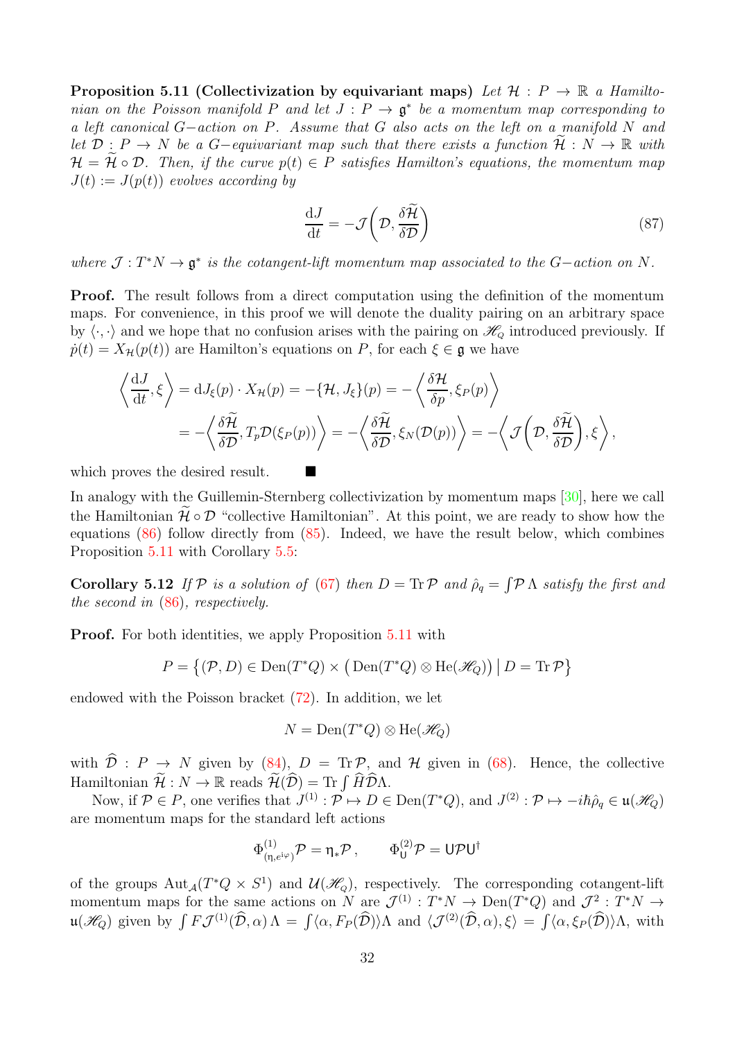Proposition 5.11 (Collectivization by equivariant maps) Let  $\mathcal{H}: P \to \mathbb{R}$  a Hamiltonian on the Poisson manifold P and let  $J : P \to \mathfrak{g}^*$  be a momentum map corresponding to a left canonical G−action on P. Assume that G also acts on the left on a manifold N and let  $\mathcal{D}: P \to N$  be a G-equivariant map such that there exists a function  $\widetilde{\mathcal{H}}: N \to \mathbb{R}$  with  $\mathcal{H} = \mathcal{H} \circ \mathcal{D}$ . Then, if the curve  $p(t) \in P$  satisfies Hamilton's equations, the momentum map  $J(t) := J(p(t))$  evolves according by

<span id="page-31-0"></span>
$$
\frac{\mathrm{d}J}{\mathrm{d}t} = -\mathcal{J}\left(\mathcal{D}, \frac{\delta \widetilde{\mathcal{H}}}{\delta \mathcal{D}}\right) \tag{87}
$$

where  $\mathcal{J}: T^*N \to \mathfrak{g}^*$  is the cotangent-lift momentum map associated to the G-action on N.

Proof. The result follows from a direct computation using the definition of the momentum maps. For convenience, in this proof we will denote the duality pairing on an arbitrary space by  $\langle \cdot, \cdot \rangle$  and we hope that no confusion arises with the pairing on  $\mathcal{H}_Q$  introduced previously. If  $\dot{p}(t) = X_{\mathcal{H}}(p(t))$  are Hamilton's equations on P, for each  $\xi \in \mathfrak{g}$  we have

$$
\left\langle \frac{\mathrm{d}J}{\mathrm{d}t}, \xi \right\rangle = \mathrm{d}J_{\xi}(p) \cdot X_{\mathcal{H}}(p) = -\left\langle \mathcal{H}, J_{\xi} \right\rangle(p) = -\left\langle \frac{\delta \mathcal{H}}{\delta p}, \xi_{P}(p) \right\rangle
$$
  
=  $-\left\langle \frac{\delta \widetilde{\mathcal{H}}}{\delta \mathcal{D}}, T_{p} \mathcal{D}(\xi_{P}(p)) \right\rangle = -\left\langle \frac{\delta \widetilde{\mathcal{H}}}{\delta \mathcal{D}}, \xi_{N}(\mathcal{D}(p)) \right\rangle = -\left\langle \mathcal{J}\left(\mathcal{D}, \frac{\delta \widetilde{\mathcal{H}}}{\delta \mathcal{D}}\right), \xi \right\rangle,$ 

which proves the desired result.

In analogy with the Guillemin-Sternberg collectivization by momentum maps [\[30\]](#page-38-12), here we call the Hamiltonian  $\mathcal{H} \circ \mathcal{D}$  "collective Hamiltonian". At this point, we are ready to show how the equations [\(86\)](#page-30-2) follow directly from [\(85\)](#page-30-0). Indeed, we have the result below, which combines Proposition [5.11](#page-30-3) with Corollary [5.5:](#page-23-1)

**Corollary 5.12** If  $P$  is a solution of [\(67\)](#page-21-1) then  $D = \text{Tr } P$  and  $\hat{\rho}_q = \int P \Lambda$  satisfy the first and the second in [\(86\)](#page-30-2), respectively.

**Proof.** For both identities, we apply Proposition [5.11](#page-30-3) with

$$
P = \{(\mathcal{P}, D) \in \text{Den}(T^*Q) \times (\text{Den}(T^*Q) \otimes \text{He}(\mathscr{H}_Q)) \mid D = \text{Tr}\,\mathcal{P}\}
$$

endowed with the Poisson bracket [\(72\)](#page-23-0). In addition, we let

$$
N = \operatorname{Den}(T^*Q) \otimes \operatorname{He}(\mathscr{H}_Q)
$$

with  $\hat{\mathcal{D}}$  :  $P \to N$  given by [\(84\)](#page-29-1),  $D = \text{Tr}\,\mathcal{P}$ , and  $\mathcal{H}$  given in [\(68\)](#page-21-3). Hence, the collective Hamiltonian  $\mathcal{H}: N \to \mathbb{R}$  reads  $\mathcal{H}(\hat{\mathcal{D}}) = \text{Tr} \int \hat{H} \hat{\mathcal{D}} \Lambda$ .

Now, if  $\mathcal{P} \in \mathcal{P}$ , one verifies that  $J^{(1)} : \mathcal{P} \mapsto D \in \text{Den}(T^*Q)$ , and  $J^{(2)} : \mathcal{P} \mapsto -i\hbar\hat{\rho}_q \in \mathfrak{u}(\mathcal{H}_Q)$ are momentum maps for the standard left actions

$$
\Phi^{(1)}_{(\eta,e^{{\rm i}\varphi})}\mathcal{P}=\eta_*\mathcal{P}\,,\qquad \Phi^{(2)}_{{\rm U}}\mathcal{P}={\rm U}\mathcal{P}{\rm U}^\dagger
$$

of the groups  $\mathrm{Aut}_{\mathcal{A}}(T^*Q \times S^1)$  and  $\mathcal{U}(\mathcal{H}_Q)$ , respectively. The corresponding cotangent-lift momentum maps for the same actions on N are  $\mathcal{J}^{(1)} : T^*N \to \text{Den}(T^*Q)$  and  $\mathcal{J}^2 : T^*N \to$  $\mathfrak{u}(\mathscr{H}_{Q})$  given by  $\int F\mathcal{J}^{(1)}(\widehat{\mathcal{D}}, \alpha)\Lambda = \int \langle \alpha, F_{P}(\widehat{\mathcal{D}}) \rangle \Lambda$  and  $\langle \mathcal{J}^{(2)}(\widehat{\mathcal{D}}, \alpha), \xi \rangle = \int \langle \alpha, \xi_{P}(\widehat{\mathcal{D}}) \rangle \Lambda$ , with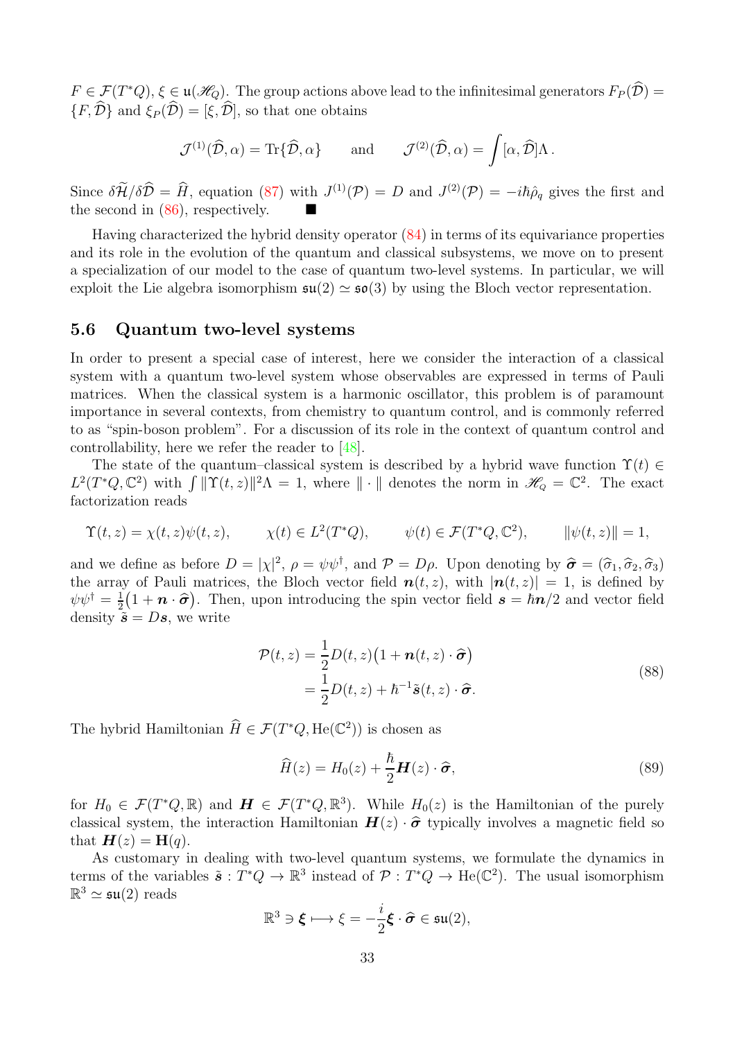$F \in \mathcal{F}(T^*Q), \xi \in \mathfrak{u}(\mathcal{H}_Q)$ . The group actions above lead to the infinitesimal generators  $F_P(\widehat{\mathcal{D}})$  =  $\{F, \widehat{\mathcal{D}}\}$  and  $\xi_P (\widehat{\mathcal{D}}) = [\xi, \widehat{\mathcal{D}}],$  so that one obtains

$$
\mathcal{J}^{(1)}(\widehat{\mathcal{D}}, \alpha) = \text{Tr}\{\widehat{\mathcal{D}}, \alpha\} \quad \text{and} \quad \mathcal{J}^{(2)}(\widehat{\mathcal{D}}, \alpha) = \int [\alpha, \widehat{\mathcal{D}}] \Lambda \, .
$$

Since  $\delta \tilde{\mathcal{H}}/\delta \hat{\mathcal{D}} = \hat{H}$ , equation [\(87\)](#page-31-0) with  $J^{(1)}(\mathcal{P}) = D$  and  $J^{(2)}(\mathcal{P}) = -i\hbar\hat{\rho}_q$  gives the first and the second in [\(86\)](#page-30-2), respectively.

Having characterized the hybrid density operator [\(84\)](#page-29-1) in terms of its equivariance properties and its role in the evolution of the quantum and classical subsystems, we move on to present a specialization of our model to the case of quantum two-level systems. In particular, we will exploit the Lie algebra isomorphism  $\mathfrak{su}(2) \simeq \mathfrak{so}(3)$  by using the Bloch vector representation.

#### <span id="page-32-0"></span>5.6 Quantum two-level systems

In order to present a special case of interest, here we consider the interaction of a classical system with a quantum two-level system whose observables are expressed in terms of Pauli matrices. When the classical system is a harmonic oscillator, this problem is of paramount importance in several contexts, from chemistry to quantum control, and is commonly referred to as "spin-boson problem". For a discussion of its role in the context of quantum control and controllability, here we refer the reader to [\[48\]](#page-39-18).

The state of the quantum–classical system is described by a hybrid wave function  $\Upsilon(t) \in$  $L^2(T^*Q, \mathbb{C}^2)$  with  $\int ||\Upsilon(t, z)||^2\Lambda = 1$ , where  $||\cdot||$  denotes the norm in  $\mathscr{H}_{Q} = \mathbb{C}^2$ . The exact factorization reads

$$
\Upsilon(t,z) = \chi(t,z)\psi(t,z), \qquad \chi(t) \in L^2(T^*Q), \qquad \psi(t) \in \mathcal{F}(T^*Q, \mathbb{C}^2), \qquad \|\psi(t,z)\| = 1,
$$

and we define as before  $D = |\chi|^2$ ,  $\rho = \psi \psi^{\dagger}$ , and  $\mathcal{P} = D\rho$ . Upon denoting by  $\hat{\sigma} = (\hat{\sigma}_1, \hat{\sigma}_2, \hat{\sigma}_3)$ the array of Pauli matrices, the Bloch vector field  $n(t, z)$ , with  $|n(t, z)| = 1$ , is defined by  $\psi \psi^{\dagger} = \frac{1}{2}$  $\frac{1}{2}(1+n\cdot\hat{\sigma})$ . Then, upon introducing the spin vector field  $s=\hbar n/2$  and vector field density  $\tilde{\mathbf{s}} = D\mathbf{s}$ , we write

<span id="page-32-1"></span>
$$
\mathcal{P}(t,z) = \frac{1}{2}D(t,z)\left(1 + \mathbf{n}(t,z)\cdot\hat{\boldsymbol{\sigma}}\right)
$$
  
=\frac{1}{2}D(t,z) + \hbar^{-1}\tilde{\mathbf{s}}(t,z)\cdot\hat{\boldsymbol{\sigma}}. (88)

The hybrid Hamiltonian  $\widehat{H} \in \mathcal{F}(T^*Q, \text{He}(\mathbb{C}^2))$  is chosen as

<span id="page-32-2"></span>
$$
\widehat{H}(z) = H_0(z) + \frac{\hbar}{2} \boldsymbol{H}(z) \cdot \widehat{\boldsymbol{\sigma}},
$$
\n(89)

for  $H_0 \in \mathcal{F}(T^*Q,\mathbb{R})$  and  $\mathbf{H} \in \mathcal{F}(T^*Q,\mathbb{R}^3)$ . While  $H_0(z)$  is the Hamiltonian of the purely classical system, the interaction Hamiltonian  $H(z) \cdot \hat{\sigma}$  typically involves a magnetic field so that  $H(z) = H(q)$ .

As customary in dealing with two-level quantum systems, we formulate the dynamics in terms of the variables  $\tilde{s}: T^*Q \to \mathbb{R}^3$  instead of  $\mathcal{P}: T^*Q \to \text{He}(\mathbb{C}^2)$ . The usual isomorphism  $\mathbb{R}^3 \simeq \mathfrak{su}(2)$  reads

$$
\mathbb{R}^3 \ni \boldsymbol{\xi} \longmapsto \xi = -\frac{i}{2}\boldsymbol{\xi} \cdot \widehat{\boldsymbol{\sigma}} \in \mathfrak{su}(2),
$$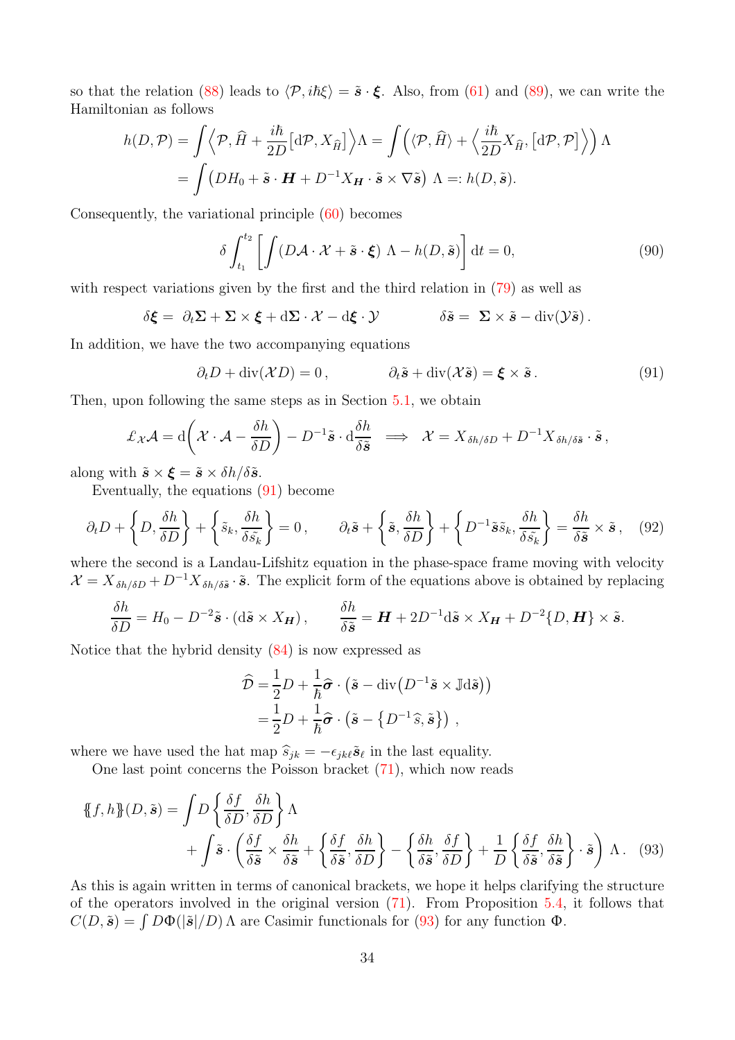so that the relation [\(88\)](#page-32-1) leads to  $\langle \mathcal{P}, i\hbar \xi \rangle = \tilde{\mathbf{s}} \cdot \xi$ . Also, from [\(61\)](#page-19-4) and [\(89\)](#page-32-2), we can write the Hamiltonian as follows

$$
h(D, \mathcal{P}) = \int \left\langle \mathcal{P}, \hat{H} + \frac{i\hbar}{2D} \left[ d\mathcal{P}, X_{\hat{H}} \right] \right\rangle \Lambda = \int \left( \left\langle \mathcal{P}, \hat{H} \right\rangle + \left\langle \frac{i\hbar}{2D} X_{\hat{H}}, \left[ d\mathcal{P}, \mathcal{P} \right] \right\rangle \right) \Lambda
$$
  
= 
$$
\int \left( DH_0 + \tilde{\mathbf{s}} \cdot \mathbf{H} + D^{-1} X_{\mathbf{H}} \cdot \tilde{\mathbf{s}} \times \nabla \tilde{\mathbf{s}} \right) \Lambda =: h(D, \tilde{\mathbf{s}}).
$$

Consequently, the variational principle [\(60\)](#page-19-2) becomes

$$
\delta \int_{t_1}^{t_2} \left[ \int (D\mathcal{A} \cdot \mathcal{X} + \tilde{\mathbf{s}} \cdot \boldsymbol{\xi}) \Lambda - h(D, \tilde{\mathbf{s}}) \right] dt = 0, \tag{90}
$$

with respect variations given by the first and the third relation in [\(79\)](#page-25-1) as well as

$$
\delta \boldsymbol{\xi} = \partial_t \boldsymbol{\Sigma} + \boldsymbol{\Sigma} \times \boldsymbol{\xi} + d \boldsymbol{\Sigma} \cdot \boldsymbol{\mathcal{X}} - d \boldsymbol{\xi} \cdot \boldsymbol{\mathcal{Y}} \qquad \delta \tilde{\boldsymbol{s}} = \boldsymbol{\Sigma} \times \tilde{\boldsymbol{s}} - div(\mathcal{Y}\tilde{\boldsymbol{s}}).
$$

In addition, we have the two accompanying equations

<span id="page-33-0"></span>
$$
\partial_t D + \operatorname{div}(\mathcal{X}D) = 0, \qquad \partial_t \tilde{\mathbf{s}} + \operatorname{div}(\mathcal{X}\tilde{\mathbf{s}}) = \boldsymbol{\xi} \times \tilde{\mathbf{s}}. \tag{91}
$$

Then, upon following the same steps as in Section [5.1,](#page-19-1) we obtain

$$
\pounds_{\mathcal{X}}\mathcal{A} = d\bigg(\mathcal{X}\cdot\mathcal{A} - \frac{\delta h}{\delta D}\bigg) - D^{-1}\tilde{\pmb{s}}\cdot d\frac{\delta h}{\delta \tilde{\pmb{s}}} \implies \mathcal{X} = X_{\delta h/\delta D} + D^{-1}X_{\delta h/\delta \tilde{\pmb{s}}} \cdot \tilde{\pmb{s}}\,,
$$

along with  $\tilde{\mathbf{s}} \times \boldsymbol{\xi} = \tilde{\mathbf{s}} \times \delta h / \delta \tilde{\mathbf{s}}$ .

Eventually, the equations [\(91\)](#page-33-0) become

$$
\partial_t D + \left\{ D, \frac{\delta h}{\delta D} \right\} + \left\{ \tilde{s}_k, \frac{\delta h}{\delta \tilde{s}_k} \right\} = 0, \qquad \partial_t \tilde{\mathbf{s}} + \left\{ \tilde{\mathbf{s}}, \frac{\delta h}{\delta D} \right\} + \left\{ D^{-1} \tilde{\mathbf{s}} \tilde{s}_k, \frac{\delta h}{\delta \tilde{s}_k} \right\} = \frac{\delta h}{\delta \tilde{\mathbf{s}}} \times \tilde{\mathbf{s}} \,, \quad (92)
$$

where the second is a Landau-Lifshitz equation in the phase-space frame moving with velocity  $\mathcal{X} = X_{\delta h/\delta D} + D^{-1} X_{\delta h/\delta \tilde{\mathbf{s}}} \cdot \tilde{\mathbf{s}}$ . The explicit form of the equations above is obtained by replacing

$$
\frac{\delta h}{\delta D} = H_0 - D^{-2} \tilde{\mathbf{s}} \cdot (\mathrm{d}\tilde{\mathbf{s}} \times X_{\mathbf{H}}) \,, \qquad \frac{\delta h}{\delta \tilde{\mathbf{s}}} = \mathbf{H} + 2D^{-1} \mathrm{d}\tilde{\mathbf{s}} \times X_{\mathbf{H}} + D^{-2} \{D, \mathbf{H}\} \times \tilde{\mathbf{s}}.
$$

Notice that the hybrid density [\(84\)](#page-29-1) is now expressed as

<span id="page-33-1"></span>
$$
\widehat{\mathcal{D}} = \frac{1}{2} D + \frac{1}{\hbar} \widehat{\sigma} \cdot (\tilde{\mathbf{s}} - \text{div} (D^{-1} \tilde{\mathbf{s}} \times \mathbb{J} \text{d}\tilde{\mathbf{s}}))
$$

$$
= \frac{1}{2} D + \frac{1}{\hbar} \widehat{\sigma} \cdot (\tilde{\mathbf{s}} - \{D^{-1} \widehat{\mathbf{s}}, \tilde{\mathbf{s}}\}) ,
$$

where we have used the hat map  $\hat{s}_{jk} = -\epsilon_{j k \ell} \tilde{s}_{\ell}$  in the last equality.

One last point concerns the Poisson bracket [\(71\)](#page-22-2), which now reads

$$
\begin{aligned} \n\{\!\{f, h\}\!\}(D, \tilde{\boldsymbol{s}}) &= \int D \left\{ \frac{\delta f}{\delta D}, \frac{\delta h}{\delta D} \right\} \Lambda \\ \n&\quad + \int \tilde{\boldsymbol{s}} \cdot \left( \frac{\delta f}{\delta \tilde{\boldsymbol{s}}} \times \frac{\delta h}{\delta \tilde{\boldsymbol{s}}} + \left\{ \frac{\delta f}{\delta \tilde{\boldsymbol{s}}}, \frac{\delta h}{\delta D} \right\} - \left\{ \frac{\delta h}{\delta \tilde{\boldsymbol{s}}}, \frac{\delta f}{\delta D} \right\} + \frac{1}{D} \left\{ \frac{\delta f}{\delta \tilde{\boldsymbol{s}}}, \frac{\delta h}{\delta \tilde{\boldsymbol{s}}} \right\} \cdot \tilde{\boldsymbol{s}} \right) \Lambda. \n\end{aligned} \tag{93}
$$

As this is again written in terms of canonical brackets, we hope it helps clarifying the structure of the operators involved in the original version [\(71\)](#page-22-2). From Proposition [5.4,](#page-22-4) it follows that  $C(D, \tilde{\mathbf{s}}) = \int D\Phi(|\tilde{\mathbf{s}}|/D) \Lambda$  are Casimir functionals for [\(93\)](#page-33-1) for any function  $\Phi$ .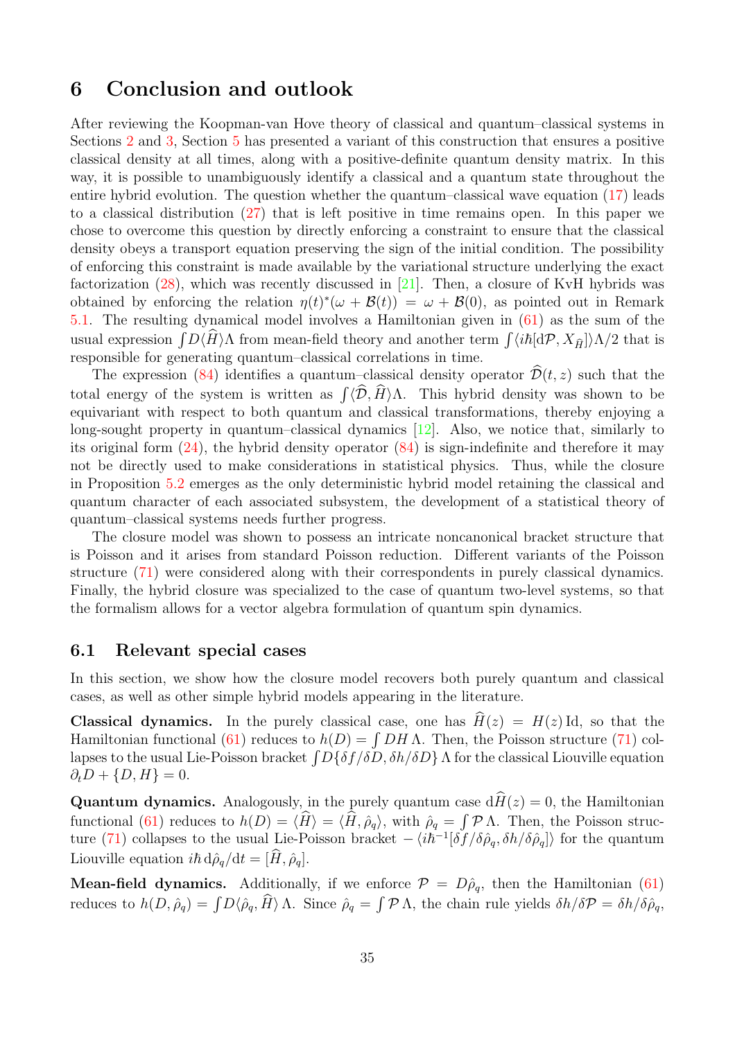## <span id="page-34-0"></span>6 Conclusion and outlook

After reviewing the Koopman-van Hove theory of classical and quantum–classical systems in Sections [2](#page-3-0) and [3,](#page-9-0) Section [5](#page-19-0) has presented a variant of this construction that ensures a positive classical density at all times, along with a positive-definite quantum density matrix. In this way, it is possible to unambiguously identify a classical and a quantum state throughout the entire hybrid evolution. The question whether the quantum–classical wave equation [\(17\)](#page-9-2) leads to a classical distribution [\(27\)](#page-11-1) that is left positive in time remains open. In this paper we chose to overcome this question by directly enforcing a constraint to ensure that the classical density obeys a transport equation preserving the sign of the initial condition. The possibility of enforcing this constraint is made available by the variational structure underlying the exact factorization  $(28)$ , which was recently discussed in [\[21\]](#page-37-10). Then, a closure of KvH hybrids was obtained by enforcing the relation  $\eta(t)^*(\omega + \mathcal{B}(t)) = \omega + \mathcal{B}(0)$ , as pointed out in Remark [5.1.](#page-20-3) The resulting dynamical model involves a Hamiltonian given in [\(61\)](#page-19-4) as the sum of the usual expression  $\int D\langle \hat{H} \rangle\Lambda$  from mean-field theory and another term  $\int \langle i\hbar [\mathrm{d}\mathcal{P}, X_{\hat{H}}] \rangle \Lambda/2$  that is responsible for generating quantum–classical correlations in time.

The expression [\(84\)](#page-29-1) identifies a quantum–classical density operator  $\hat{\mathcal{D}}(t, z)$  such that the total energy of the system is written as  $\int \langle \mathcal{D}, H \rangle \Lambda$ . This hybrid density was shown to be equivariant with respect to both quantum and classical transformations, thereby enjoying a long-sought property in quantum–classical dynamics [\[12\]](#page-37-0). Also, we notice that, similarly to its original form  $(24)$ , the hybrid density operator  $(84)$  is sign-indefinite and therefore it may not be directly used to make considerations in statistical physics. Thus, while the closure in Proposition [5.2](#page-21-2) emerges as the only deterministic hybrid model retaining the classical and quantum character of each associated subsystem, the development of a statistical theory of quantum–classical systems needs further progress.

The closure model was shown to possess an intricate noncanonical bracket structure that is Poisson and it arises from standard Poisson reduction. Different variants of the Poisson structure [\(71\)](#page-22-2) were considered along with their correspondents in purely classical dynamics. Finally, the hybrid closure was specialized to the case of quantum two-level systems, so that the formalism allows for a vector algebra formulation of quantum spin dynamics.

### <span id="page-34-1"></span>6.1 Relevant special cases

In this section, we show how the closure model recovers both purely quantum and classical cases, as well as other simple hybrid models appearing in the literature.

**Classical dynamics.** In the purely classical case, one has  $\hat{H}(z) = H(z)$  Id, so that the Hamiltonian functional [\(61\)](#page-19-4) reduces to  $h(D) = \int DH \Lambda$ . Then, the Poisson structure [\(71\)](#page-22-2) collapses to the usual Lie-Poisson bracket  $\int D\{\delta f/\delta D, \delta h/\delta D\}$   $\Lambda$  for the classical Liouville equation  $\partial_t D + \{D, H\} = 0.$ 

**Quantum dynamics.** Analogously, in the purely quantum case  $d\hat{H}(z) = 0$ , the Hamiltonian functional [\(61\)](#page-19-4) reduces to  $h(D) = \langle H \rangle = \langle H, \hat{\rho}_q \rangle$ , with  $\hat{\rho}_q = \int \mathcal{P} \Lambda$ . Then, the Poisson struc-ture [\(71\)](#page-22-2) collapses to the usual Lie-Poisson bracket  $-\langle i\hbar^{-1}[\delta f/\delta \hat{\rho}_q, \delta h/\delta \hat{\rho}_q]\rangle$  for the quantum Liouville equation  $i\hbar d\rho_q/dt = [\dot{H}, \hat{\rho}_q].$ 

**Mean-field dynamics.** Additionally, if we enforce  $\mathcal{P} = D\hat{\rho}_q$ , then the Hamiltonian [\(61\)](#page-19-4) reduces to  $h(D, \hat{\rho}_q) = \int D\langle \hat{\rho}_q, H \rangle \Lambda$ . Since  $\hat{\rho}_q = \int \mathcal{P} \Lambda$ , the chain rule yields  $\delta h/\delta \mathcal{P} = \delta h/\delta \hat{\rho}_q$ ,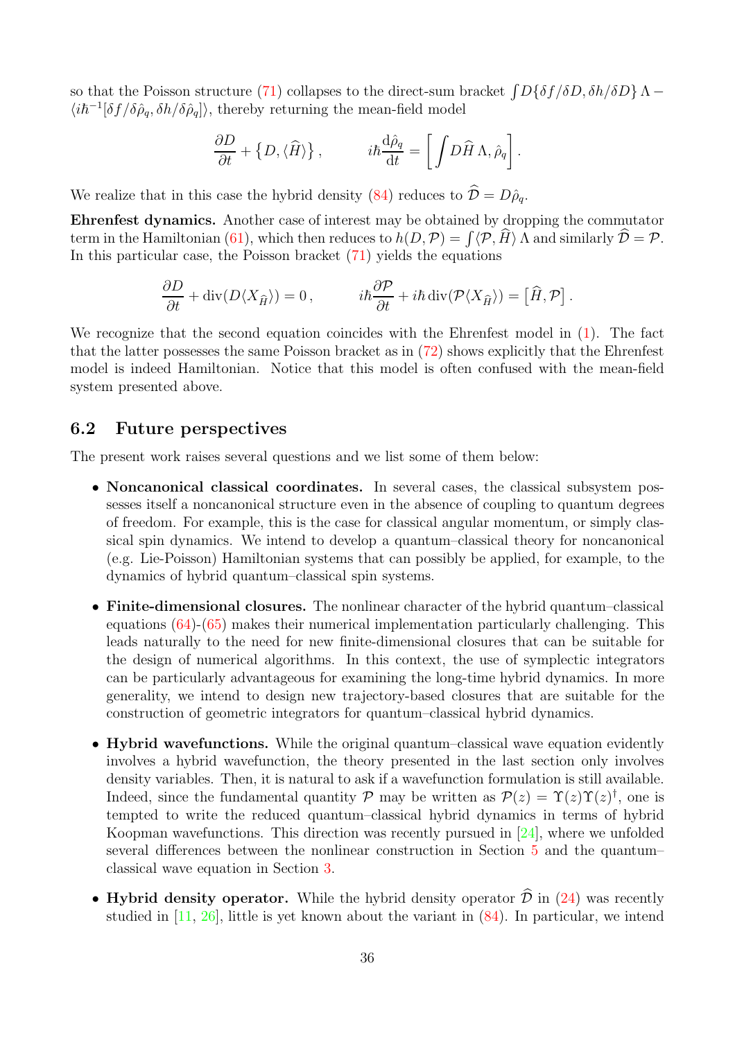so that the Poisson structure [\(71\)](#page-22-2) collapses to the direct-sum bracket  $\int D\{\delta f/\delta D, \delta h/\delta D\}\Lambda \langle i\hbar^{-1}[\delta f/\delta \hat{\rho}_q,\delta h/\delta \hat{\rho}_q]\rangle,$  thereby returning the mean-field model

$$
\frac{\partial D}{\partial t} + \left\{ D, \langle \widehat{H} \rangle \right\}, \qquad i\hbar \frac{\mathrm{d}\hat{\rho}_q}{\mathrm{d}t} = \left[ \int D\widehat{H} \Lambda, \hat{\rho}_q \right].
$$

We realize that in this case the hybrid density [\(84\)](#page-29-1) reduces to  $\hat{\mathcal{D}} = D\hat{\rho}_q$ .

Ehrenfest dynamics. Another case of interest may be obtained by dropping the commutator term in the Hamiltonian [\(61\)](#page-19-4), which then reduces to  $h(D, \mathcal{P}) = \int \langle \mathcal{P}, H \rangle \Lambda$  and similarly  $\mathcal{D} = \mathcal{P}$ . In this particular case, the Poisson bracket [\(71\)](#page-22-2) yields the equations

$$
\frac{\partial D}{\partial t} + \operatorname{div}(D\langle X_{\hat{H}}\rangle) = 0, \qquad i\hbar \frac{\partial \mathcal{P}}{\partial t} + i\hbar \operatorname{div}(\mathcal{P}\langle X_{\hat{H}}\rangle) = [\hat{H}, \mathcal{P}].
$$

We recognize that the second equation coincides with the Ehrenfest model in [\(1\)](#page-1-1). The fact that the latter possesses the same Poisson bracket as in [\(72\)](#page-23-0) shows explicitly that the Ehrenfest model is indeed Hamiltonian. Notice that this model is often confused with the mean-field system presented above.

## <span id="page-35-0"></span>6.2 Future perspectives

The present work raises several questions and we list some of them below:

- Noncanonical classical coordinates. In several cases, the classical subsystem possesses itself a noncanonical structure even in the absence of coupling to quantum degrees of freedom. For example, this is the case for classical angular momentum, or simply classical spin dynamics. We intend to develop a quantum–classical theory for noncanonical (e.g. Lie-Poisson) Hamiltonian systems that can possibly be applied, for example, to the dynamics of hybrid quantum–classical spin systems.
- Finite-dimensional closures. The nonlinear character of the hybrid quantum–classical equations  $(64)-(65)$  $(64)-(65)$  makes their numerical implementation particularly challenging. This leads naturally to the need for new finite-dimensional closures that can be suitable for the design of numerical algorithms. In this context, the use of symplectic integrators can be particularly advantageous for examining the long-time hybrid dynamics. In more generality, we intend to design new trajectory-based closures that are suitable for the construction of geometric integrators for quantum–classical hybrid dynamics.
- Hybrid wavefunctions. While the original quantum–classical wave equation evidently involves a hybrid wavefunction, the theory presented in the last section only involves density variables. Then, it is natural to ask if a wavefunction formulation is still available. Indeed, since the fundamental quantity  $P$  may be written as  $P(z) = \Upsilon(z)\Upsilon(z)^{\dagger}$ , one is tempted to write the reduced quantum–classical hybrid dynamics in terms of hybrid Koopman wavefunctions. This direction was recently pursued in [\[24\]](#page-37-13), where we unfolded several differences between the nonlinear construction in Section [5](#page-19-0) and the quantum– classical wave equation in Section [3.](#page-9-0)
- Hybrid density operator. While the hybrid density operator  $\hat{\mathcal{D}}$  in [\(24\)](#page-11-2) was recently studied in [\[11,](#page-37-2) [26\]](#page-38-5), little is yet known about the variant in [\(84\)](#page-29-1). In particular, we intend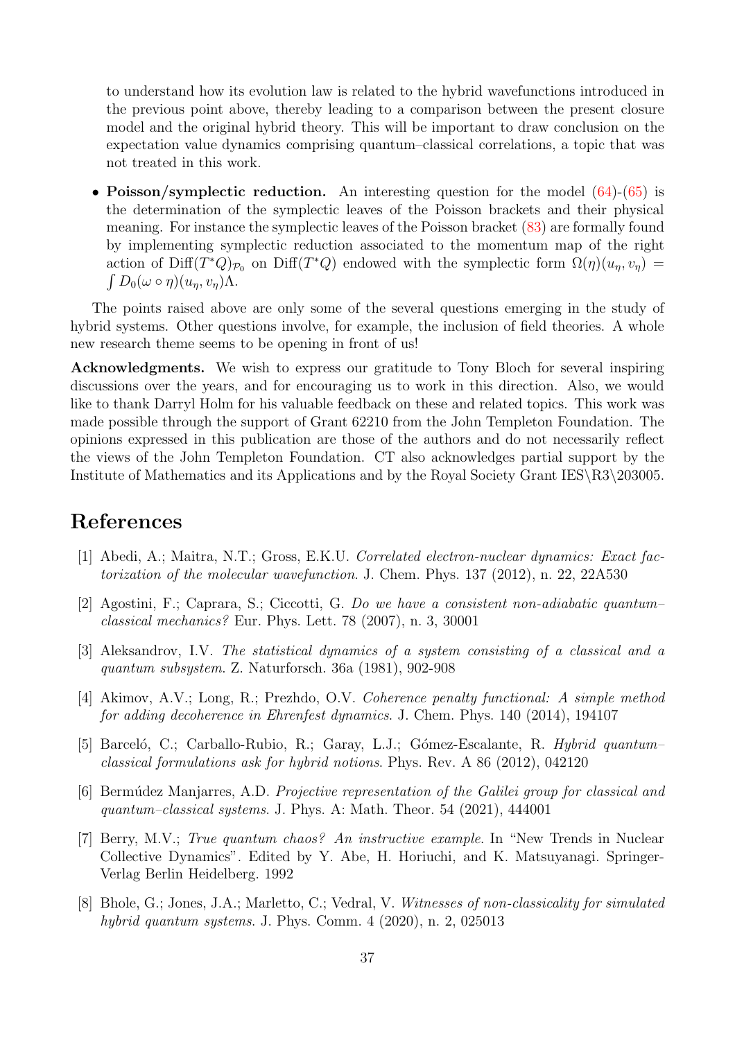to understand how its evolution law is related to the hybrid wavefunctions introduced in the previous point above, thereby leading to a comparison between the present closure model and the original hybrid theory. This will be important to draw conclusion on the expectation value dynamics comprising quantum–classical correlations, a topic that was not treated in this work.

• Poisson/symplectic reduction. An interesting question for the model [\(64\)](#page-20-2)-[\(65\)](#page-20-1) is the determination of the symplectic leaves of the Poisson brackets and their physical meaning. For instance the symplectic leaves of the Poisson bracket [\(83\)](#page-28-0) are formally found by implementing symplectic reduction associated to the momentum map of the right action of Diff $(T^*Q)_{\mathcal{P}_0}$  on Diff $(T^*Q)$  endowed with the symplectic form  $\Omega(\eta)(u_{\eta}, v_{\eta}) =$  $\int D_0(\omega \circ \eta)(u_\eta, v_\eta) \Lambda.$ 

The points raised above are only some of the several questions emerging in the study of hybrid systems. Other questions involve, for example, the inclusion of field theories. A whole new research theme seems to be opening in front of us!

Acknowledgments. We wish to express our gratitude to Tony Bloch for several inspiring discussions over the years, and for encouraging us to work in this direction. Also, we would like to thank Darryl Holm for his valuable feedback on these and related topics. This work was made possible through the support of Grant 62210 from the John Templeton Foundation. The opinions expressed in this publication are those of the authors and do not necessarily reflect the views of the John Templeton Foundation. CT also acknowledges partial support by the Institute of Mathematics and its Applications and by the Royal Society Grant IES\R3\203005.

## <span id="page-36-4"></span>References

- <span id="page-36-2"></span>[1] Abedi, A.; Maitra, N.T.; Gross, E.K.U. Correlated electron-nuclear dynamics: Exact factorization of the molecular wavefunction. J. Chem. Phys. 137 (2012), n. 22, 22A530
- [2] Agostini, F.; Caprara, S.; Ciccotti, G. Do we have a consistent non-adiabatic quantum– classical mechanics? Eur. Phys. Lett. 78 (2007), n. 3, 30001
- <span id="page-36-0"></span>[3] Aleksandrov, I.V. The statistical dynamics of a system consisting of a classical and a quantum subsystem. Z. Naturforsch. 36a (1981), 902-908
- <span id="page-36-3"></span>[4] Akimov, A.V.; Long, R.; Prezhdo, O.V. Coherence penalty functional: A simple method for adding decoherence in Ehrenfest dynamics. J. Chem. Phys. 140 (2014), 194107
- <span id="page-36-1"></span>[5] Barceló, C.; Carballo-Rubio, R.; Garay, L.J.; Gómez-Escalante, R. Hybrid quantumclassical formulations ask for hybrid notions. Phys. Rev. A 86 (2012), 042120
- <span id="page-36-6"></span>[6] Bermúdez Manjarres, A.D. *Projective representation of the Galilei group for classical and* quantum–classical systems. J. Phys. A: Math. Theor. 54 (2021), 444001
- <span id="page-36-5"></span>[7] Berry, M.V.; True quantum chaos? An instructive example. In "New Trends in Nuclear Collective Dynamics". Edited by Y. Abe, H. Horiuchi, and K. Matsuyanagi. Springer-Verlag Berlin Heidelberg. 1992
- [8] Bhole, G.; Jones, J.A.; Marletto, C.; Vedral, V. Witnesses of non-classicality for simulated hybrid quantum systems. J. Phys. Comm. 4 (2020), n. 2, 025013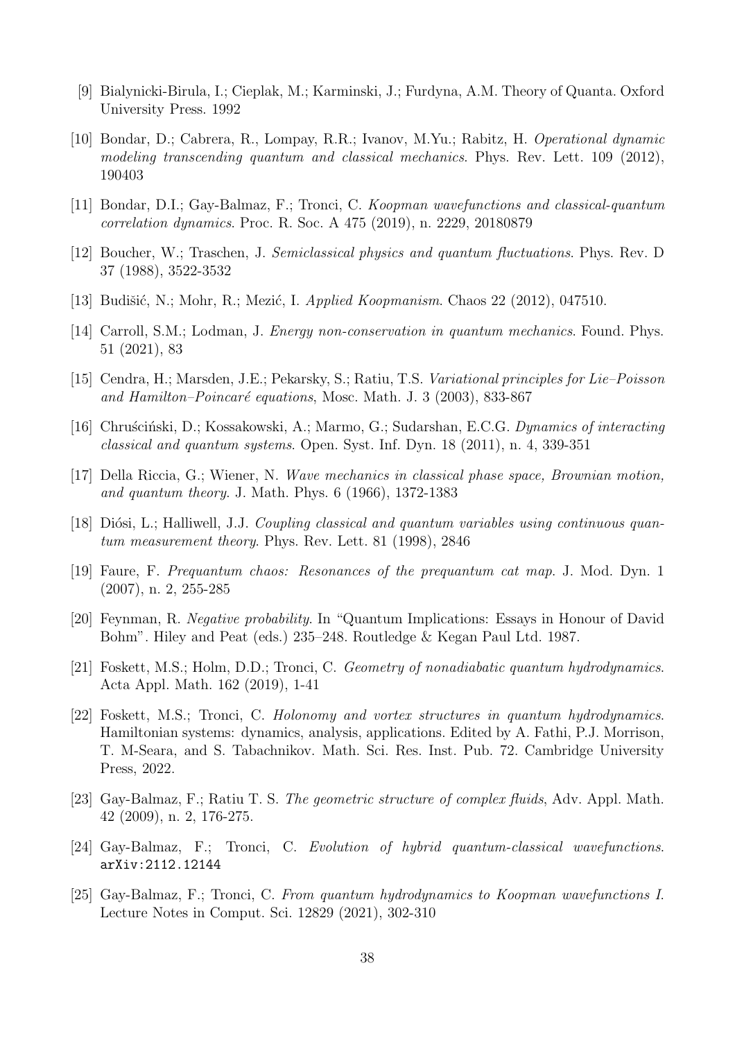- <span id="page-37-9"></span><span id="page-37-6"></span>[9] Bialynicki-Birula, I.; Cieplak, M.; Karminski, J.; Furdyna, A.M. Theory of Quanta. Oxford University Press. 1992
- [10] Bondar, D.; Cabrera, R., Lompay, R.R.; Ivanov, M.Yu.; Rabitz, H. Operational dynamic modeling transcending quantum and classical mechanics. Phys. Rev. Lett. 109 (2012), 190403
- <span id="page-37-2"></span><span id="page-37-0"></span>[11] Bondar, D.I.; Gay-Balmaz, F.; Tronci, C. Koopman wavefunctions and classical-quantum correlation dynamics. Proc. R. Soc. A 475 (2019), n. 2229, 20180879
- <span id="page-37-7"></span>[12] Boucher, W.; Traschen, J. Semiclassical physics and quantum fluctuations. Phys. Rev. D 37 (1988), 3522-3532
- <span id="page-37-15"></span>[13] Budišić, N.; Mohr, R.; Mezić, I. Applied Koopmanism. Chaos  $22$  (2012), 047510.
- <span id="page-37-12"></span>[14] Carroll, S.M.; Lodman, J. Energy non-conservation in quantum mechanics. Found. Phys. 51 (2021), 83
- <span id="page-37-1"></span>[15] Cendra, H.; Marsden, J.E.; Pekarsky, S.; Ratiu, T.S. Variational principles for Lie–Poisson and Hamilton–Poincaré equations, Mosc. Math. J. 3 (2003), 833-867
- [16] Chruścinski, D.; Kossakowski, A.; Marmo, G.; Sudarshan, E.C.G. Dynamics of interacting classical and quantum systems. Open. Syst. Inf. Dyn. 18 (2011), n. 4, 339-351
- <span id="page-37-5"></span>[17] Della Riccia, G.; Wiener, N. Wave mechanics in classical phase space, Brownian motion, and quantum theory. J. Math. Phys. 6 (1966), 1372-1383
- <span id="page-37-3"></span>[18] Diósi, L.; Halliwell, J.J. Coupling classical and quantum variables using continuous guantum measurement theory. Phys. Rev. Lett. 81 (1998), 2846
- <span id="page-37-4"></span>[19] Faure, F. Prequantum chaos: Resonances of the prequantum cat map. J. Mod. Dyn. 1 (2007), n. 2, 255-285
- [20] Feynman, R. Negative probability. In "Quantum Implications: Essays in Honour of David Bohm". Hiley and Peat (eds.) 235–248. Routledge & Kegan Paul Ltd. 1987.
- <span id="page-37-10"></span>[21] Foskett, M.S.; Holm, D.D.; Tronci, C. Geometry of nonadiabatic quantum hydrodynamics. Acta Appl. Math. 162 (2019), 1-41
- <span id="page-37-11"></span>[22] Foskett, M.S.; Tronci, C. Holonomy and vortex structures in quantum hydrodynamics. Hamiltonian systems: dynamics, analysis, applications. Edited by A. Fathi, P.J. Morrison, T. M-Seara, and S. Tabachnikov. Math. Sci. Res. Inst. Pub. 72. Cambridge University Press, 2022.
- <span id="page-37-14"></span>[23] Gay-Balmaz, F.; Ratiu T. S. The geometric structure of complex fluids, Adv. Appl. Math. 42 (2009), n. 2, 176-275.
- <span id="page-37-13"></span><span id="page-37-8"></span>[24] Gay-Balmaz, F.; Tronci, C. Evolution of hybrid quantum-classical wavefunctions. arXiv:2112.12144
- [25] Gay-Balmaz, F.; Tronci, C. From quantum hydrodynamics to Koopman wavefunctions I. Lecture Notes in Comput. Sci. 12829 (2021), 302-310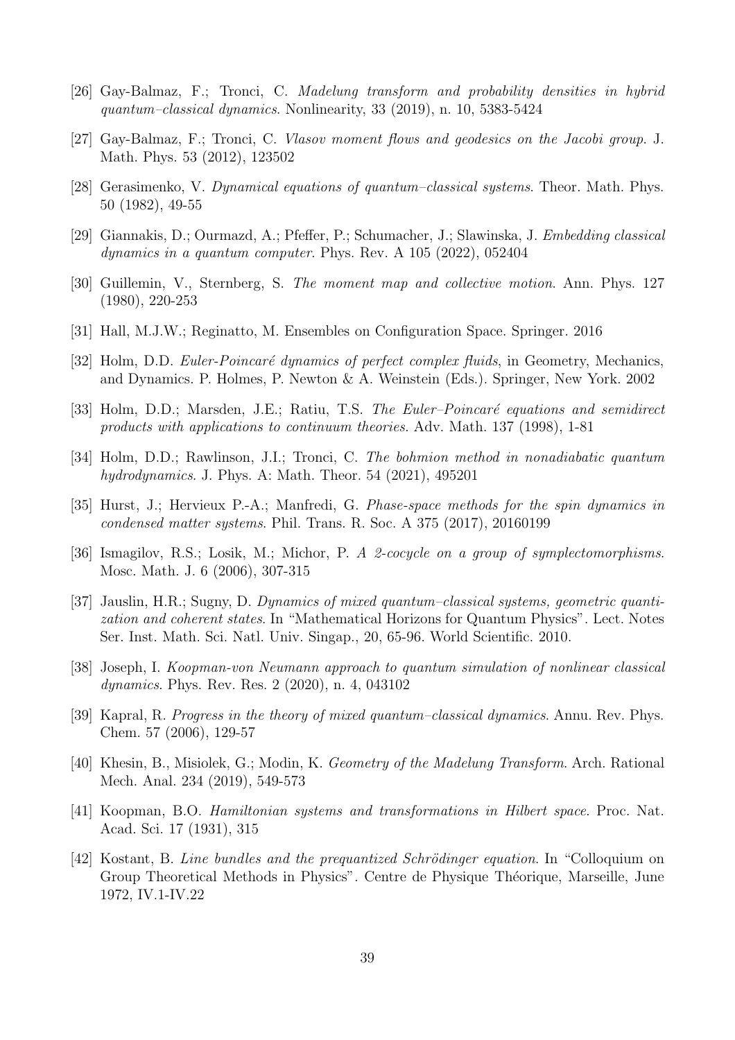- <span id="page-38-10"></span><span id="page-38-5"></span>[26] Gay-Balmaz, F.; Tronci, C. Madelung transform and probability densities in hybrid quantum–classical dynamics. Nonlinearity, 33 (2019), n. 10, 5383-5424
- <span id="page-38-1"></span>[27] Gay-Balmaz, F.; Tronci, C. Vlasov moment flows and geodesics on the Jacobi group. J. Math. Phys. 53 (2012), 123502
- <span id="page-38-8"></span>[28] Gerasimenko, V. Dynamical equations of quantum–classical systems. Theor. Math. Phys. 50 (1982), 49-55
- <span id="page-38-12"></span>[29] Giannakis, D.; Ourmazd, A.; Pfeffer, P.; Schumacher, J.; Slawinska, J. Embedding classical dynamics in a quantum computer. Phys. Rev. A 105 (2022), 052404
- <span id="page-38-3"></span>[30] Guillemin, V., Sternberg, S. The moment map and collective motion. Ann. Phys. 127 (1980), 220-253
- <span id="page-38-16"></span>[31] Hall, M.J.W.; Reginatto, M. Ensembles on Configuration Space. Springer. 2016
- <span id="page-38-15"></span>[32] Holm, D.D. Euler-Poincaré dynamics of perfect complex fluids, in Geometry, Mechanics, and Dynamics. P. Holmes, P. Newton & A. Weinstein (Eds.). Springer, New York. 2002
- <span id="page-38-14"></span>[33] Holm, D.D.; Marsden, J.E.; Ratiu, T.S. The Euler–Poincaré equations and semidirect products with applications to continuum theories. Adv. Math. 137 (1998), 1-81
- <span id="page-38-0"></span>[34] Holm, D.D.; Rawlinson, J.I.; Tronci, C. The bohmion method in nonadiabatic quantum hydrodynamics. J. Phys. A: Math. Theor. 54 (2021), 495201
- <span id="page-38-11"></span>[35] Hurst, J.; Hervieux P.-A.; Manfredi, G. Phase-space methods for the spin dynamics in condensed matter systems. Phil. Trans. R. Soc. A 375 (2017), 20160199
- <span id="page-38-4"></span>[36] Ismagilov, R.S.; Losik, M.; Michor, P. A 2-cocycle on a group of symplectomorphisms. Mosc. Math. J. 6 (2006), 307-315
- [37] Jauslin, H.R.; Sugny, D. Dynamics of mixed quantum–classical systems, geometric quantization and coherent states. In "Mathematical Horizons for Quantum Physics". Lect. Notes Ser. Inst. Math. Sci. Natl. Univ. Singap., 20, 65-96. World Scientific. 2010.
- <span id="page-38-7"></span>[38] Joseph, I. Koopman-von Neumann approach to quantum simulation of nonlinear classical dynamics. Phys. Rev. Res. 2 (2020), n. 4, 043102
- <span id="page-38-2"></span>[39] Kapral, R. Progress in the theory of mixed quantum–classical dynamics. Annu. Rev. Phys. Chem. 57 (2006), 129-57
- <span id="page-38-13"></span>[40] Khesin, B., Misiolek, G.; Modin, K. Geometry of the Madelung Transform. Arch. Rational Mech. Anal. 234 (2019), 549-573
- <span id="page-38-6"></span>[41] Koopman, B.O. Hamiltonian systems and transformations in Hilbert space. Proc. Nat. Acad. Sci. 17 (1931), 315
- <span id="page-38-9"></span>[42] Kostant, B. Line bundles and the prequantized Schrödinger equation. In "Colloquium on Group Theoretical Methods in Physics". Centre de Physique Théorique, Marseille, June 1972, IV.1-IV.22